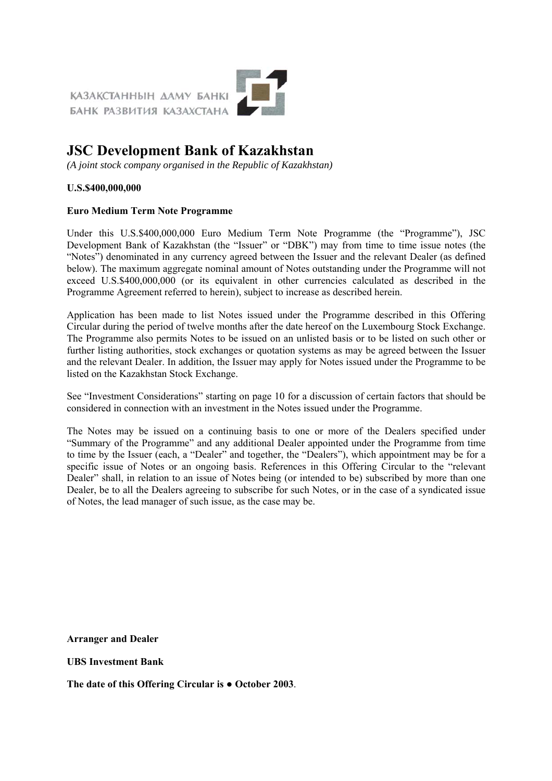

# **JSC Development Bank of Kazakhstan**

*(A joint stock company organised in the Republic of Kazakhstan)*

#### **U.S.\$400,000,000**

#### **Euro Medium Term Note Programme**

Under this U.S.\$400,000,000 Euro Medium Term Note Programme (the "Programme"), JSC Development Bank of Kazakhstan (the "Issuer" or "DBK") may from time to time issue notes (the "Notes") denominated in any currency agreed between the Issuer and the relevant Dealer (as defined below). The maximum aggregate nominal amount of Notes outstanding under the Programme will not exceed U.S.\$400,000,000 (or its equivalent in other currencies calculated as described in the Programme Agreement referred to herein), subject to increase as described herein.

Application has been made to list Notes issued under the Programme described in this Offering Circular during the period of twelve months after the date hereof on the Luxembourg Stock Exchange. The Programme also permits Notes to be issued on an unlisted basis or to be listed on such other or further listing authorities, stock exchanges or quotation systems as may be agreed between the Issuer and the relevant Dealer. In addition, the Issuer may apply for Notes issued under the Programme to be listed on the Kazakhstan Stock Exchange.

See "Investment Considerations" starting on page 10 for a discussion of certain factors that should be considered in connection with an investment in the Notes issued under the Programme.

The Notes may be issued on a continuing basis to one or more of the Dealers specified under "Summary of the Programme" and any additional Dealer appointed under the Programme from time to time by the Issuer (each, a "Dealer" and together, the "Dealers"), which appointment may be for a specific issue of Notes or an ongoing basis. References in this Offering Circular to the "relevant Dealer" shall, in relation to an issue of Notes being (or intended to be) subscribed by more than one Dealer, be to all the Dealers agreeing to subscribe for such Notes, or in the case of a syndicated issue of Notes, the lead manager of such issue, as the case may be.

**Arranger and Dealer**

#### **UBS Investment Bank**

**The date of this Offering Circular is ● October 2003**.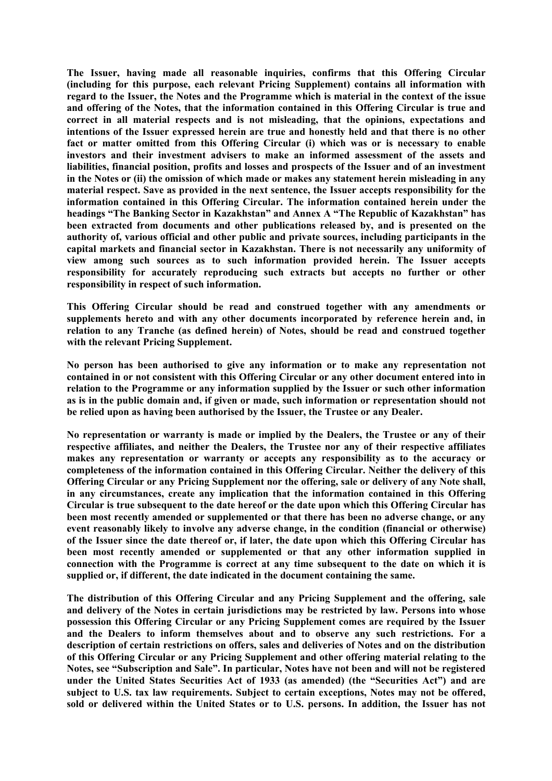**The Issuer, having made all reasonable inquiries, confirms that this Offering Circular (including for this purpose, each relevant Pricing Supplement) contains all information with regard to the Issuer, the Notes and the Programme which is material in the context of the issue and offering of the Notes, that the information contained in this Offering Circular is true and correct in all material respects and is not misleading, that the opinions, expectations and intentions of the Issuer expressed herein are true and honestly held and that there is no other fact or matter omitted from this Offering Circular (i) which was or is necessary to enable investors and their investment advisers to make an informed assessment of the assets and liabilities, financial position, profits and losses and prospects of the Issuer and of an investment in the Notes or (ii) the omission of which made or makes any statement herein misleading in any material respect. Save as provided in the next sentence, the Issuer accepts responsibility for the information contained in this Offering Circular. The information contained herein under the headings "The Banking Sector in Kazakhstan" and Annex A "The Republic of Kazakhstan" has been extracted from documents and other publications released by, and is presented on the authority of, various official and other public and private sources, including participants in the capital markets and financial sector in Kazakhstan. There is not necessarily any uniformity of view among such sources as to such information provided herein. The Issuer accepts responsibility for accurately reproducing such extracts but accepts no further or other responsibility in respect of such information.**

**This Offering Circular should be read and construed together with any amendments or supplements hereto and with any other documents incorporated by reference herein and, in relation to any Tranche (as defined herein) of Notes, should be read and construed together with the relevant Pricing Supplement.**

**No person has been authorised to give any information or to make any representation not contained in or not consistent with this Offering Circular or any other document entered into in relation to the Programme or any information supplied by the Issuer or such other information as is in the public domain and, if given or made, such information or representation should not be relied upon as having been authorised by the Issuer, the Trustee or any Dealer.**

**No representation or warranty is made or implied by the Dealers, the Trustee or any of their respective affiliates, and neither the Dealers, the Trustee nor any of their respective affiliates makes any representation or warranty or accepts any responsibility as to the accuracy or completeness of the information contained in this Offering Circular. Neither the delivery of this Offering Circular or any Pricing Supplement nor the offering, sale or delivery of any Note shall, in any circumstances, create any implication that the information contained in this Offering Circular is true subsequent to the date hereof or the date upon which this Offering Circular has been most recently amended or supplemented or that there has been no adverse change, or any event reasonably likely to involve any adverse change, in the condition (financial or otherwise) of the Issuer since the date thereof or, if later, the date upon which this Offering Circular has been most recently amended or supplemented or that any other information supplied in connection with the Programme is correct at any time subsequent to the date on which it is supplied or, if different, the date indicated in the document containing the same.**

**The distribution of this Offering Circular and any Pricing Supplement and the offering, sale and delivery of the Notes in certain jurisdictions may be restricted by law. Persons into whose possession this Offering Circular or any Pricing Supplement comes are required by the Issuer and the Dealers to inform themselves about and to observe any such restrictions. For a description of certain restrictions on offers, sales and deliveries of Notes and on the distribution of this Offering Circular or any Pricing Supplement and other offering material relating to the Notes, see "Subscription and Sale". In particular, Notes have not been and will not be registered under the United States Securities Act of 1933 (as amended) (the "Securities Act") and are subject to U.S. tax law requirements. Subject to certain exceptions, Notes may not be offered, sold or delivered within the United States or to U.S. persons. In addition, the Issuer has not**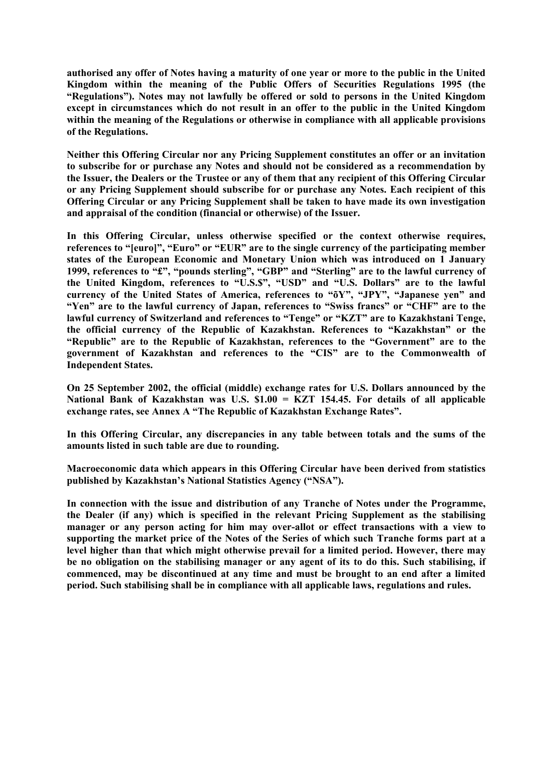**authorised any offer of Notes having a maturity of one year or more to the public in the United Kingdom within the meaning of the Public Offers of Securities Regulations 1995 (the "Regulations"). Notes may not lawfully be offered or sold to persons in the United Kingdom except in circumstances which do not result in an offer to the public in the United Kingdom within the meaning of the Regulations or otherwise in compliance with all applicable provisions of the Regulations.**

**Neither this Offering Circular nor any Pricing Supplement constitutes an offer or an invitation to subscribe for or purchase any Notes and should not be considered as a recommendation by the Issuer, the Dealers or the Trustee or any of them that any recipient of this Offering Circular or any Pricing Supplement should subscribe for or purchase any Notes. Each recipient of this Offering Circular or any Pricing Supplement shall be taken to have made its own investigation and appraisal of the condition (financial or otherwise) of the Issuer.**

**In this Offering Circular, unless otherwise specified or the context otherwise requires, references to "[euro]", "Euro" or "EUR" are to the single currency of the participating member states of the European Economic and Monetary Union which was introduced on 1 January 1999, references to "£", "pounds sterling", "GBP" and "Sterling" are to the lawful currency of the United Kingdom, references to "U.S.\$", "USD" and "U.S. Dollars" are to the lawful currency of the United States of America, references to "õY", "JPY", "Japanese yen" and "Yen" are to the lawful currency of Japan, references to "Swiss francs" or "CHF" are to the lawful currency of Switzerland and references to "Tenge" or "KZT" are to Kazakhstani Tenge, the official currency of the Republic of Kazakhstan. References to "Kazakhstan" or the "Republic" are to the Republic of Kazakhstan, references to the "Government" are to the government of Kazakhstan and references to the "CIS" are to the Commonwealth of Independent States.**

**On 25 September 2002, the official (middle) exchange rates for U.S. Dollars announced by the National Bank of Kazakhstan was U.S. \$1.00 = KZT 154.45. For details of all applicable exchange rates, see Annex A "The Republic of Kazakhstan Exchange Rates".**

**In this Offering Circular, any discrepancies in any table between totals and the sums of the amounts listed in such table are due to rounding.**

**Macroeconomic data which appears in this Offering Circular have been derived from statistics published by Kazakhstan's National Statistics Agency ("NSA").**

**In connection with the issue and distribution of any Tranche of Notes under the Programme, the Dealer (if any) which is specified in the relevant Pricing Supplement as the stabilising manager or any person acting for him may over-allot or effect transactions with a view to supporting the market price of the Notes of the Series of which such Tranche forms part at a level higher than that which might otherwise prevail for a limited period. However, there may be no obligation on the stabilising manager or any agent of its to do this. Such stabilising, if commenced, may be discontinued at any time and must be brought to an end after a limited period. Such stabilising shall be in compliance with all applicable laws, regulations and rules.**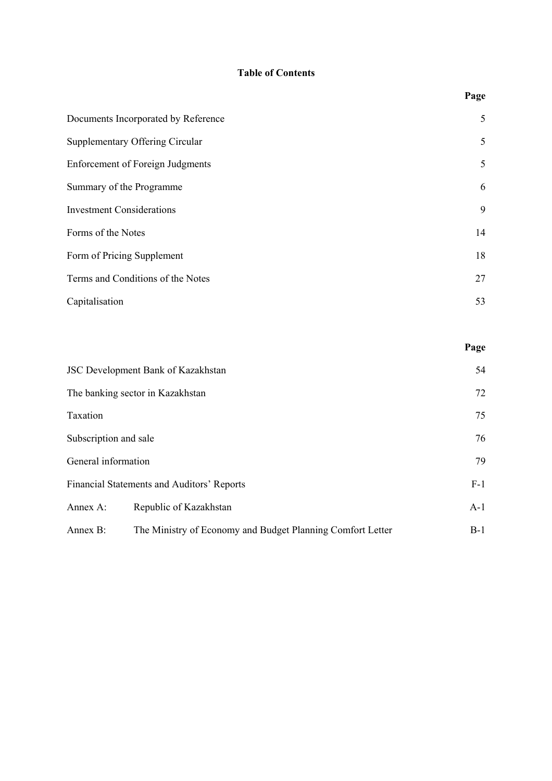# **Table of Contents**

| Documents Incorporated by Reference     | 5  |
|-----------------------------------------|----|
| <b>Supplementary Offering Circular</b>  | 5  |
| <b>Enforcement of Foreign Judgments</b> | 5  |
| Summary of the Programme                | 6  |
| <b>Investment Considerations</b>        | 9  |
| Forms of the Notes                      | 14 |
| Form of Pricing Supplement              | 18 |
| Terms and Conditions of the Notes       | 27 |
| Capitalisation                          | 53 |
|                                         |    |

|                       | <b>JSC Development Bank of Kazakhstan</b>                  | 54    |
|-----------------------|------------------------------------------------------------|-------|
|                       | The banking sector in Kazakhstan                           | 72    |
| Taxation              |                                                            | 75    |
| Subscription and sale |                                                            | 76    |
| General information   |                                                            | 79    |
|                       | Financial Statements and Auditors' Reports                 | $F-1$ |
| Annex A:              | Republic of Kazakhstan                                     | $A-1$ |
| Annex B:              | The Ministry of Economy and Budget Planning Comfort Letter | $B-1$ |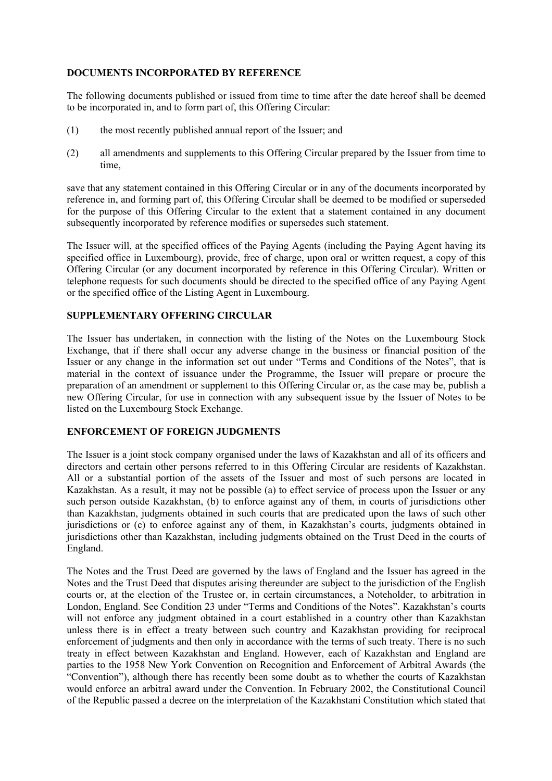## **DOCUMENTS INCORPORATED BY REFERENCE**

The following documents published or issued from time to time after the date hereof shall be deemed to be incorporated in, and to form part of, this Offering Circular:

- (1) the most recently published annual report of the Issuer; and
- (2) all amendments and supplements to this Offering Circular prepared by the Issuer from time to time,

save that any statement contained in this Offering Circular or in any of the documents incorporated by reference in, and forming part of, this Offering Circular shall be deemed to be modified or superseded for the purpose of this Offering Circular to the extent that a statement contained in any document subsequently incorporated by reference modifies or supersedes such statement.

The Issuer will, at the specified offices of the Paying Agents (including the Paying Agent having its specified office in Luxembourg), provide, free of charge, upon oral or written request, a copy of this Offering Circular (or any document incorporated by reference in this Offering Circular). Written or telephone requests for such documents should be directed to the specified office of any Paying Agent or the specified office of the Listing Agent in Luxembourg.

## **SUPPLEMENTARY OFFERING CIRCULAR**

The Issuer has undertaken, in connection with the listing of the Notes on the Luxembourg Stock Exchange, that if there shall occur any adverse change in the business or financial position of the Issuer or any change in the information set out under "Terms and Conditions of the Notes", that is material in the context of issuance under the Programme, the Issuer will prepare or procure the preparation of an amendment or supplement to this Offering Circular or, as the case may be, publish a new Offering Circular, for use in connection with any subsequent issue by the Issuer of Notes to be listed on the Luxembourg Stock Exchange.

## **ENFORCEMENT OF FOREIGN JUDGMENTS**

The Issuer is a joint stock company organised under the laws of Kazakhstan and all of its officers and directors and certain other persons referred to in this Offering Circular are residents of Kazakhstan. All or a substantial portion of the assets of the Issuer and most of such persons are located in Kazakhstan. As a result, it may not be possible (a) to effect service of process upon the Issuer or any such person outside Kazakhstan, (b) to enforce against any of them, in courts of jurisdictions other than Kazakhstan, judgments obtained in such courts that are predicated upon the laws of such other jurisdictions or (c) to enforce against any of them, in Kazakhstan's courts, judgments obtained in jurisdictions other than Kazakhstan, including judgments obtained on the Trust Deed in the courts of England.

The Notes and the Trust Deed are governed by the laws of England and the Issuer has agreed in the Notes and the Trust Deed that disputes arising thereunder are subject to the jurisdiction of the English courts or, at the election of the Trustee or, in certain circumstances, a Noteholder, to arbitration in London, England. See Condition 23 under "Terms and Conditions of the Notes". Kazakhstan's courts will not enforce any judgment obtained in a court established in a country other than Kazakhstan unless there is in effect a treaty between such country and Kazakhstan providing for reciprocal enforcement of judgments and then only in accordance with the terms of such treaty. There is no such treaty in effect between Kazakhstan and England. However, each of Kazakhstan and England are parties to the 1958 New York Convention on Recognition and Enforcement of Arbitral Awards (the "Convention"), although there has recently been some doubt as to whether the courts of Kazakhstan would enforce an arbitral award under the Convention. In February 2002, the Constitutional Council of the Republic passed a decree on the interpretation of the Kazakhstani Constitution which stated that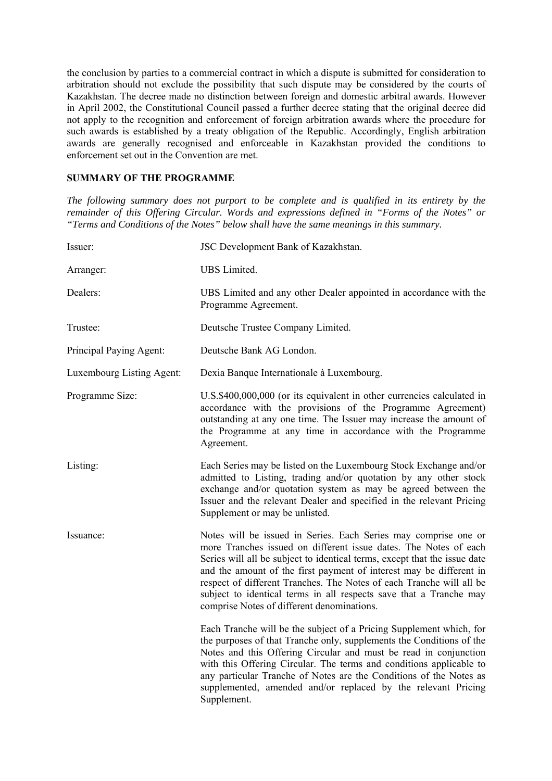the conclusion by parties to a commercial contract in which a dispute is submitted for consideration to arbitration should not exclude the possibility that such dispute may be considered by the courts of Kazakhstan. The decree made no distinction between foreign and domestic arbitral awards. However in April 2002, the Constitutional Council passed a further decree stating that the original decree did not apply to the recognition and enforcement of foreign arbitration awards where the procedure for such awards is established by a treaty obligation of the Republic. Accordingly, English arbitration awards are generally recognised and enforceable in Kazakhstan provided the conditions to enforcement set out in the Convention are met.

## **SUMMARY OF THE PROGRAMME**

*The following summary does not purport to be complete and is qualified in its entirety by the remainder of this Offering Circular. Words and expressions defined in "Forms of the Notes" or "Terms and Conditions of the Notes" below shall have the same meanings in this summary.* 

| Issuer:                   | JSC Development Bank of Kazakhstan.                                                                                                                                                                                                                                                                                                                                                                                                                                                 |
|---------------------------|-------------------------------------------------------------------------------------------------------------------------------------------------------------------------------------------------------------------------------------------------------------------------------------------------------------------------------------------------------------------------------------------------------------------------------------------------------------------------------------|
| Arranger:                 | UBS Limited.                                                                                                                                                                                                                                                                                                                                                                                                                                                                        |
| Dealers:                  | UBS Limited and any other Dealer appointed in accordance with the<br>Programme Agreement.                                                                                                                                                                                                                                                                                                                                                                                           |
| Trustee:                  | Deutsche Trustee Company Limited.                                                                                                                                                                                                                                                                                                                                                                                                                                                   |
| Principal Paying Agent:   | Deutsche Bank AG London.                                                                                                                                                                                                                                                                                                                                                                                                                                                            |
| Luxembourg Listing Agent: | Dexia Banque Internationale à Luxembourg.                                                                                                                                                                                                                                                                                                                                                                                                                                           |
| Programme Size:           | U.S.\$400,000,000 (or its equivalent in other currencies calculated in<br>accordance with the provisions of the Programme Agreement)<br>outstanding at any one time. The Issuer may increase the amount of<br>the Programme at any time in accordance with the Programme<br>Agreement.                                                                                                                                                                                              |
| Listing:                  | Each Series may be listed on the Luxembourg Stock Exchange and/or<br>admitted to Listing, trading and/or quotation by any other stock<br>exchange and/or quotation system as may be agreed between the<br>Issuer and the relevant Dealer and specified in the relevant Pricing<br>Supplement or may be unlisted.                                                                                                                                                                    |
| Issuance:                 | Notes will be issued in Series. Each Series may comprise one or<br>more Tranches issued on different issue dates. The Notes of each<br>Series will all be subject to identical terms, except that the issue date<br>and the amount of the first payment of interest may be different in<br>respect of different Tranches. The Notes of each Tranche will all be<br>subject to identical terms in all respects save that a Tranche may<br>comprise Notes of different denominations. |
|                           | Each Tranche will be the subject of a Pricing Supplement which, for<br>the purposes of that Tranche only, supplements the Conditions of the<br>Notes and this Offering Circular and must be read in conjunction<br>with this Offering Circular. The terms and conditions applicable to<br>any particular Tranche of Notes are the Conditions of the Notes as<br>supplemented, amended and/or replaced by the relevant Pricing<br>Supplement.                                        |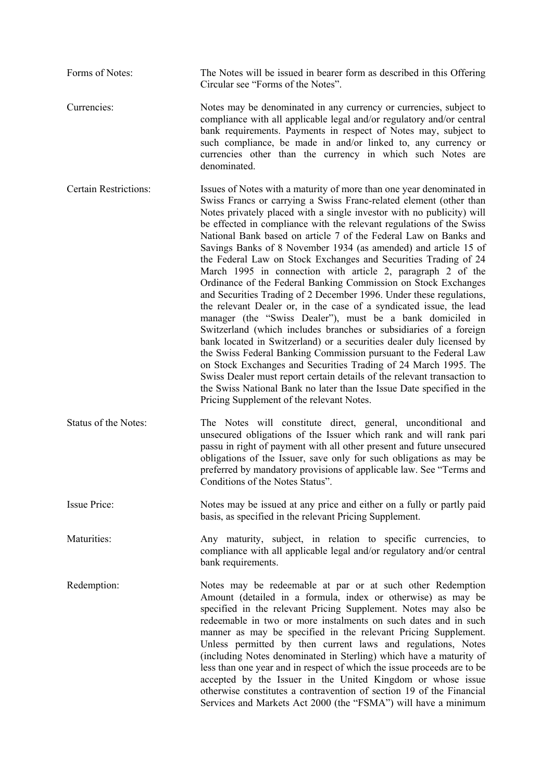Forms of Notes: The Notes will be issued in bearer form as described in this Offering Circular see "Forms of the Notes".

Currencies: Notes may be denominated in any currency or currencies, subject to compliance with all applicable legal and/or regulatory and/or central bank requirements. Payments in respect of Notes may, subject to such compliance, be made in and/or linked to, any currency or currencies other than the currency in which such Notes are denominated.

Certain Restrictions: Issues of Notes with a maturity of more than one year denominated in Swiss Francs or carrying a Swiss Franc-related element (other than Notes privately placed with a single investor with no publicity) will be effected in compliance with the relevant regulations of the Swiss National Bank based on article 7 of the Federal Law on Banks and Savings Banks of 8 November 1934 (as amended) and article 15 of the Federal Law on Stock Exchanges and Securities Trading of 24 March 1995 in connection with article 2, paragraph 2 of the Ordinance of the Federal Banking Commission on Stock Exchanges and Securities Trading of 2 December 1996. Under these regulations, the relevant Dealer or, in the case of a syndicated issue, the lead manager (the "Swiss Dealer"), must be a bank domiciled in Switzerland (which includes branches or subsidiaries of a foreign bank located in Switzerland) or a securities dealer duly licensed by the Swiss Federal Banking Commission pursuant to the Federal Law on Stock Exchanges and Securities Trading of 24 March 1995. The Swiss Dealer must report certain details of the relevant transaction to the Swiss National Bank no later than the Issue Date specified in the Pricing Supplement of the relevant Notes.

Status of the Notes: The Notes will constitute direct, general, unconditional and unsecured obligations of the Issuer which rank and will rank pari passu in right of payment with all other present and future unsecured obligations of the Issuer, save only for such obligations as may be preferred by mandatory provisions of applicable law. See "Terms and Conditions of the Notes Status".

Issue Price: Notes may be issued at any price and either on a fully or partly paid basis, as specified in the relevant Pricing Supplement.

Maturities: Any maturity, subject, in relation to specific currencies, to compliance with all applicable legal and/or regulatory and/or central bank requirements.

Redemption: Notes may be redeemable at par or at such other Redemption Amount (detailed in a formula, index or otherwise) as may be specified in the relevant Pricing Supplement. Notes may also be redeemable in two or more instalments on such dates and in such manner as may be specified in the relevant Pricing Supplement. Unless permitted by then current laws and regulations, Notes (including Notes denominated in Sterling) which have a maturity of less than one year and in respect of which the issue proceeds are to be accepted by the Issuer in the United Kingdom or whose issue otherwise constitutes a contravention of section 19 of the Financial Services and Markets Act 2000 (the "FSMA") will have a minimum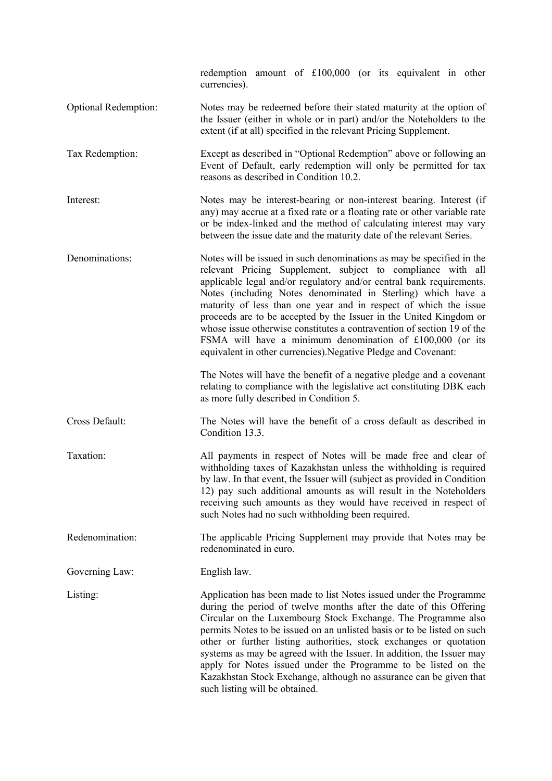|                      | redemption amount of £100,000 (or its equivalent in other<br>currencies).                                                                                                                                                                                                                                                                                                                                                                                                                                                                                                                                                       |
|----------------------|---------------------------------------------------------------------------------------------------------------------------------------------------------------------------------------------------------------------------------------------------------------------------------------------------------------------------------------------------------------------------------------------------------------------------------------------------------------------------------------------------------------------------------------------------------------------------------------------------------------------------------|
| Optional Redemption: | Notes may be redeemed before their stated maturity at the option of<br>the Issuer (either in whole or in part) and/or the Noteholders to the<br>extent (if at all) specified in the relevant Pricing Supplement.                                                                                                                                                                                                                                                                                                                                                                                                                |
| Tax Redemption:      | Except as described in "Optional Redemption" above or following an<br>Event of Default, early redemption will only be permitted for tax<br>reasons as described in Condition 10.2.                                                                                                                                                                                                                                                                                                                                                                                                                                              |
| Interest:            | Notes may be interest-bearing or non-interest bearing. Interest (if<br>any) may accrue at a fixed rate or a floating rate or other variable rate<br>or be index-linked and the method of calculating interest may vary<br>between the issue date and the maturity date of the relevant Series.                                                                                                                                                                                                                                                                                                                                  |
| Denominations:       | Notes will be issued in such denominations as may be specified in the<br>relevant Pricing Supplement, subject to compliance with all<br>applicable legal and/or regulatory and/or central bank requirements.<br>Notes (including Notes denominated in Sterling) which have a<br>maturity of less than one year and in respect of which the issue<br>proceeds are to be accepted by the Issuer in the United Kingdom or<br>whose issue otherwise constitutes a contravention of section 19 of the<br>FSMA will have a minimum denomination of £100,000 (or its<br>equivalent in other currencies). Negative Pledge and Covenant: |
|                      | The Notes will have the benefit of a negative pledge and a covenant<br>relating to compliance with the legislative act constituting DBK each<br>as more fully described in Condition 5.                                                                                                                                                                                                                                                                                                                                                                                                                                         |
| Cross Default:       | The Notes will have the benefit of a cross default as described in<br>Condition 13.3.                                                                                                                                                                                                                                                                                                                                                                                                                                                                                                                                           |
| Taxation:            | All payments in respect of Notes will be made free and clear of<br>withholding taxes of Kazakhstan unless the withholding is required<br>by law. In that event, the Issuer will (subject as provided in Condition<br>12) pay such additional amounts as will result in the Noteholders<br>receiving such amounts as they would have received in respect of<br>such Notes had no such withholding been required.                                                                                                                                                                                                                 |
| Redenomination:      | The applicable Pricing Supplement may provide that Notes may be<br>redenominated in euro.                                                                                                                                                                                                                                                                                                                                                                                                                                                                                                                                       |
| Governing Law:       | English law.                                                                                                                                                                                                                                                                                                                                                                                                                                                                                                                                                                                                                    |
| Listing:             | Application has been made to list Notes issued under the Programme<br>during the period of twelve months after the date of this Offering<br>Circular on the Luxembourg Stock Exchange. The Programme also<br>permits Notes to be issued on an unlisted basis or to be listed on such<br>other or further listing authorities, stock exchanges or quotation<br>systems as may be agreed with the Issuer. In addition, the Issuer may<br>apply for Notes issued under the Programme to be listed on the<br>Kazakhstan Stock Exchange, although no assurance can be given that<br>such listing will be obtained.                   |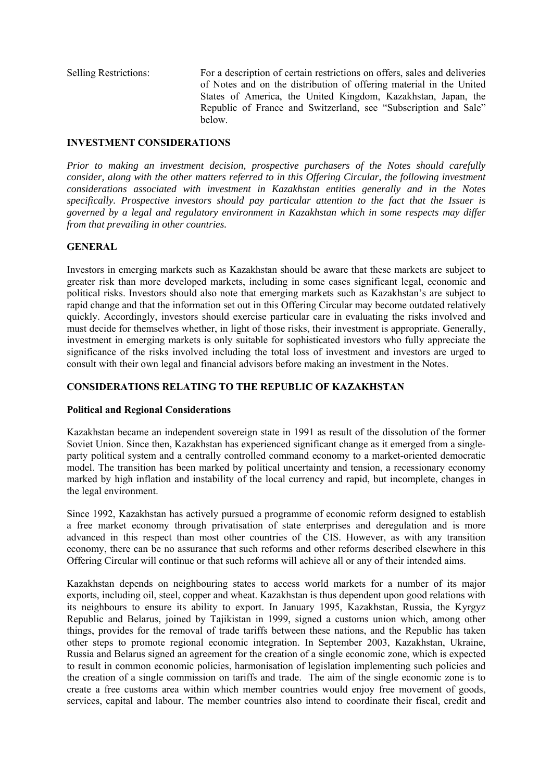Selling Restrictions: For a description of certain restrictions on offers, sales and deliveries of Notes and on the distribution of offering material in the United States of America, the United Kingdom, Kazakhstan, Japan, the Republic of France and Switzerland, see "Subscription and Sale" below.

## **INVESTMENT CONSIDERATIONS**

*Prior to making an investment decision, prospective purchasers of the Notes should carefully consider, along with the other matters referred to in this Offering Circular, the following investment considerations associated with investment in Kazakhstan entities generally and in the Notes specifically. Prospective investors should pay particular attention to the fact that the Issuer is governed by a legal and regulatory environment in Kazakhstan which in some respects may differ from that prevailing in other countries.*

## **GENERAL**

Investors in emerging markets such as Kazakhstan should be aware that these markets are subject to greater risk than more developed markets, including in some cases significant legal, economic and political risks. Investors should also note that emerging markets such as Kazakhstan's are subject to rapid change and that the information set out in this Offering Circular may become outdated relatively quickly. Accordingly, investors should exercise particular care in evaluating the risks involved and must decide for themselves whether, in light of those risks, their investment is appropriate. Generally, investment in emerging markets is only suitable for sophisticated investors who fully appreciate the significance of the risks involved including the total loss of investment and investors are urged to consult with their own legal and financial advisors before making an investment in the Notes.

## **CONSIDERATIONS RELATING TO THE REPUBLIC OF KAZAKHSTAN**

#### **Political and Regional Considerations**

Kazakhstan became an independent sovereign state in 1991 as result of the dissolution of the former Soviet Union. Since then, Kazakhstan has experienced significant change as it emerged from a singleparty political system and a centrally controlled command economy to a market-oriented democratic model. The transition has been marked by political uncertainty and tension, a recessionary economy marked by high inflation and instability of the local currency and rapid, but incomplete, changes in the legal environment.

Since 1992, Kazakhstan has actively pursued a programme of economic reform designed to establish a free market economy through privatisation of state enterprises and deregulation and is more advanced in this respect than most other countries of the CIS. However, as with any transition economy, there can be no assurance that such reforms and other reforms described elsewhere in this Offering Circular will continue or that such reforms will achieve all or any of their intended aims.

Kazakhstan depends on neighbouring states to access world markets for a number of its major exports, including oil, steel, copper and wheat. Kazakhstan is thus dependent upon good relations with its neighbours to ensure its ability to export. In January 1995, Kazakhstan, Russia, the Kyrgyz Republic and Belarus, joined by Tajikistan in 1999, signed a customs union which, among other things, provides for the removal of trade tariffs between these nations, and the Republic has taken other steps to promote regional economic integration. In September 2003, Kazakhstan, Ukraine, Russia and Belarus signed an agreement for the creation of a single economic zone, which is expected to result in common economic policies, harmonisation of legislation implementing such policies and the creation of a single commission on tariffs and trade. The aim of the single economic zone is to create a free customs area within which member countries would enjoy free movement of goods, services, capital and labour. The member countries also intend to coordinate their fiscal, credit and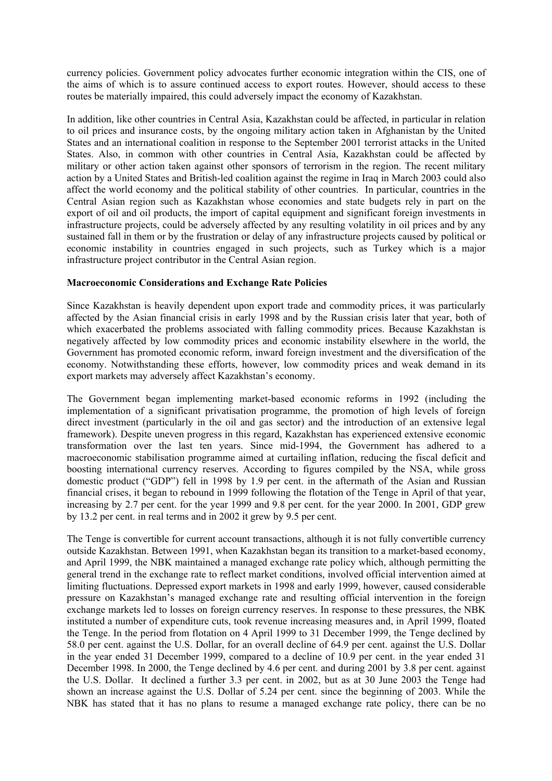currency policies. Government policy advocates further economic integration within the CIS, one of the aims of which is to assure continued access to export routes. However, should access to these routes be materially impaired, this could adversely impact the economy of Kazakhstan.

In addition, like other countries in Central Asia, Kazakhstan could be affected, in particular in relation to oil prices and insurance costs, by the ongoing military action taken in Afghanistan by the United States and an international coalition in response to the September 2001 terrorist attacks in the United States. Also, in common with other countries in Central Asia, Kazakhstan could be affected by military or other action taken against other sponsors of terrorism in the region. The recent military action by a United States and British-led coalition against the regime in Iraq in March 2003 could also affect the world economy and the political stability of other countries. In particular, countries in the Central Asian region such as Kazakhstan whose economies and state budgets rely in part on the export of oil and oil products, the import of capital equipment and significant foreign investments in infrastructure projects, could be adversely affected by any resulting volatility in oil prices and by any sustained fall in them or by the frustration or delay of any infrastructure projects caused by political or economic instability in countries engaged in such projects, such as Turkey which is a major infrastructure project contributor in the Central Asian region.

#### **Macroeconomic Considerations and Exchange Rate Policies**

Since Kazakhstan is heavily dependent upon export trade and commodity prices, it was particularly affected by the Asian financial crisis in early 1998 and by the Russian crisis later that year, both of which exacerbated the problems associated with falling commodity prices. Because Kazakhstan is negatively affected by low commodity prices and economic instability elsewhere in the world, the Government has promoted economic reform, inward foreign investment and the diversification of the economy. Notwithstanding these efforts, however, low commodity prices and weak demand in its export markets may adversely affect Kazakhstan's economy.

The Government began implementing market-based economic reforms in 1992 (including the implementation of a significant privatisation programme, the promotion of high levels of foreign direct investment (particularly in the oil and gas sector) and the introduction of an extensive legal framework). Despite uneven progress in this regard, Kazakhstan has experienced extensive economic transformation over the last ten years. Since mid-1994, the Government has adhered to a macroeconomic stabilisation programme aimed at curtailing inflation, reducing the fiscal deficit and boosting international currency reserves. According to figures compiled by the NSA, while gross domestic product ("GDP") fell in 1998 by 1.9 per cent. in the aftermath of the Asian and Russian financial crises, it began to rebound in 1999 following the flotation of the Tenge in April of that year, increasing by 2.7 per cent. for the year 1999 and 9.8 per cent. for the year 2000. In 2001, GDP grew by 13.2 per cent. in real terms and in 2002 it grew by 9.5 per cent.

The Tenge is convertible for current account transactions, although it is not fully convertible currency outside Kazakhstan. Between 1991, when Kazakhstan began its transition to a market-based economy, and April 1999, the NBK maintained a managed exchange rate policy which, although permitting the general trend in the exchange rate to reflect market conditions, involved official intervention aimed at limiting fluctuations. Depressed export markets in 1998 and early 1999, however, caused considerable pressure on Kazakhstan's managed exchange rate and resulting official intervention in the foreign exchange markets led to losses on foreign currency reserves. In response to these pressures, the NBK instituted a number of expenditure cuts, took revenue increasing measures and, in April 1999, floated the Tenge. In the period from flotation on 4 April 1999 to 31 December 1999, the Tenge declined by 58.0 per cent. against the U.S. Dollar, for an overall decline of 64.9 per cent. against the U.S. Dollar in the year ended 31 December 1999, compared to a decline of 10.9 per cent. in the year ended 31 December 1998. In 2000, the Tenge declined by 4.6 per cent. and during 2001 by 3.8 per cent. against the U.S. Dollar. It declined a further 3.3 per cent. in 2002, but as at 30 June 2003 the Tenge had shown an increase against the U.S. Dollar of 5.24 per cent. since the beginning of 2003. While the NBK has stated that it has no plans to resume a managed exchange rate policy, there can be no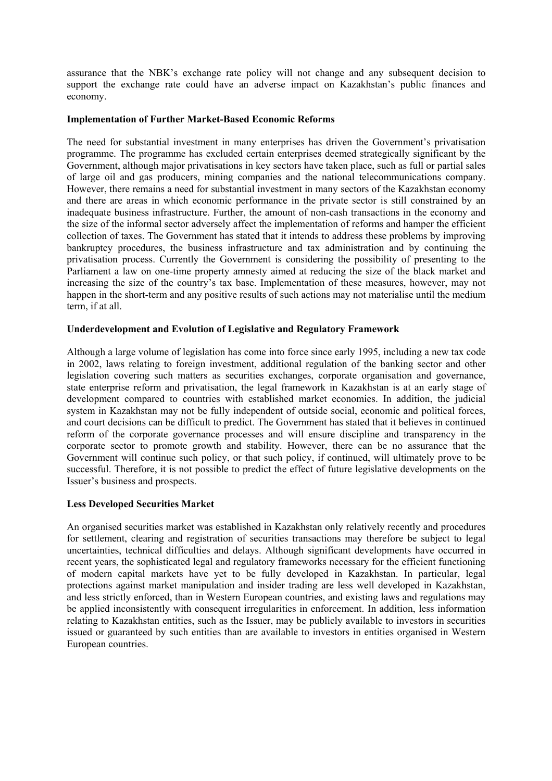assurance that the NBK's exchange rate policy will not change and any subsequent decision to support the exchange rate could have an adverse impact on Kazakhstan's public finances and economy.

#### **Implementation of Further Market-Based Economic Reforms**

The need for substantial investment in many enterprises has driven the Government's privatisation programme. The programme has excluded certain enterprises deemed strategically significant by the Government, although major privatisations in key sectors have taken place, such as full or partial sales of large oil and gas producers, mining companies and the national telecommunications company. However, there remains a need for substantial investment in many sectors of the Kazakhstan economy and there are areas in which economic performance in the private sector is still constrained by an inadequate business infrastructure. Further, the amount of non-cash transactions in the economy and the size of the informal sector adversely affect the implementation of reforms and hamper the efficient collection of taxes. The Government has stated that it intends to address these problems by improving bankruptcy procedures, the business infrastructure and tax administration and by continuing the privatisation process. Currently the Government is considering the possibility of presenting to the Parliament a law on one-time property amnesty aimed at reducing the size of the black market and increasing the size of the country's tax base. Implementation of these measures, however, may not happen in the short-term and any positive results of such actions may not materialise until the medium term, if at all.

#### **Underdevelopment and Evolution of Legislative and Regulatory Framework**

Although a large volume of legislation has come into force since early 1995, including a new tax code in 2002, laws relating to foreign investment, additional regulation of the banking sector and other legislation covering such matters as securities exchanges, corporate organisation and governance, state enterprise reform and privatisation, the legal framework in Kazakhstan is at an early stage of development compared to countries with established market economies. In addition, the judicial system in Kazakhstan may not be fully independent of outside social, economic and political forces, and court decisions can be difficult to predict. The Government has stated that it believes in continued reform of the corporate governance processes and will ensure discipline and transparency in the corporate sector to promote growth and stability. However, there can be no assurance that the Government will continue such policy, or that such policy, if continued, will ultimately prove to be successful. Therefore, it is not possible to predict the effect of future legislative developments on the Issuer's business and prospects.

#### **Less Developed Securities Market**

An organised securities market was established in Kazakhstan only relatively recently and procedures for settlement, clearing and registration of securities transactions may therefore be subject to legal uncertainties, technical difficulties and delays. Although significant developments have occurred in recent years, the sophisticated legal and regulatory frameworks necessary for the efficient functioning of modern capital markets have yet to be fully developed in Kazakhstan. In particular, legal protections against market manipulation and insider trading are less well developed in Kazakhstan, and less strictly enforced, than in Western European countries, and existing laws and regulations may be applied inconsistently with consequent irregularities in enforcement. In addition, less information relating to Kazakhstan entities, such as the Issuer, may be publicly available to investors in securities issued or guaranteed by such entities than are available to investors in entities organised in Western European countries.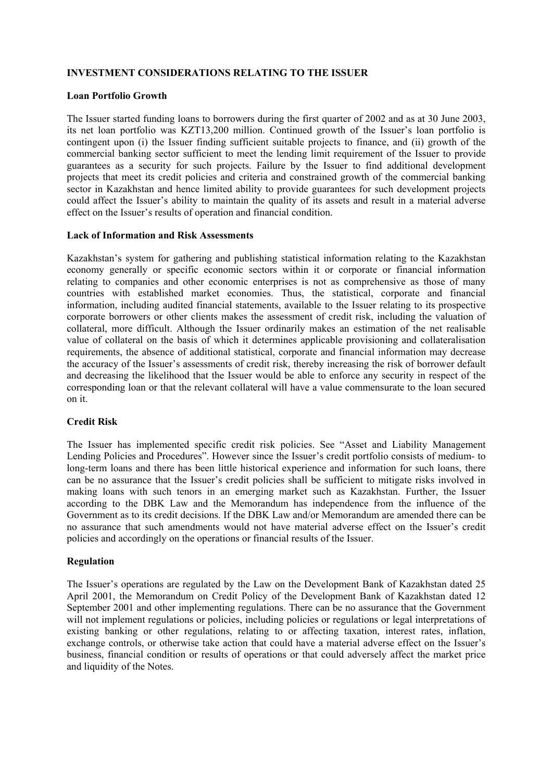## **INVESTMENT CONSIDERATIONS RELATING TO THE ISSUER**

#### **Loan Portfolio Growth**

The Issuer started funding loans to borrowers during the first quarter of 2002 and as at 30 June 2003, its net loan portfolio was KZT13,200 million. Continued growth of the Issuer's loan portfolio is contingent upon (i) the Issuer finding sufficient suitable projects to finance, and (ii) growth of the commercial banking sector sufficient to meet the lending limit requirement of the Issuer to provide guarantees as a security for such projects. Failure by the Issuer to find additional development projects that meet its credit policies and criteria and constrained growth of the commercial banking sector in Kazakhstan and hence limited ability to provide guarantees for such development projects could affect the Issuer's ability to maintain the quality of its assets and result in a material adverse effect on the Issuer's results of operation and financial condition.

#### **Lack of Information and Risk Assessments**

Kazakhstan's system for gathering and publishing statistical information relating to the Kazakhstan economy generally or specific economic sectors within it or corporate or financial information relating to companies and other economic enterprises is not as comprehensive as those of many countries with established market economies. Thus, the statistical, corporate and financial information, including audited financial statements, available to the Issuer relating to its prospective corporate borrowers or other clients makes the assessment of credit risk, including the valuation of collateral, more difficult. Although the Issuer ordinarily makes an estimation of the net realisable value of collateral on the basis of which it determines applicable provisioning and collateralisation requirements, the absence of additional statistical, corporate and financial information may decrease the accuracy of the Issuer's assessments of credit risk, thereby increasing the risk of borrower default and decreasing the likelihood that the Issuer would be able to enforce any security in respect of the corresponding loan or that the relevant collateral will have a value commensurate to the loan secured on it.

#### **Credit Risk**

The Issuer has implemented specific credit risk policies. See "Asset and Liability Management Lending Policies and Procedures". However since the Issuer's credit portfolio consists of medium- to long-term loans and there has been little historical experience and information for such loans, there can be no assurance that the Issuer's credit policies shall be sufficient to mitigate risks involved in making loans with such tenors in an emerging market such as Kazakhstan. Further, the Issuer according to the DBK Law and the Memorandum has independence from the influence of the Government as to its credit decisions. If the DBK Law and/or Memorandum are amended there can be no assurance that such amendments would not have material adverse effect on the Issuer's credit policies and accordingly on the operations or financial results of the Issuer.

#### **Regulation**

The Issuer's operations are regulated by the Law on the Development Bank of Kazakhstan dated 25 April 2001, the Memorandum on Credit Policy of the Development Bank of Kazakhstan dated 12 September 2001 and other implementing regulations. There can be no assurance that the Government will not implement regulations or policies, including policies or regulations or legal interpretations of existing banking or other regulations, relating to or affecting taxation, interest rates, inflation, exchange controls, or otherwise take action that could have a material adverse effect on the Issuer's business, financial condition or results of operations or that could adversely affect the market price and liquidity of the Notes.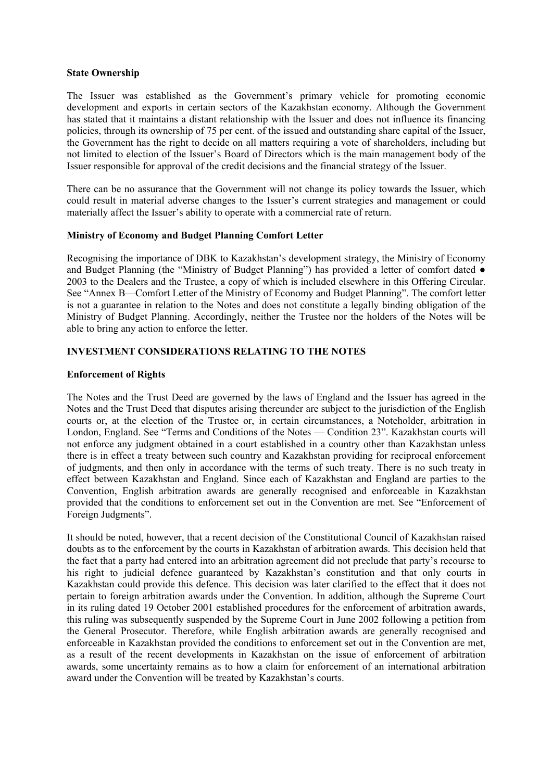#### **State Ownership**

The Issuer was established as the Government's primary vehicle for promoting economic development and exports in certain sectors of the Kazakhstan economy. Although the Government has stated that it maintains a distant relationship with the Issuer and does not influence its financing policies, through its ownership of 75 per cent. of the issued and outstanding share capital of the Issuer, the Government has the right to decide on all matters requiring a vote of shareholders, including but not limited to election of the Issuer's Board of Directors which is the main management body of the Issuer responsible for approval of the credit decisions and the financial strategy of the Issuer.

There can be no assurance that the Government will not change its policy towards the Issuer, which could result in material adverse changes to the Issuer's current strategies and management or could materially affect the Issuer's ability to operate with a commercial rate of return.

#### **Ministry of Economy and Budget Planning Comfort Letter**

Recognising the importance of DBK to Kazakhstan's development strategy, the Ministry of Economy and Budget Planning (the "Ministry of Budget Planning") has provided a letter of comfort dated  $\bullet$ 2003 to the Dealers and the Trustee, a copy of which is included elsewhere in this Offering Circular. See "Annex B—Comfort Letter of the Ministry of Economy and Budget Planning". The comfort letter is not a guarantee in relation to the Notes and does not constitute a legally binding obligation of the Ministry of Budget Planning. Accordingly, neither the Trustee nor the holders of the Notes will be able to bring any action to enforce the letter.

#### **INVESTMENT CONSIDERATIONS RELATING TO THE NOTES**

#### **Enforcement of Rights**

The Notes and the Trust Deed are governed by the laws of England and the Issuer has agreed in the Notes and the Trust Deed that disputes arising thereunder are subject to the jurisdiction of the English courts or, at the election of the Trustee or, in certain circumstances, a Noteholder, arbitration in London, England. See "Terms and Conditions of the Notes — Condition 23". Kazakhstan courts will not enforce any judgment obtained in a court established in a country other than Kazakhstan unless there is in effect a treaty between such country and Kazakhstan providing for reciprocal enforcement of judgments, and then only in accordance with the terms of such treaty. There is no such treaty in effect between Kazakhstan and England. Since each of Kazakhstan and England are parties to the Convention, English arbitration awards are generally recognised and enforceable in Kazakhstan provided that the conditions to enforcement set out in the Convention are met. See "Enforcement of Foreign Judgments".

It should be noted, however, that a recent decision of the Constitutional Council of Kazakhstan raised doubts as to the enforcement by the courts in Kazakhstan of arbitration awards. This decision held that the fact that a party had entered into an arbitration agreement did not preclude that party's recourse to his right to judicial defence guaranteed by Kazakhstan's constitution and that only courts in Kazakhstan could provide this defence. This decision was later clarified to the effect that it does not pertain to foreign arbitration awards under the Convention. In addition, although the Supreme Court in its ruling dated 19 October 2001 established procedures for the enforcement of arbitration awards, this ruling was subsequently suspended by the Supreme Court in June 2002 following a petition from the General Prosecutor. Therefore, while English arbitration awards are generally recognised and enforceable in Kazakhstan provided the conditions to enforcement set out in the Convention are met, as a result of the recent developments in Kazakhstan on the issue of enforcement of arbitration awards, some uncertainty remains as to how a claim for enforcement of an international arbitration award under the Convention will be treated by Kazakhstan's courts.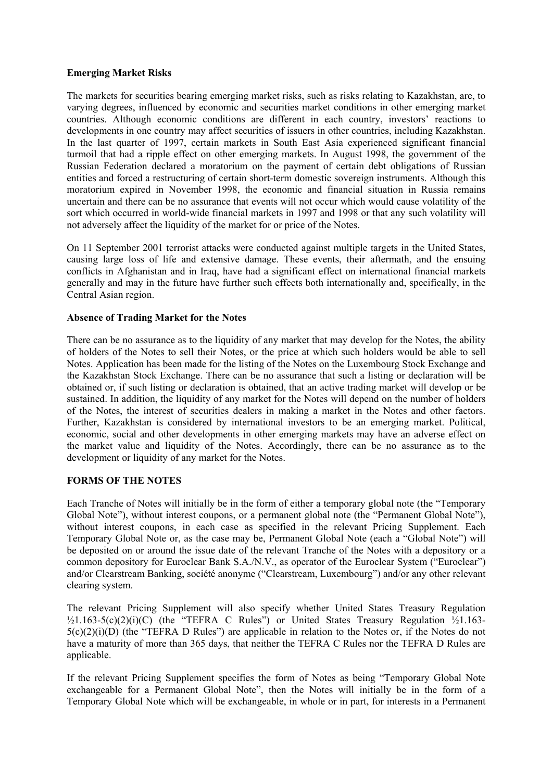#### **Emerging Market Risks**

The markets for securities bearing emerging market risks, such as risks relating to Kazakhstan, are, to varying degrees, influenced by economic and securities market conditions in other emerging market countries. Although economic conditions are different in each country, investors' reactions to developments in one country may affect securities of issuers in other countries, including Kazakhstan. In the last quarter of 1997, certain markets in South East Asia experienced significant financial turmoil that had a ripple effect on other emerging markets. In August 1998, the government of the Russian Federation declared a moratorium on the payment of certain debt obligations of Russian entities and forced a restructuring of certain short-term domestic sovereign instruments. Although this moratorium expired in November 1998, the economic and financial situation in Russia remains uncertain and there can be no assurance that events will not occur which would cause volatility of the sort which occurred in world-wide financial markets in 1997 and 1998 or that any such volatility will not adversely affect the liquidity of the market for or price of the Notes.

On 11 September 2001 terrorist attacks were conducted against multiple targets in the United States, causing large loss of life and extensive damage. These events, their aftermath, and the ensuing conflicts in Afghanistan and in Iraq, have had a significant effect on international financial markets generally and may in the future have further such effects both internationally and, specifically, in the Central Asian region.

#### **Absence of Trading Market for the Notes**

There can be no assurance as to the liquidity of any market that may develop for the Notes, the ability of holders of the Notes to sell their Notes, or the price at which such holders would be able to sell Notes. Application has been made for the listing of the Notes on the Luxembourg Stock Exchange and the Kazakhstan Stock Exchange. There can be no assurance that such a listing or declaration will be obtained or, if such listing or declaration is obtained, that an active trading market will develop or be sustained. In addition, the liquidity of any market for the Notes will depend on the number of holders of the Notes, the interest of securities dealers in making a market in the Notes and other factors. Further, Kazakhstan is considered by international investors to be an emerging market. Political, economic, social and other developments in other emerging markets may have an adverse effect on the market value and liquidity of the Notes. Accordingly, there can be no assurance as to the development or liquidity of any market for the Notes.

#### **FORMS OF THE NOTES**

Each Tranche of Notes will initially be in the form of either a temporary global note (the "Temporary Global Note"), without interest coupons, or a permanent global note (the "Permanent Global Note"), without interest coupons, in each case as specified in the relevant Pricing Supplement. Each Temporary Global Note or, as the case may be, Permanent Global Note (each a "Global Note") will be deposited on or around the issue date of the relevant Tranche of the Notes with a depository or a common depository for Euroclear Bank S.A./N.V., as operator of the Euroclear System ("Euroclear") and/or Clearstream Banking, société anonyme ("Clearstream, Luxembourg") and/or any other relevant clearing system.

The relevant Pricing Supplement will also specify whether United States Treasury Regulation  $\frac{1}{2}$ 1.163-5(c)(2)(i)(C) (the "TEFRA C Rules") or United States Treasury Regulation  $\frac{1}{2}$ 1.163- $5(c)(2)(i)(D)$  (the "TEFRA D Rules") are applicable in relation to the Notes or, if the Notes do not have a maturity of more than 365 days, that neither the TEFRA C Rules nor the TEFRA D Rules are applicable.

If the relevant Pricing Supplement specifies the form of Notes as being "Temporary Global Note exchangeable for a Permanent Global Note", then the Notes will initially be in the form of a Temporary Global Note which will be exchangeable, in whole or in part, for interests in a Permanent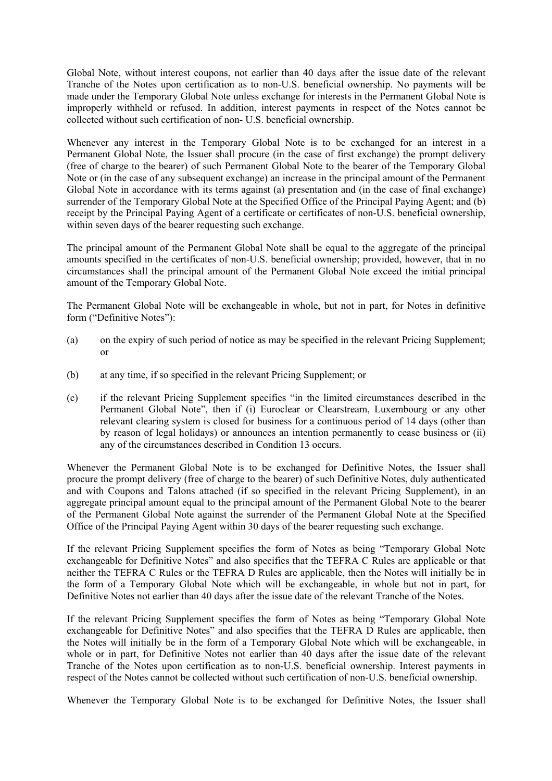Global Note, without interest coupons, not earlier than 40 days after the issue date of the relevant Tranche of the Notes upon certification as to non-U.S. beneficial ownership. No payments will be made under the Temporary Global Note unless exchange for interests in the Permanent Global Note is improperly withheld or refused. In addition, interest payments in respect of the Notes cannot be collected without such certification of non- U.S. beneficial ownership.

Whenever any interest in the Temporary Global Note is to be exchanged for an interest in a Permanent Global Note, the Issuer shall procure (in the case of first exchange) the prompt delivery (free of charge to the bearer) of such Permanent Global Note to the bearer of the Temporary Global Note or (in the case of any subsequent exchange) an increase in the principal amount of the Permanent Global Note in accordance with its terms against (a) presentation and (in the case of final exchange) surrender of the Temporary Global Note at the Specified Office of the Principal Paying Agent; and (b) receipt by the Principal Paying Agent of a certificate or certificates of non-U.S. beneficial ownership, within seven days of the bearer requesting such exchange.

The principal amount of the Permanent Global Note shall be equal to the aggregate of the principal amounts specified in the certificates of non-U.S. beneficial ownership; provided, however, that in no circumstances shall the principal amount of the Permanent Global Note exceed the initial principal amount of the Temporary Global Note.

The Permanent Global Note will be exchangeable in whole, but not in part, for Notes in definitive form ("Definitive Notes"):

- (a) on the expiry of such period of notice as may be specified in the relevant Pricing Supplement; or
- (b) at any time, if so specified in the relevant Pricing Supplement; or
- (c) if the relevant Pricing Supplement specifies "in the limited circumstances described in the Permanent Global Note", then if (i) Euroclear or Clearstream, Luxembourg or any other relevant clearing system is closed for business for a continuous period of 14 days (other than by reason of legal holidays) or announces an intention permanently to cease business or (ii) any of the circumstances described in Condition 13 occurs.

Whenever the Permanent Global Note is to be exchanged for Definitive Notes, the Issuer shall procure the prompt delivery (free of charge to the bearer) of such Definitive Notes, duly authenticated and with Coupons and Talons attached (if so specified in the relevant Pricing Supplement), in an aggregate principal amount equal to the principal amount of the Permanent Global Note to the bearer of the Permanent Global Note against the surrender of the Permanent Global Note at the Specified Office of the Principal Paying Agent within 30 days of the bearer requesting such exchange.

If the relevant Pricing Supplement specifies the form of Notes as being "Temporary Global Note exchangeable for Definitive Notes" and also specifies that the TEFRA C Rules are applicable or that neither the TEFRA C Rules or the TEFRA D Rules are applicable, then the Notes will initially be in the form of a Temporary Global Note which will be exchangeable, in whole but not in part, for Definitive Notes not earlier than 40 days after the issue date of the relevant Tranche of the Notes.

If the relevant Pricing Supplement specifies the form of Notes as being "Temporary Global Note exchangeable for Definitive Notes" and also specifies that the TEFRA D Rules are applicable, then the Notes will initially be in the form of a Temporary Global Note which will be exchangeable, in whole or in part, for Definitive Notes not earlier than 40 days after the issue date of the relevant Tranche of the Notes upon certification as to non-U.S. beneficial ownership. Interest payments in respect of the Notes cannot be collected without such certification of non-U.S. beneficial ownership.

Whenever the Temporary Global Note is to be exchanged for Definitive Notes, the Issuer shall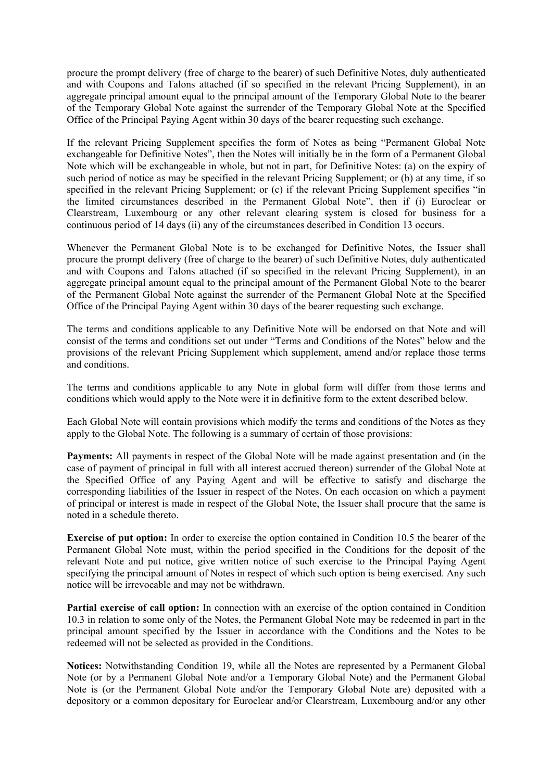procure the prompt delivery (free of charge to the bearer) of such Definitive Notes, duly authenticated and with Coupons and Talons attached (if so specified in the relevant Pricing Supplement), in an aggregate principal amount equal to the principal amount of the Temporary Global Note to the bearer of the Temporary Global Note against the surrender of the Temporary Global Note at the Specified Office of the Principal Paying Agent within 30 days of the bearer requesting such exchange.

If the relevant Pricing Supplement specifies the form of Notes as being "Permanent Global Note exchangeable for Definitive Notes", then the Notes will initially be in the form of a Permanent Global Note which will be exchangeable in whole, but not in part, for Definitive Notes: (a) on the expiry of such period of notice as may be specified in the relevant Pricing Supplement; or (b) at any time, if so specified in the relevant Pricing Supplement; or (c) if the relevant Pricing Supplement specifies "in the limited circumstances described in the Permanent Global Note", then if (i) Euroclear or Clearstream, Luxembourg or any other relevant clearing system is closed for business for a continuous period of 14 days (ii) any of the circumstances described in Condition 13 occurs.

Whenever the Permanent Global Note is to be exchanged for Definitive Notes, the Issuer shall procure the prompt delivery (free of charge to the bearer) of such Definitive Notes, duly authenticated and with Coupons and Talons attached (if so specified in the relevant Pricing Supplement), in an aggregate principal amount equal to the principal amount of the Permanent Global Note to the bearer of the Permanent Global Note against the surrender of the Permanent Global Note at the Specified Office of the Principal Paying Agent within 30 days of the bearer requesting such exchange.

The terms and conditions applicable to any Definitive Note will be endorsed on that Note and will consist of the terms and conditions set out under "Terms and Conditions of the Notes" below and the provisions of the relevant Pricing Supplement which supplement, amend and/or replace those terms and conditions.

The terms and conditions applicable to any Note in global form will differ from those terms and conditions which would apply to the Note were it in definitive form to the extent described below.

Each Global Note will contain provisions which modify the terms and conditions of the Notes as they apply to the Global Note. The following is a summary of certain of those provisions:

**Payments:** All payments in respect of the Global Note will be made against presentation and (in the case of payment of principal in full with all interest accrued thereon) surrender of the Global Note at the Specified Office of any Paying Agent and will be effective to satisfy and discharge the corresponding liabilities of the Issuer in respect of the Notes. On each occasion on which a payment of principal or interest is made in respect of the Global Note, the Issuer shall procure that the same is noted in a schedule thereto.

**Exercise of put option:** In order to exercise the option contained in Condition 10.5 the bearer of the Permanent Global Note must, within the period specified in the Conditions for the deposit of the relevant Note and put notice, give written notice of such exercise to the Principal Paying Agent specifying the principal amount of Notes in respect of which such option is being exercised. Any such notice will be irrevocable and may not be withdrawn.

**Partial exercise of call option:** In connection with an exercise of the option contained in Condition 10.3 in relation to some only of the Notes, the Permanent Global Note may be redeemed in part in the principal amount specified by the Issuer in accordance with the Conditions and the Notes to be redeemed will not be selected as provided in the Conditions.

**Notices:** Notwithstanding Condition 19, while all the Notes are represented by a Permanent Global Note (or by a Permanent Global Note and/or a Temporary Global Note) and the Permanent Global Note is (or the Permanent Global Note and/or the Temporary Global Note are) deposited with a depository or a common depositary for Euroclear and/or Clearstream, Luxembourg and/or any other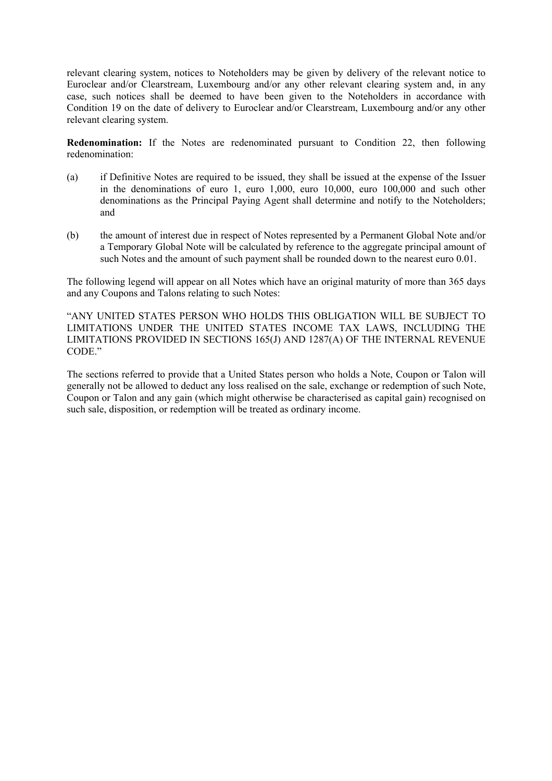relevant clearing system, notices to Noteholders may be given by delivery of the relevant notice to Euroclear and/or Clearstream, Luxembourg and/or any other relevant clearing system and, in any case, such notices shall be deemed to have been given to the Noteholders in accordance with Condition 19 on the date of delivery to Euroclear and/or Clearstream, Luxembourg and/or any other relevant clearing system.

**Redenomination:** If the Notes are redenominated pursuant to Condition 22, then following redenomination:

- (a) if Definitive Notes are required to be issued, they shall be issued at the expense of the Issuer in the denominations of euro 1, euro 1,000, euro 10,000, euro 100,000 and such other denominations as the Principal Paying Agent shall determine and notify to the Noteholders; and
- (b) the amount of interest due in respect of Notes represented by a Permanent Global Note and/or a Temporary Global Note will be calculated by reference to the aggregate principal amount of such Notes and the amount of such payment shall be rounded down to the nearest euro 0.01.

The following legend will appear on all Notes which have an original maturity of more than 365 days and any Coupons and Talons relating to such Notes:

"ANY UNITED STATES PERSON WHO HOLDS THIS OBLIGATION WILL BE SUBJECT TO LIMITATIONS UNDER THE UNITED STATES INCOME TAX LAWS, INCLUDING THE LIMITATIONS PROVIDED IN SECTIONS 165(J) AND 1287(A) OF THE INTERNAL REVENUE CODE."

The sections referred to provide that a United States person who holds a Note, Coupon or Talon will generally not be allowed to deduct any loss realised on the sale, exchange or redemption of such Note, Coupon or Talon and any gain (which might otherwise be characterised as capital gain) recognised on such sale, disposition, or redemption will be treated as ordinary income.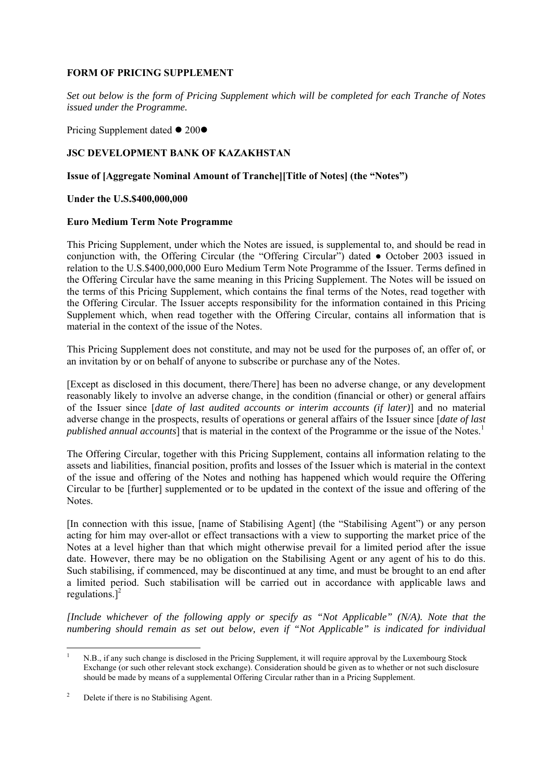## **FORM OF PRICING SUPPLEMENT**

*Set out below is the form of Pricing Supplement which will be completed for each Tranche of Notes issued under the Programme.*

Pricing Supplement dated  $\bullet$  200 $\bullet$ 

## **JSC DEVELOPMENT BANK OF KAZAKHSTAN**

## **Issue of [Aggregate Nominal Amount of Tranche][Title of Notes] (the "Notes")**

#### **Under the U.S.\$400,000,000**

#### **Euro Medium Term Note Programme**

This Pricing Supplement, under which the Notes are issued, is supplemental to, and should be read in conjunction with, the Offering Circular (the "Offering Circular") dated ● October 2003 issued in relation to the U.S.\$400,000,000 Euro Medium Term Note Programme of the Issuer. Terms defined in the Offering Circular have the same meaning in this Pricing Supplement. The Notes will be issued on the terms of this Pricing Supplement, which contains the final terms of the Notes, read together with the Offering Circular. The Issuer accepts responsibility for the information contained in this Pricing Supplement which, when read together with the Offering Circular, contains all information that is material in the context of the issue of the Notes.

This Pricing Supplement does not constitute, and may not be used for the purposes of, an offer of, or an invitation by or on behalf of anyone to subscribe or purchase any of the Notes.

[Except as disclosed in this document, there/There] has been no adverse change, or any development reasonably likely to involve an adverse change, in the condition (financial or other) or general affairs of the Issuer since [*date of last audited accounts or interim accounts (if later)*] and no material adverse change in the prospects, results of operations or general affairs of the Issuer since [*date of last published annual accounts*] that is material in the context of the Programme or the issue of the Notes.<sup>[1](#page-17-0)</sup>

The Offering Circular, together with this Pricing Supplement, contains all information relating to the assets and liabilities, financial position, profits and losses of the Issuer which is material in the context of the issue and offering of the Notes and nothing has happened which would require the Offering Circular to be [further] supplemented or to be updated in the context of the issue and offering of the Notes.

[In connection with this issue, [name of Stabilising Agent] (the "Stabilising Agent") or any person acting for him may over-allot or effect transactions with a view to supporting the market price of the Notes at a level higher than that which might otherwise prevail for a limited period after the issue date. However, there may be no obligation on the Stabilising Agent or any agent of his to do this. Such stabilising, if commenced, may be discontinued at any time, and must be brought to an end after a limited period. Such stabilisation will be carried out in accordance with applicable laws and regulations. $]^{2}$ 

*[Include whichever of the following apply or specify as "Not Applicable" (N/A). Note that the numbering should remain as set out below, even if "Not Applicable" is indicated for individual* 

<span id="page-17-0"></span> $\frac{1}{1}$  N.B., if any such change is disclosed in the Pricing Supplement, it will require approval by the Luxembourg Stock Exchange (or such other relevant stock exchange). Consideration should be given as to whether or not such disclosure should be made by means of a supplemental Offering Circular rather than in a Pricing Supplement.

<span id="page-17-1"></span><sup>2</sup> Delete if there is no Stabilising Agent.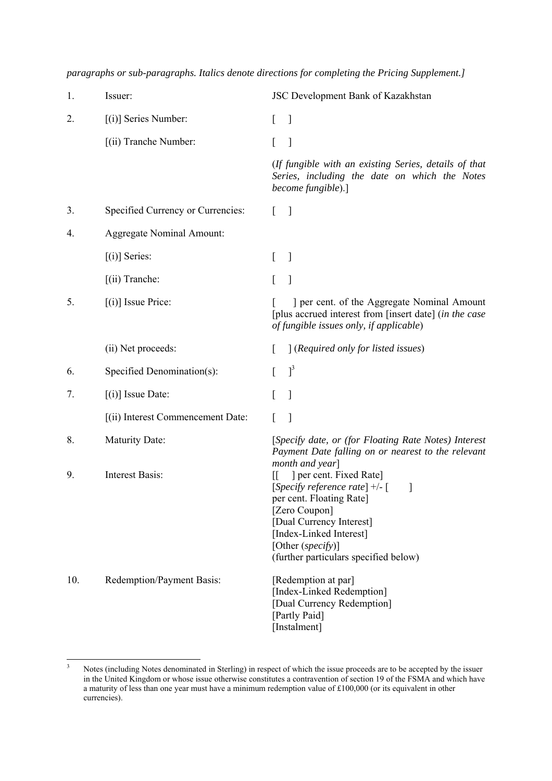| 1.  | Issuer:                           | JSC Development Bank of Kazakhstan                                                                                                                                                                                                                                                              |
|-----|-----------------------------------|-------------------------------------------------------------------------------------------------------------------------------------------------------------------------------------------------------------------------------------------------------------------------------------------------|
| 2.  | $[(i)]$ Series Number:            | $\perp$<br>$\mathbf{I}$                                                                                                                                                                                                                                                                         |
|     | [(ii) Tranche Number:             | 1<br>$\mathbf{L}$                                                                                                                                                                                                                                                                               |
|     |                                   | (If fungible with an existing Series, details of that<br>Series, including the date on which the Notes<br>become fungible).]                                                                                                                                                                    |
| 3.  | Specified Currency or Currencies: | $\mathbf{I}$<br>$\mathbf{L}$                                                                                                                                                                                                                                                                    |
| 4.  | <b>Aggregate Nominal Amount:</b>  |                                                                                                                                                                                                                                                                                                 |
|     | $[(i)]$ Series:                   | $\mathbf{I}$<br>$\perp$                                                                                                                                                                                                                                                                         |
|     | $(iii)$ Tranche:                  | $\mathbf{L}$<br>$\overline{\phantom{a}}$                                                                                                                                                                                                                                                        |
| 5.  | $[(i)]$ Issue Price:              | ] per cent. of the Aggregate Nominal Amount<br>[plus accrued interest from [insert date] (in the case<br>of fungible issues only, if applicable)                                                                                                                                                |
|     | (ii) Net proceeds:                | [(Required only for listed issues)]                                                                                                                                                                                                                                                             |
| 6.  | Specified Denomination(s):        | $\vert$ <sup>3</sup><br>L                                                                                                                                                                                                                                                                       |
| 7.  | $[(i)]$ Issue Date:               | $\mathbf{I}$<br>$\mathbf{L}$                                                                                                                                                                                                                                                                    |
|     | [(ii) Interest Commencement Date: | $\mathbf{I}$<br>$\mathsf{L}$                                                                                                                                                                                                                                                                    |
| 8.  | <b>Maturity Date:</b>             | [Specify date, or (for Floating Rate Notes) Interest<br>Payment Date falling on or nearest to the relevant                                                                                                                                                                                      |
| 9.  | <b>Interest Basis:</b>            | month and year]<br>] per cent. Fixed Rate]<br>$\mathbb{I}$<br>[Specify reference rate] $+/-$ [<br>$\overline{\phantom{a}}$<br>per cent. Floating Rate]<br>[Zero Coupon]<br>[Dual Currency Interest]<br>[Index-Linked Interest]<br>[Other $(specify)$ ]<br>(further particulars specified below) |
| 10. | Redemption/Payment Basis:         | [Redemption at par]<br>[Index-Linked Redemption]<br>[Dual Currency Redemption]<br>[Partly Paid]<br>[Instalment]                                                                                                                                                                                 |

*paragraphs or sub-paragraphs. Italics denote directions for completing the Pricing Supplement.]*

<span id="page-18-0"></span> $\frac{1}{3}$  Notes (including Notes denominated in Sterling) in respect of which the issue proceeds are to be accepted by the issuer in the United Kingdom or whose issue otherwise constitutes a contravention of section 19 of the FSMA and which have a maturity of less than one year must have a minimum redemption value of £100,000 (or its equivalent in other currencies).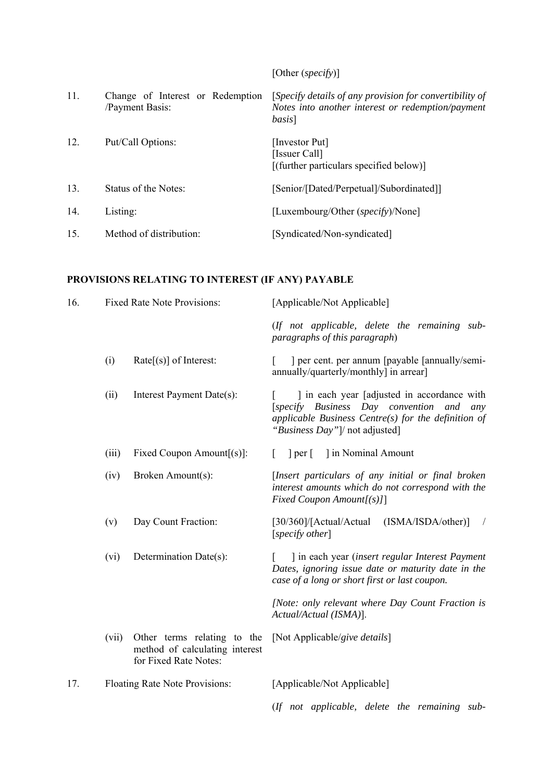[Other (*specify*)] 11. Change of Interest or Redemption /Payment Basis: [*Specify details of any provision for convertibility of Notes into another interest or redemption/payment basis*] 12. Put/Call Options: [Investor Put] [Issuer Call] [(further particulars specified below)] 13. Status of the Notes: [Senior/[Dated/Perpetual]/Subordinated]] 14. Listing: [Luxembourg/Other (*specify*)/None] 15. Method of distribution: [Syndicated/Non-syndicated]

## **PROVISIONS RELATING TO INTEREST (IF ANY) PAYABLE**

| 16. |       | <b>Fixed Rate Note Provisions:</b>                                                     | [Applicable/Not Applicable]                                                                                                                                                       |
|-----|-------|----------------------------------------------------------------------------------------|-----------------------------------------------------------------------------------------------------------------------------------------------------------------------------------|
|     |       |                                                                                        | (If not applicable, delete the remaining sub-<br>paragraphs of this paragraph)                                                                                                    |
|     | (i)   | $Rate[s]$ of Interest:                                                                 | ] per cent. per annum [payable [annually/semi-<br>$\lceil$<br>annually/quarterly/monthly] in arrear]                                                                              |
|     | (ii)  | Interest Payment Date(s):                                                              | I in each year [adjusted in accordance with]<br>[specify Business Day convention and any<br>applicable Business Centre(s) for the definition of<br>"Business Day"]/ not adjusted] |
|     | (iii) | Fixed Coupon Amount $[(s)]$ :                                                          | 1 in Nominal Amount<br> per                                                                                                                                                       |
|     | (iv)  | Broken Amount(s):                                                                      | [Insert particulars of any initial or final broken<br>interest amounts which do not correspond with the<br>Fixed Coupon Amount[(s)]]                                              |
|     | (v)   | Day Count Fraction:                                                                    | (ISMA/ISDA/other)]<br>[30/360]/[Actual/Actual<br>$\prime$<br>[specify other]                                                                                                      |
|     | (vi)  | Determination Date(s):                                                                 | ] in each year (insert regular Interest Payment<br>Dates, ignoring issue date or maturity date in the<br>case of a long or short first or last coupon.                            |
|     |       |                                                                                        | [Note: only relevant where Day Count Fraction is<br>Actual/Actual (ISMA)].                                                                                                        |
|     | (vii) | Other terms relating to the<br>method of calculating interest<br>for Fixed Rate Notes: | [Not Applicable/give details]                                                                                                                                                     |
| 17. |       | Floating Rate Note Provisions:                                                         | [Applicable/Not Applicable]                                                                                                                                                       |
|     |       |                                                                                        | (If not applicable, delete the remaining sub-                                                                                                                                     |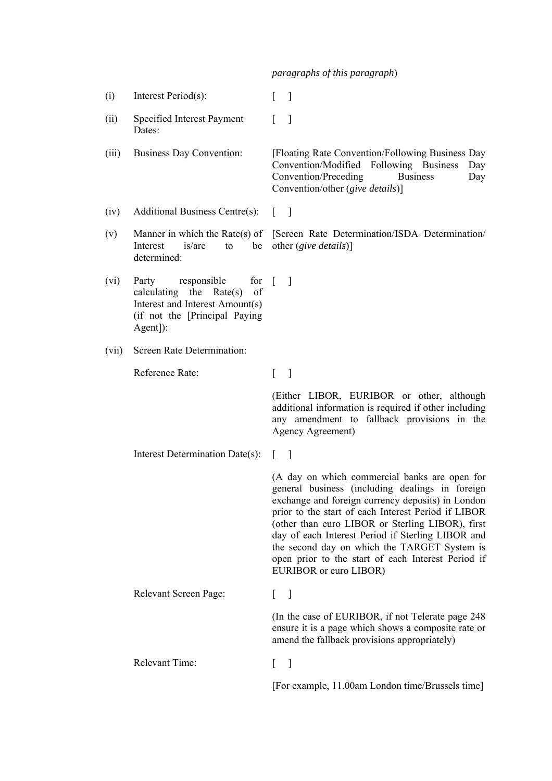*paragraphs of this paragraph*)

- (i) Interest Period(s):  $\lceil \rceil$
- (ii) Specified Interest Payment Dates:  $\lceil$   $\rceil$

(iii) Business Day Convention: [Floating Rate Convention/Following Business Day Convention/Modified Following Business Day Convention/Preceding Business Day Convention/other (*give details*)]

- (iv) Additional Business Centre(s): [ ]
- (v) Manner in which the Rate(s) of Interest is/are to be determined: [Screen Rate Determination/ISDA Determination/ other (*give details*)]
- (vi) Party responsible calculating the Rate(s) of Interest and Interest Amount(s) (if not the [Principal Paying Agent]): for  $\lceil$   $\rceil$
- (vii) Screen Rate Determination:

Reference Rate: [ ]

(Either LIBOR, EURIBOR or other, although additional information is required if other including any amendment to fallback provisions in the Agency Agreement)

Interest Determination Date(s): [ ]

(A day on which commercial banks are open for general business (including dealings in foreign exchange and foreign currency deposits) in London prior to the start of each Interest Period if LIBOR (other than euro LIBOR or Sterling LIBOR), first day of each Interest Period if Sterling LIBOR and the second day on which the TARGET System is open prior to the start of each Interest Period if EURIBOR or euro LIBOR)

Relevant Screen Page: [ ] (In the case of EURIBOR, if not Telerate page 248 ensure it is a page which shows a composite rate or amend the fallback provisions appropriately) Relevant Time: [ ] [For example, 11.00am London time/Brussels time]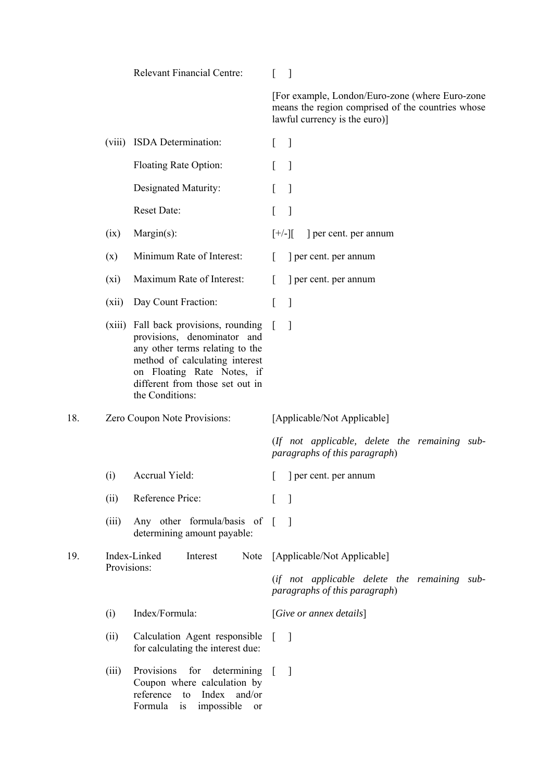|     |             | <b>Relevant Financial Centre:</b>                                                                                                                                                                                             | $\overline{\phantom{a}}$                                                                                                              |
|-----|-------------|-------------------------------------------------------------------------------------------------------------------------------------------------------------------------------------------------------------------------------|---------------------------------------------------------------------------------------------------------------------------------------|
|     |             |                                                                                                                                                                                                                               | [For example, London/Euro-zone (where Euro-zone<br>means the region comprised of the countries whose<br>lawful currency is the euro)] |
|     |             | (viii) ISDA Determination:                                                                                                                                                                                                    | $\mathbb{I}$<br>$\mathbf{L}$                                                                                                          |
|     |             | Floating Rate Option:                                                                                                                                                                                                         | $\mathbf{1}$<br>$\lceil$                                                                                                              |
|     |             | Designated Maturity:                                                                                                                                                                                                          | $\mathbf{1}$<br>$\Gamma$                                                                                                              |
|     |             | Reset Date:                                                                                                                                                                                                                   | $\mathbf{I}$<br>L                                                                                                                     |
|     | (ix)        | Margin(s):                                                                                                                                                                                                                    | $[+/$ ][<br>] per cent. per annum                                                                                                     |
|     | (x)         | Minimum Rate of Interest:                                                                                                                                                                                                     | ] per cent. per annum<br>L                                                                                                            |
|     | (xi)        | Maximum Rate of Interest:                                                                                                                                                                                                     | $\Gamma$<br>] per cent. per annum                                                                                                     |
|     | (xii)       | Day Count Fraction:                                                                                                                                                                                                           | $\mathbf{l}$<br>L                                                                                                                     |
|     |             | (xiii) Fall back provisions, rounding<br>provisions, denominator and<br>any other terms relating to the<br>method of calculating interest<br>on Floating Rate Notes, if<br>different from those set out in<br>the Conditions: | 1                                                                                                                                     |
| 18. |             | Zero Coupon Note Provisions:                                                                                                                                                                                                  | [Applicable/Not Applicable]                                                                                                           |
|     |             |                                                                                                                                                                                                                               | (If not applicable, delete the remaining sub-<br>paragraphs of this paragraph)                                                        |
|     | (i)         | Accrual Yield:                                                                                                                                                                                                                | per cent. per annum                                                                                                                   |
|     | (ii)        | Reference Price:                                                                                                                                                                                                              | $\lceil$<br>$\mathbf{I}$                                                                                                              |
|     | (iii)       | Any other formula/basis of [<br>determining amount payable:                                                                                                                                                                   | $\overline{\phantom{a}}$                                                                                                              |
| 19. | Provisions: | Index-Linked<br>Interest<br>Note                                                                                                                                                                                              | [Applicable/Not Applicable]                                                                                                           |
|     |             |                                                                                                                                                                                                                               | (if not applicable delete the remaining sub-<br>paragraphs of this paragraph)                                                         |
|     | (i)         | Index/Formula:                                                                                                                                                                                                                | [Give or an next details]                                                                                                             |
|     | (ii)        | Calculation Agent responsible<br>for calculating the interest due:                                                                                                                                                            | $\overline{\phantom{a}}$<br>$\mathbf{L}$                                                                                              |
|     | (iii)       | Provisions<br>for determining<br>Coupon where calculation by<br>reference to<br>Index<br>and/or<br>Formula<br>impossible<br>is<br><sub>or</sub>                                                                               | $\Box$<br>$\mathcal{L}$                                                                                                               |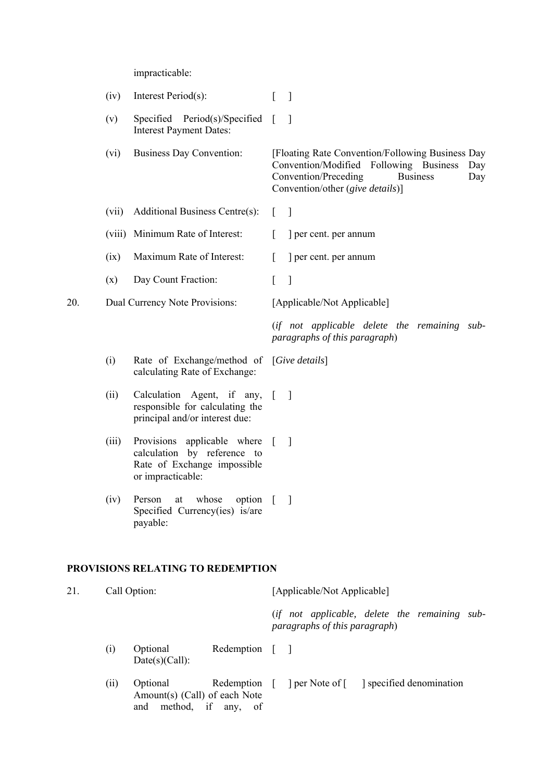impracticable:

|     | (iv)   | Interest Period(s):                                                                                            | $\overline{\phantom{a}}$                                                                                                                                                                |
|-----|--------|----------------------------------------------------------------------------------------------------------------|-----------------------------------------------------------------------------------------------------------------------------------------------------------------------------------------|
|     | (v)    | Specified Period(s)/Specified<br><b>Interest Payment Dates:</b>                                                | $\overline{\phantom{a}}$<br>$\sqrt{ }$                                                                                                                                                  |
|     | (vi)   | <b>Business Day Convention:</b>                                                                                | [Floating Rate Convention/Following Business Day<br>Convention/Modified Following Business<br>Day<br>Convention/Preceding<br><b>Business</b><br>Day<br>Convention/other (give details)] |
|     | (vii)  | Additional Business Centre(s):                                                                                 | $\mathbf{I}$<br>$\lceil$                                                                                                                                                                |
|     | (viii) | Minimum Rate of Interest:                                                                                      | ] per cent. per annum                                                                                                                                                                   |
|     | (ix)   | Maximum Rate of Interest:                                                                                      | ] per cent. per annum                                                                                                                                                                   |
|     | (x)    | Day Count Fraction:                                                                                            | $\mathbf{I}$<br>$\left[ \right]$                                                                                                                                                        |
| 20. |        | Dual Currency Note Provisions:                                                                                 | [Applicable/Not Applicable]                                                                                                                                                             |
|     |        |                                                                                                                | (if not applicable delete the remaining sub-<br>paragraphs of this paragraph)                                                                                                           |
|     | (i)    | Rate of Exchange/method of [Give details]<br>calculating Rate of Exchange:                                     |                                                                                                                                                                                         |
|     | (ii)   | Calculation Agent, if any,<br>responsible for calculating the<br>principal and/or interest due:                | $\Box$<br>$\mathbf{I}$                                                                                                                                                                  |
|     | (iii)  | Provisions applicable where<br>calculation by reference to<br>Rate of Exchange impossible<br>or impracticable: | $\overline{\phantom{a}}$<br>$\sqrt{ }$                                                                                                                                                  |
|     | (iv)   | option<br>whose<br>Person<br>at<br>Specified Currency(ies) is/are<br>payable:                                  |                                                                                                                                                                                         |
|     |        | <b>PROVISIONS RELATING TO REDEMPTION</b>                                                                       |                                                                                                                                                                                         |
| 21. |        | Call Option:                                                                                                   | [Applicable/Not Applicable]                                                                                                                                                             |
|     |        |                                                                                                                | (if not applicable, delete the remaining sub-<br>paragraphs of this paragraph)                                                                                                          |
|     | (i)    | Optional<br>Redemption<br>Date(s)(Call):                                                                       | $\sqrt{ }$<br>$\overline{\phantom{a}}$                                                                                                                                                  |
|     | (ii)   | Optional<br>Redemption<br>Amount(s) (Call) of each Note<br>method,<br>if<br>any, of<br>and                     | per Note of [ ] specified denomination<br>$\Box$                                                                                                                                        |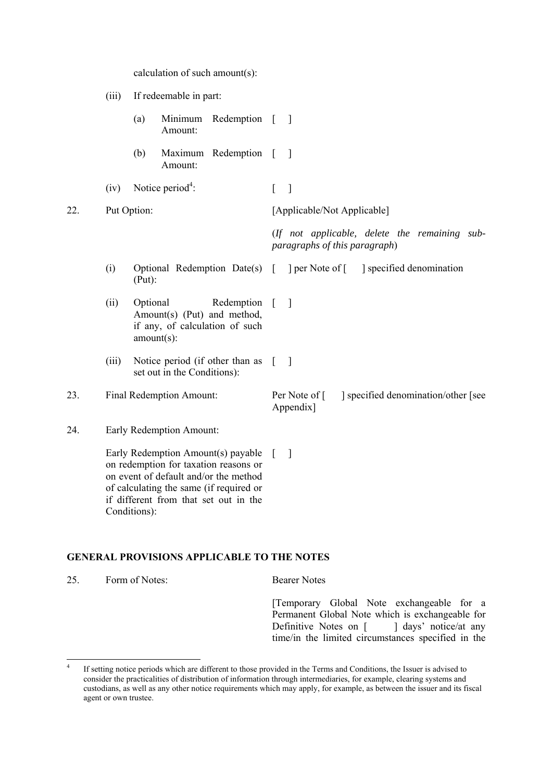|     |       | calculation of such amount(s):                                                                                                                                                                           |                                                                                |
|-----|-------|----------------------------------------------------------------------------------------------------------------------------------------------------------------------------------------------------------|--------------------------------------------------------------------------------|
|     | (iii) | If redeemable in part:                                                                                                                                                                                   |                                                                                |
|     |       | (a)<br>Minimum Redemption [<br>Amount:                                                                                                                                                                   | $\Box$                                                                         |
|     |       | Maximum Redemption [<br>(b)<br>Amount:                                                                                                                                                                   | $\Box$                                                                         |
|     | (iv)  | Notice period <sup>4</sup> :                                                                                                                                                                             | $\Box$<br>$\lceil$                                                             |
| 22. |       | Put Option:                                                                                                                                                                                              | [Applicable/Not Applicable]                                                    |
|     |       |                                                                                                                                                                                                          | (If not applicable, delete the remaining sub-<br>paragraphs of this paragraph) |
|     | (i)   | Optional Redemption Date(s) [<br>(Put):                                                                                                                                                                  | per Note of [<br>specified denomination                                        |
|     | (ii)  | Optional<br>Redemption [<br>Amount(s) (Put) and method,<br>if any, of calculation of such<br>$amount(s)$ :                                                                                               | 1                                                                              |
|     | (iii) | Notice period (if other than as<br>set out in the Conditions):                                                                                                                                           | $\Box$<br>$\Gamma$                                                             |
| 23. |       | Final Redemption Amount:                                                                                                                                                                                 | specified denomination/other [see<br>Per Note of [<br>Appendix]                |
| 24. |       | Early Redemption Amount:                                                                                                                                                                                 |                                                                                |
|     |       | Early Redemption Amount(s) payable<br>on redemption for taxation reasons or<br>on event of default and/or the method<br>of calculating the same (if required or<br>if different from that set out in the | $\mathcal{I}$<br>$\mathbf{L}$                                                  |

#### **GENERAL PROVISIONS APPLICABLE TO THE NOTES**

Conditions):

25. Form of Notes: Bearer Notes

[Temporary Global Note exchangeable for a Permanent Global Note which is exchangeable for Definitive Notes on [ ] days' notice/at any time/in the limited circumstances specified in the

<span id="page-23-0"></span> $\frac{1}{4}$  If setting notice periods which are different to those provided in the Terms and Conditions, the Issuer is advised to consider the practicalities of distribution of information through intermediaries, for example, clearing systems and custodians, as well as any other notice requirements which may apply, for example, as between the issuer and its fiscal agent or own trustee.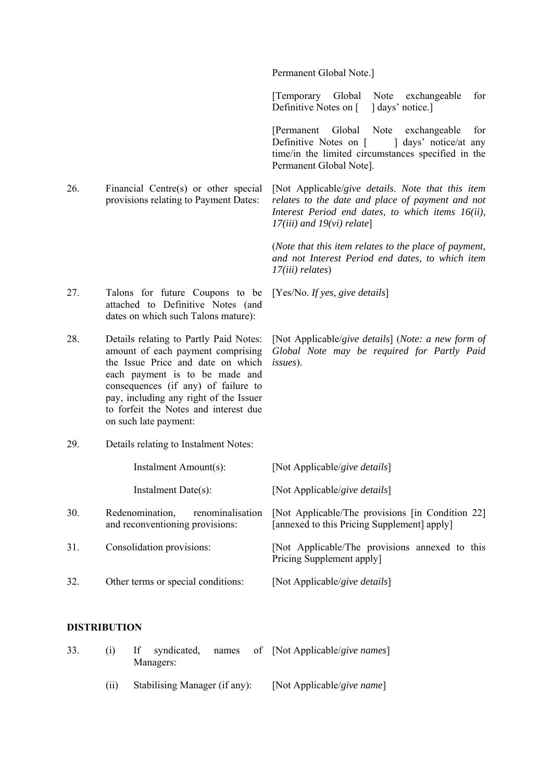Permanent Global Note.]

*17(iii) and 19(vi) relate*]

[Temporary Global Note exchangeable for Definitive Notes on [ ] days' notice.]

[Permanent Global Note exchangeable for Definitive Notes on [ ] days' notice/at any time/in the limited circumstances specified in the Permanent Global Note].

26. Financial Centre(s) or other special provisions relating to Payment Dates: [Not Applicable/*give details*. *Note that this item relates to the date and place of payment and not Interest Period end dates, to which items 16(ii),* 

> (*Note that this item relates to the place of payment, and not Interest Period end dates, to which item 17(iii) relates*)

27. Talons for future Coupons to be attached to Definitive Notes (and [Yes/No. *If yes, give details*]

28. Details relating to Partly Paid Notes: amount of each payment comprising the Issue Price and date on which each payment is to be made and consequences (if any) of failure to pay, including any right of the Issuer to forfeit the Notes and interest due on such late payment:

dates on which such Talons mature):

29. Details relating to Instalment Notes:

Instalment Amount(s): [Not Applicable/*give details*] Instalment Date(s): [Not Applicable/*give details*] 30. Redenomination, renominalisation and reconventioning provisions: [Not Applicable/The provisions [in Condition 22] [annexed to this Pricing Supplement] apply] 31. Consolidation provisions: [Not Applicable/The provisions annexed to this Pricing Supplement apply] 32. Other terms or special conditions: [Not Applicable/*give details*]

#### **DISTRIBUTION**

| 33. |      | If syndicated,<br>Managers:   |  | names of [Not Applicable/give names] |
|-----|------|-------------------------------|--|--------------------------------------|
|     | (11) | Stabilising Manager (if any): |  | [Not Applicable/give name]           |

[Not Applicable/*give details*] (*Note: a new form of Global Note may be required for Partly Paid issues*).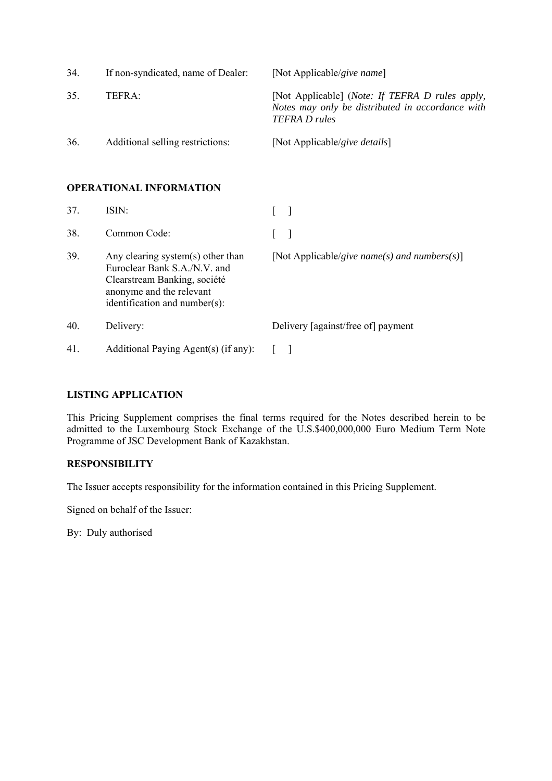| 34. | If non-syndicated, name of Dealer: | [Not Applicable/give name]                                                                                                  |
|-----|------------------------------------|-----------------------------------------------------------------------------------------------------------------------------|
| 35. | TEFRA:                             | [Not Applicable] (Note: If TEFRA D rules apply,<br>Notes may only be distributed in accordance with<br><b>TEFRA D</b> rules |
| 36. | Additional selling restrictions:   | [Not Applicable/give details]                                                                                               |

## **OPERATIONAL INFORMATION**

| 37. | ISIN:                                                                                                                                                          |                                              |
|-----|----------------------------------------------------------------------------------------------------------------------------------------------------------------|----------------------------------------------|
| 38. | Common Code:                                                                                                                                                   |                                              |
| 39. | Any clearing system(s) other than<br>Euroclear Bank S.A./N.V. and<br>Clearstream Banking, société<br>anonyme and the relevant<br>identification and number(s): | [Not Applicable/give name(s) and numbers(s)] |
| 40. | Delivery:                                                                                                                                                      | Delivery [against/free of] payment           |
| 41. | Additional Paying Agent(s) (if any):                                                                                                                           |                                              |

## **LISTING APPLICATION**

This Pricing Supplement comprises the final terms required for the Notes described herein to be admitted to the Luxembourg Stock Exchange of the U.S.\$400,000,000 Euro Medium Term Note Programme of JSC Development Bank of Kazakhstan.

## **RESPONSIBILITY**

The Issuer accepts responsibility for the information contained in this Pricing Supplement.

Signed on behalf of the Issuer:

By: Duly authorised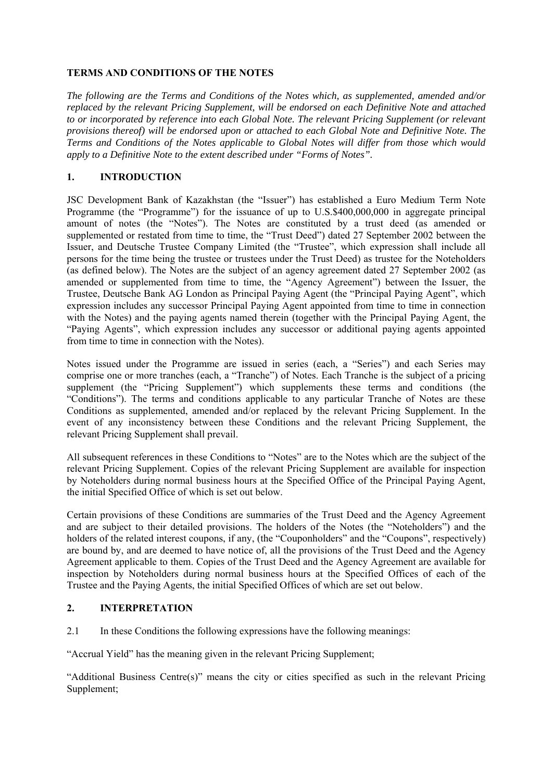## **TERMS AND CONDITIONS OF THE NOTES**

*The following are the Terms and Conditions of the Notes which, as supplemented, amended and/or replaced by the relevant Pricing Supplement, will be endorsed on each Definitive Note and attached to or incorporated by reference into each Global Note. The relevant Pricing Supplement (or relevant provisions thereof) will be endorsed upon or attached to each Global Note and Definitive Note. The Terms and Conditions of the Notes applicable to Global Notes will differ from those which would apply to a Definitive Note to the extent described under "Forms of Notes".*

## **1. INTRODUCTION**

JSC Development Bank of Kazakhstan (the "Issuer") has established a Euro Medium Term Note Programme (the "Programme") for the issuance of up to U.S.\$400,000,000 in aggregate principal amount of notes (the "Notes"). The Notes are constituted by a trust deed (as amended or supplemented or restated from time to time, the "Trust Deed") dated 27 September 2002 between the Issuer, and Deutsche Trustee Company Limited (the "Trustee", which expression shall include all persons for the time being the trustee or trustees under the Trust Deed) as trustee for the Noteholders (as defined below). The Notes are the subject of an agency agreement dated 27 September 2002 (as amended or supplemented from time to time, the "Agency Agreement") between the Issuer, the Trustee, Deutsche Bank AG London as Principal Paying Agent (the "Principal Paying Agent", which expression includes any successor Principal Paying Agent appointed from time to time in connection with the Notes) and the paying agents named therein (together with the Principal Paying Agent, the "Paying Agents", which expression includes any successor or additional paying agents appointed from time to time in connection with the Notes).

Notes issued under the Programme are issued in series (each, a "Series") and each Series may comprise one or more tranches (each, a "Tranche") of Notes. Each Tranche is the subject of a pricing supplement (the "Pricing Supplement") which supplements these terms and conditions (the "Conditions"). The terms and conditions applicable to any particular Tranche of Notes are these Conditions as supplemented, amended and/or replaced by the relevant Pricing Supplement. In the event of any inconsistency between these Conditions and the relevant Pricing Supplement, the relevant Pricing Supplement shall prevail.

All subsequent references in these Conditions to "Notes" are to the Notes which are the subject of the relevant Pricing Supplement. Copies of the relevant Pricing Supplement are available for inspection by Noteholders during normal business hours at the Specified Office of the Principal Paying Agent, the initial Specified Office of which is set out below.

Certain provisions of these Conditions are summaries of the Trust Deed and the Agency Agreement and are subject to their detailed provisions. The holders of the Notes (the "Noteholders") and the holders of the related interest coupons, if any, (the "Couponholders" and the "Coupons", respectively) are bound by, and are deemed to have notice of, all the provisions of the Trust Deed and the Agency Agreement applicable to them. Copies of the Trust Deed and the Agency Agreement are available for inspection by Noteholders during normal business hours at the Specified Offices of each of the Trustee and the Paying Agents, the initial Specified Offices of which are set out below.

## **2. INTERPRETATION**

2.1 In these Conditions the following expressions have the following meanings:

"Accrual Yield" has the meaning given in the relevant Pricing Supplement;

"Additional Business Centre(s)" means the city or cities specified as such in the relevant Pricing Supplement;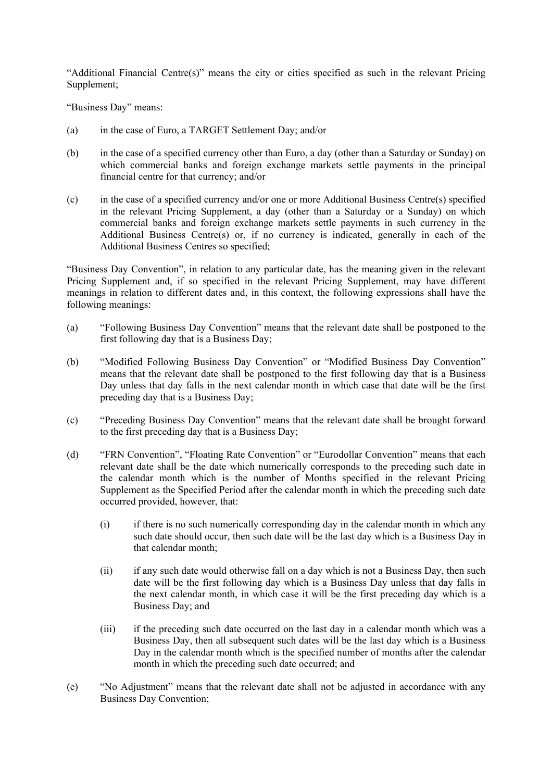"Additional Financial Centre(s)" means the city or cities specified as such in the relevant Pricing Supplement;

"Business Day" means:

- (a) in the case of Euro, a TARGET Settlement Day; and/or
- (b) in the case of a specified currency other than Euro, a day (other than a Saturday or Sunday) on which commercial banks and foreign exchange markets settle payments in the principal financial centre for that currency; and/or
- (c) in the case of a specified currency and/or one or more Additional Business Centre(s) specified in the relevant Pricing Supplement, a day (other than a Saturday or a Sunday) on which commercial banks and foreign exchange markets settle payments in such currency in the Additional Business Centre(s) or, if no currency is indicated, generally in each of the Additional Business Centres so specified;

"Business Day Convention", in relation to any particular date, has the meaning given in the relevant Pricing Supplement and, if so specified in the relevant Pricing Supplement, may have different meanings in relation to different dates and, in this context, the following expressions shall have the following meanings:

- (a) "Following Business Day Convention" means that the relevant date shall be postponed to the first following day that is a Business Day;
- (b) "Modified Following Business Day Convention" or "Modified Business Day Convention" means that the relevant date shall be postponed to the first following day that is a Business Day unless that day falls in the next calendar month in which case that date will be the first preceding day that is a Business Day;
- (c) "Preceding Business Day Convention" means that the relevant date shall be brought forward to the first preceding day that is a Business Day;
- (d) "FRN Convention", "Floating Rate Convention" or "Eurodollar Convention" means that each relevant date shall be the date which numerically corresponds to the preceding such date in the calendar month which is the number of Months specified in the relevant Pricing Supplement as the Specified Period after the calendar month in which the preceding such date occurred provided, however, that:
	- (i) if there is no such numerically corresponding day in the calendar month in which any such date should occur, then such date will be the last day which is a Business Day in that calendar month;
	- (ii) if any such date would otherwise fall on a day which is not a Business Day, then such date will be the first following day which is a Business Day unless that day falls in the next calendar month, in which case it will be the first preceding day which is a Business Day; and
	- (iii) if the preceding such date occurred on the last day in a calendar month which was a Business Day, then all subsequent such dates will be the last day which is a Business Day in the calendar month which is the specified number of months after the calendar month in which the preceding such date occurred; and
- (e) "No Adjustment" means that the relevant date shall not be adjusted in accordance with any Business Day Convention;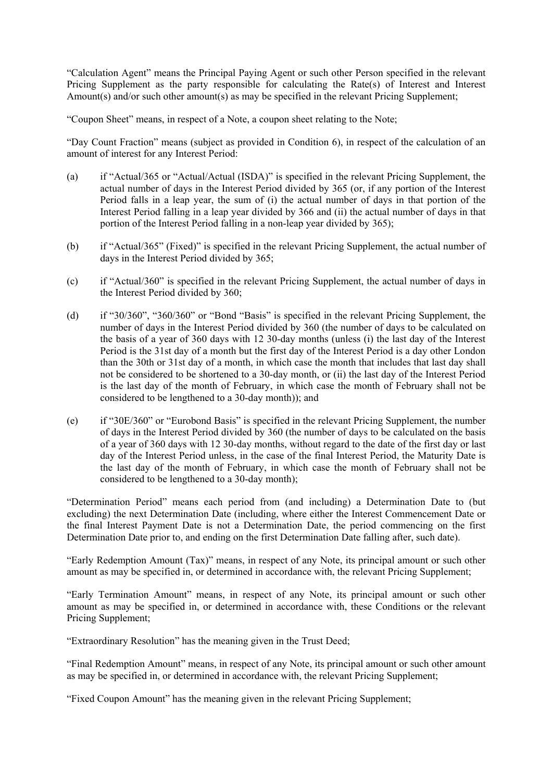"Calculation Agent" means the Principal Paying Agent or such other Person specified in the relevant Pricing Supplement as the party responsible for calculating the Rate(s) of Interest and Interest Amount(s) and/or such other amount(s) as may be specified in the relevant Pricing Supplement;

"Coupon Sheet" means, in respect of a Note, a coupon sheet relating to the Note;

"Day Count Fraction" means (subject as provided in Condition 6), in respect of the calculation of an amount of interest for any Interest Period:

- (a) if "Actual/365 or "Actual/Actual (ISDA)" is specified in the relevant Pricing Supplement, the actual number of days in the Interest Period divided by 365 (or, if any portion of the Interest Period falls in a leap year, the sum of (i) the actual number of days in that portion of the Interest Period falling in a leap year divided by 366 and (ii) the actual number of days in that portion of the Interest Period falling in a non-leap year divided by 365);
- (b) if "Actual/365" (Fixed)" is specified in the relevant Pricing Supplement, the actual number of days in the Interest Period divided by 365;
- (c) if "Actual/360" is specified in the relevant Pricing Supplement, the actual number of days in the Interest Period divided by 360;
- (d) if "30/360", "360/360" or "Bond "Basis" is specified in the relevant Pricing Supplement, the number of days in the Interest Period divided by 360 (the number of days to be calculated on the basis of a year of 360 days with 12 30-day months (unless (i) the last day of the Interest Period is the 31st day of a month but the first day of the Interest Period is a day other London than the 30th or 31st day of a month, in which case the month that includes that last day shall not be considered to be shortened to a 30-day month, or (ii) the last day of the Interest Period is the last day of the month of February, in which case the month of February shall not be considered to be lengthened to a 30-day month)); and
- (e) if "30E/360" or "Eurobond Basis" is specified in the relevant Pricing Supplement, the number of days in the Interest Period divided by 360 (the number of days to be calculated on the basis of a year of 360 days with 12 30-day months, without regard to the date of the first day or last day of the Interest Period unless, in the case of the final Interest Period, the Maturity Date is the last day of the month of February, in which case the month of February shall not be considered to be lengthened to a 30-day month);

"Determination Period" means each period from (and including) a Determination Date to (but excluding) the next Determination Date (including, where either the Interest Commencement Date or the final Interest Payment Date is not a Determination Date, the period commencing on the first Determination Date prior to, and ending on the first Determination Date falling after, such date).

"Early Redemption Amount (Tax)" means, in respect of any Note, its principal amount or such other amount as may be specified in, or determined in accordance with, the relevant Pricing Supplement;

"Early Termination Amount" means, in respect of any Note, its principal amount or such other amount as may be specified in, or determined in accordance with, these Conditions or the relevant Pricing Supplement;

"Extraordinary Resolution" has the meaning given in the Trust Deed;

"Final Redemption Amount" means, in respect of any Note, its principal amount or such other amount as may be specified in, or determined in accordance with, the relevant Pricing Supplement;

"Fixed Coupon Amount" has the meaning given in the relevant Pricing Supplement;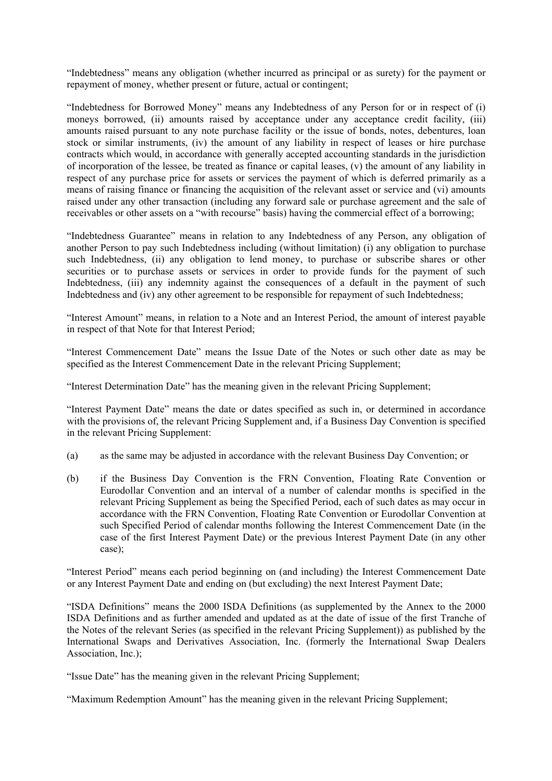"Indebtedness" means any obligation (whether incurred as principal or as surety) for the payment or repayment of money, whether present or future, actual or contingent;

"Indebtedness for Borrowed Money" means any Indebtedness of any Person for or in respect of (i) moneys borrowed, (ii) amounts raised by acceptance under any acceptance credit facility, (iii) amounts raised pursuant to any note purchase facility or the issue of bonds, notes, debentures, loan stock or similar instruments, (iv) the amount of any liability in respect of leases or hire purchase contracts which would, in accordance with generally accepted accounting standards in the jurisdiction of incorporation of the lessee, be treated as finance or capital leases, (v) the amount of any liability in respect of any purchase price for assets or services the payment of which is deferred primarily as a means of raising finance or financing the acquisition of the relevant asset or service and (vi) amounts raised under any other transaction (including any forward sale or purchase agreement and the sale of receivables or other assets on a "with recourse" basis) having the commercial effect of a borrowing;

"Indebtedness Guarantee" means in relation to any Indebtedness of any Person, any obligation of another Person to pay such Indebtedness including (without limitation) (i) any obligation to purchase such Indebtedness, (ii) any obligation to lend money, to purchase or subscribe shares or other securities or to purchase assets or services in order to provide funds for the payment of such Indebtedness, (iii) any indemnity against the consequences of a default in the payment of such Indebtedness and (iv) any other agreement to be responsible for repayment of such Indebtedness;

"Interest Amount" means, in relation to a Note and an Interest Period, the amount of interest payable in respect of that Note for that Interest Period;

"Interest Commencement Date" means the Issue Date of the Notes or such other date as may be specified as the Interest Commencement Date in the relevant Pricing Supplement;

"Interest Determination Date" has the meaning given in the relevant Pricing Supplement;

"Interest Payment Date" means the date or dates specified as such in, or determined in accordance with the provisions of, the relevant Pricing Supplement and, if a Business Day Convention is specified in the relevant Pricing Supplement:

- (a) as the same may be adjusted in accordance with the relevant Business Day Convention; or
- (b) if the Business Day Convention is the FRN Convention, Floating Rate Convention or Eurodollar Convention and an interval of a number of calendar months is specified in the relevant Pricing Supplement as being the Specified Period, each of such dates as may occur in accordance with the FRN Convention, Floating Rate Convention or Eurodollar Convention at such Specified Period of calendar months following the Interest Commencement Date (in the case of the first Interest Payment Date) or the previous Interest Payment Date (in any other case);

"Interest Period" means each period beginning on (and including) the Interest Commencement Date or any Interest Payment Date and ending on (but excluding) the next Interest Payment Date;

"ISDA Definitions" means the 2000 ISDA Definitions (as supplemented by the Annex to the 2000 ISDA Definitions and as further amended and updated as at the date of issue of the first Tranche of the Notes of the relevant Series (as specified in the relevant Pricing Supplement)) as published by the International Swaps and Derivatives Association, Inc. (formerly the International Swap Dealers Association, Inc.);

"Issue Date" has the meaning given in the relevant Pricing Supplement;

"Maximum Redemption Amount" has the meaning given in the relevant Pricing Supplement;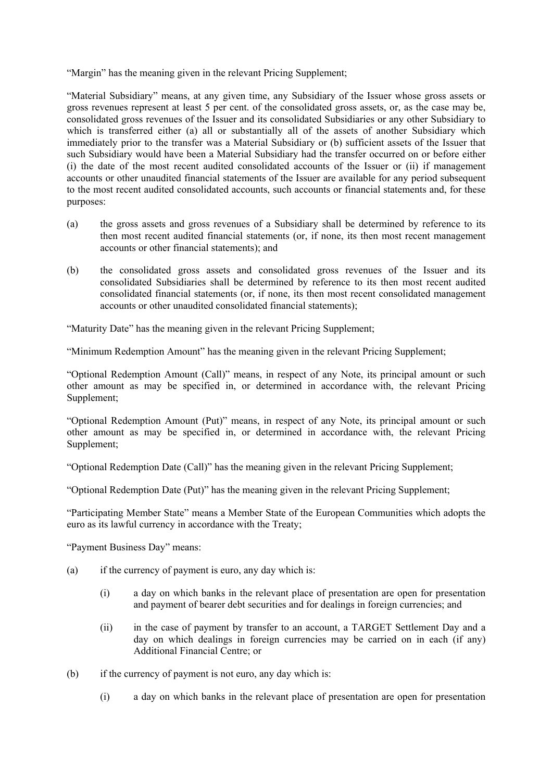"Margin" has the meaning given in the relevant Pricing Supplement;

"Material Subsidiary" means, at any given time, any Subsidiary of the Issuer whose gross assets or gross revenues represent at least 5 per cent. of the consolidated gross assets, or, as the case may be, consolidated gross revenues of the Issuer and its consolidated Subsidiaries or any other Subsidiary to which is transferred either (a) all or substantially all of the assets of another Subsidiary which immediately prior to the transfer was a Material Subsidiary or (b) sufficient assets of the Issuer that such Subsidiary would have been a Material Subsidiary had the transfer occurred on or before either (i) the date of the most recent audited consolidated accounts of the Issuer or (ii) if management accounts or other unaudited financial statements of the Issuer are available for any period subsequent to the most recent audited consolidated accounts, such accounts or financial statements and, for these purposes:

- (a) the gross assets and gross revenues of a Subsidiary shall be determined by reference to its then most recent audited financial statements (or, if none, its then most recent management accounts or other financial statements); and
- (b) the consolidated gross assets and consolidated gross revenues of the Issuer and its consolidated Subsidiaries shall be determined by reference to its then most recent audited consolidated financial statements (or, if none, its then most recent consolidated management accounts or other unaudited consolidated financial statements);

"Maturity Date" has the meaning given in the relevant Pricing Supplement;

"Minimum Redemption Amount" has the meaning given in the relevant Pricing Supplement;

"Optional Redemption Amount (Call)" means, in respect of any Note, its principal amount or such other amount as may be specified in, or determined in accordance with, the relevant Pricing Supplement;

"Optional Redemption Amount (Put)" means, in respect of any Note, its principal amount or such other amount as may be specified in, or determined in accordance with, the relevant Pricing Supplement;

"Optional Redemption Date (Call)" has the meaning given in the relevant Pricing Supplement;

"Optional Redemption Date (Put)" has the meaning given in the relevant Pricing Supplement;

"Participating Member State" means a Member State of the European Communities which adopts the euro as its lawful currency in accordance with the Treaty;

"Payment Business Day" means:

- (a) if the currency of payment is euro, any day which is:
	- (i) a day on which banks in the relevant place of presentation are open for presentation and payment of bearer debt securities and for dealings in foreign currencies; and
	- (ii) in the case of payment by transfer to an account, a TARGET Settlement Day and a day on which dealings in foreign currencies may be carried on in each (if any) Additional Financial Centre; or
- (b) if the currency of payment is not euro, any day which is:
	- (i) a day on which banks in the relevant place of presentation are open for presentation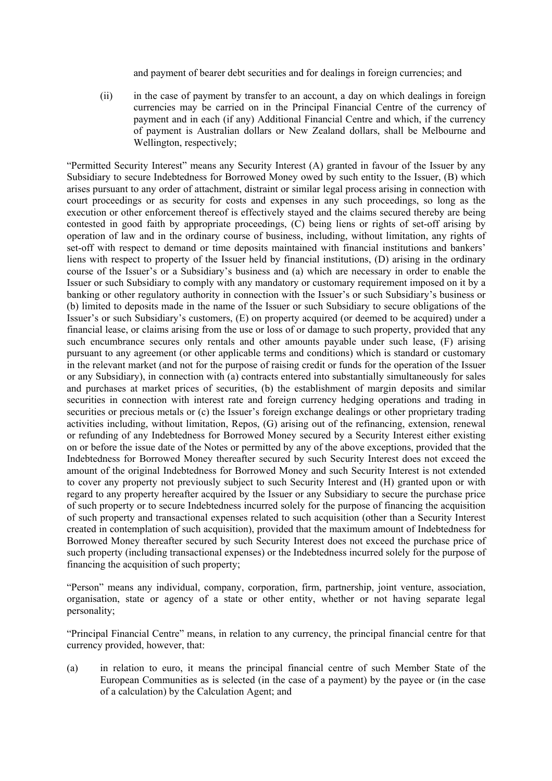and payment of bearer debt securities and for dealings in foreign currencies; and

(ii) in the case of payment by transfer to an account, a day on which dealings in foreign currencies may be carried on in the Principal Financial Centre of the currency of payment and in each (if any) Additional Financial Centre and which, if the currency of payment is Australian dollars or New Zealand dollars, shall be Melbourne and Wellington, respectively;

"Permitted Security Interest" means any Security Interest (A) granted in favour of the Issuer by any Subsidiary to secure Indebtedness for Borrowed Money owed by such entity to the Issuer, (B) which arises pursuant to any order of attachment, distraint or similar legal process arising in connection with court proceedings or as security for costs and expenses in any such proceedings, so long as the execution or other enforcement thereof is effectively stayed and the claims secured thereby are being contested in good faith by appropriate proceedings, (C) being liens or rights of set-off arising by operation of law and in the ordinary course of business, including, without limitation, any rights of set-off with respect to demand or time deposits maintained with financial institutions and bankers' liens with respect to property of the Issuer held by financial institutions, (D) arising in the ordinary course of the Issuer's or a Subsidiary's business and (a) which are necessary in order to enable the Issuer or such Subsidiary to comply with any mandatory or customary requirement imposed on it by a banking or other regulatory authority in connection with the Issuer's or such Subsidiary's business or (b) limited to deposits made in the name of the Issuer or such Subsidiary to secure obligations of the Issuer's or such Subsidiary's customers, (E) on property acquired (or deemed to be acquired) under a financial lease, or claims arising from the use or loss of or damage to such property, provided that any such encumbrance secures only rentals and other amounts payable under such lease, (F) arising pursuant to any agreement (or other applicable terms and conditions) which is standard or customary in the relevant market (and not for the purpose of raising credit or funds for the operation of the Issuer or any Subsidiary), in connection with (a) contracts entered into substantially simultaneously for sales and purchases at market prices of securities, (b) the establishment of margin deposits and similar securities in connection with interest rate and foreign currency hedging operations and trading in securities or precious metals or (c) the Issuer's foreign exchange dealings or other proprietary trading activities including, without limitation, Repos, (G) arising out of the refinancing, extension, renewal or refunding of any Indebtedness for Borrowed Money secured by a Security Interest either existing on or before the issue date of the Notes or permitted by any of the above exceptions, provided that the Indebtedness for Borrowed Money thereafter secured by such Security Interest does not exceed the amount of the original Indebtedness for Borrowed Money and such Security Interest is not extended to cover any property not previously subject to such Security Interest and (H) granted upon or with regard to any property hereafter acquired by the Issuer or any Subsidiary to secure the purchase price of such property or to secure Indebtedness incurred solely for the purpose of financing the acquisition of such property and transactional expenses related to such acquisition (other than a Security Interest created in contemplation of such acquisition), provided that the maximum amount of Indebtedness for Borrowed Money thereafter secured by such Security Interest does not exceed the purchase price of such property (including transactional expenses) or the Indebtedness incurred solely for the purpose of financing the acquisition of such property;

"Person" means any individual, company, corporation, firm, partnership, joint venture, association, organisation, state or agency of a state or other entity, whether or not having separate legal personality;

"Principal Financial Centre" means, in relation to any currency, the principal financial centre for that currency provided, however, that:

(a) in relation to euro, it means the principal financial centre of such Member State of the European Communities as is selected (in the case of a payment) by the payee or (in the case of a calculation) by the Calculation Agent; and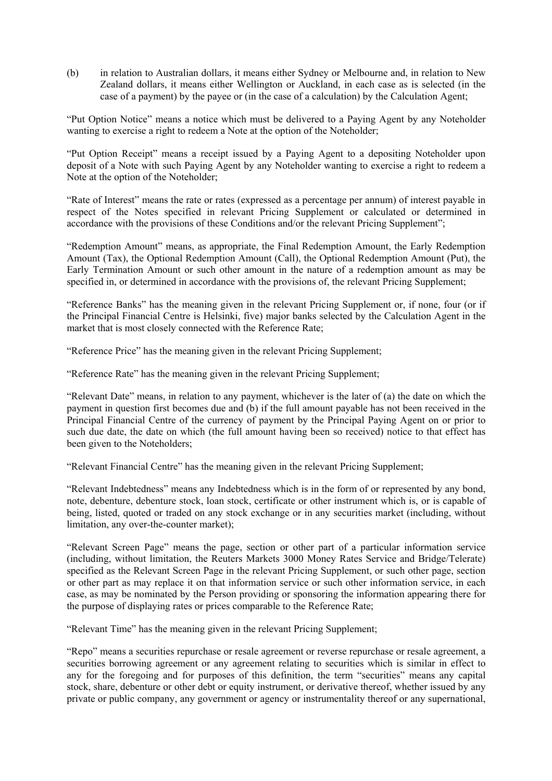(b) in relation to Australian dollars, it means either Sydney or Melbourne and, in relation to New Zealand dollars, it means either Wellington or Auckland, in each case as is selected (in the case of a payment) by the payee or (in the case of a calculation) by the Calculation Agent;

"Put Option Notice" means a notice which must be delivered to a Paying Agent by any Noteholder wanting to exercise a right to redeem a Note at the option of the Noteholder;

"Put Option Receipt" means a receipt issued by a Paying Agent to a depositing Noteholder upon deposit of a Note with such Paying Agent by any Noteholder wanting to exercise a right to redeem a Note at the option of the Noteholder;

"Rate of Interest" means the rate or rates (expressed as a percentage per annum) of interest payable in respect of the Notes specified in relevant Pricing Supplement or calculated or determined in accordance with the provisions of these Conditions and/or the relevant Pricing Supplement";

"Redemption Amount" means, as appropriate, the Final Redemption Amount, the Early Redemption Amount (Tax), the Optional Redemption Amount (Call), the Optional Redemption Amount (Put), the Early Termination Amount or such other amount in the nature of a redemption amount as may be specified in, or determined in accordance with the provisions of, the relevant Pricing Supplement;

"Reference Banks" has the meaning given in the relevant Pricing Supplement or, if none, four (or if the Principal Financial Centre is Helsinki, five) major banks selected by the Calculation Agent in the market that is most closely connected with the Reference Rate;

"Reference Price" has the meaning given in the relevant Pricing Supplement;

"Reference Rate" has the meaning given in the relevant Pricing Supplement;

"Relevant Date" means, in relation to any payment, whichever is the later of (a) the date on which the payment in question first becomes due and (b) if the full amount payable has not been received in the Principal Financial Centre of the currency of payment by the Principal Paying Agent on or prior to such due date, the date on which (the full amount having been so received) notice to that effect has been given to the Noteholders;

"Relevant Financial Centre" has the meaning given in the relevant Pricing Supplement;

"Relevant Indebtedness" means any Indebtedness which is in the form of or represented by any bond, note, debenture, debenture stock, loan stock, certificate or other instrument which is, or is capable of being, listed, quoted or traded on any stock exchange or in any securities market (including, without limitation, any over-the-counter market);

"Relevant Screen Page" means the page, section or other part of a particular information service (including, without limitation, the Reuters Markets 3000 Money Rates Service and Bridge/Telerate) specified as the Relevant Screen Page in the relevant Pricing Supplement, or such other page, section or other part as may replace it on that information service or such other information service, in each case, as may be nominated by the Person providing or sponsoring the information appearing there for the purpose of displaying rates or prices comparable to the Reference Rate;

"Relevant Time" has the meaning given in the relevant Pricing Supplement;

"Repo" means a securities repurchase or resale agreement or reverse repurchase or resale agreement, a securities borrowing agreement or any agreement relating to securities which is similar in effect to any for the foregoing and for purposes of this definition, the term "securities" means any capital stock, share, debenture or other debt or equity instrument, or derivative thereof, whether issued by any private or public company, any government or agency or instrumentality thereof or any supernational,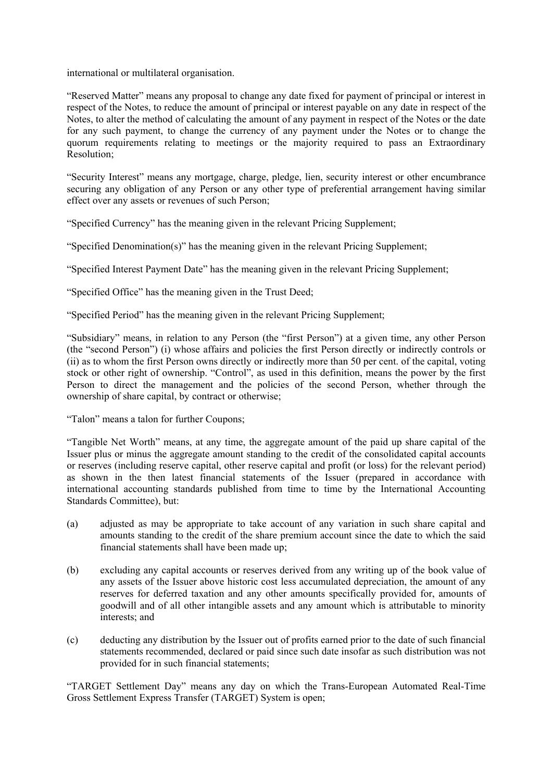international or multilateral organisation.

"Reserved Matter" means any proposal to change any date fixed for payment of principal or interest in respect of the Notes, to reduce the amount of principal or interest payable on any date in respect of the Notes, to alter the method of calculating the amount of any payment in respect of the Notes or the date for any such payment, to change the currency of any payment under the Notes or to change the quorum requirements relating to meetings or the majority required to pass an Extraordinary Resolution;

"Security Interest" means any mortgage, charge, pledge, lien, security interest or other encumbrance securing any obligation of any Person or any other type of preferential arrangement having similar effect over any assets or revenues of such Person;

"Specified Currency" has the meaning given in the relevant Pricing Supplement;

"Specified Denomination(s)" has the meaning given in the relevant Pricing Supplement;

"Specified Interest Payment Date" has the meaning given in the relevant Pricing Supplement;

"Specified Office" has the meaning given in the Trust Deed;

"Specified Period" has the meaning given in the relevant Pricing Supplement;

"Subsidiary" means, in relation to any Person (the "first Person") at a given time, any other Person (the "second Person") (i) whose affairs and policies the first Person directly or indirectly controls or (ii) as to whom the first Person owns directly or indirectly more than 50 per cent. of the capital, voting stock or other right of ownership. "Control", as used in this definition, means the power by the first Person to direct the management and the policies of the second Person, whether through the ownership of share capital, by contract or otherwise;

"Talon" means a talon for further Coupons;

"Tangible Net Worth" means, at any time, the aggregate amount of the paid up share capital of the Issuer plus or minus the aggregate amount standing to the credit of the consolidated capital accounts or reserves (including reserve capital, other reserve capital and profit (or loss) for the relevant period) as shown in the then latest financial statements of the Issuer (prepared in accordance with international accounting standards published from time to time by the International Accounting Standards Committee), but:

- (a) adjusted as may be appropriate to take account of any variation in such share capital and amounts standing to the credit of the share premium account since the date to which the said financial statements shall have been made up;
- (b) excluding any capital accounts or reserves derived from any writing up of the book value of any assets of the Issuer above historic cost less accumulated depreciation, the amount of any reserves for deferred taxation and any other amounts specifically provided for, amounts of goodwill and of all other intangible assets and any amount which is attributable to minority interests; and
- (c) deducting any distribution by the Issuer out of profits earned prior to the date of such financial statements recommended, declared or paid since such date insofar as such distribution was not provided for in such financial statements;

"TARGET Settlement Day" means any day on which the Trans-European Automated Real-Time Gross Settlement Express Transfer (TARGET) System is open;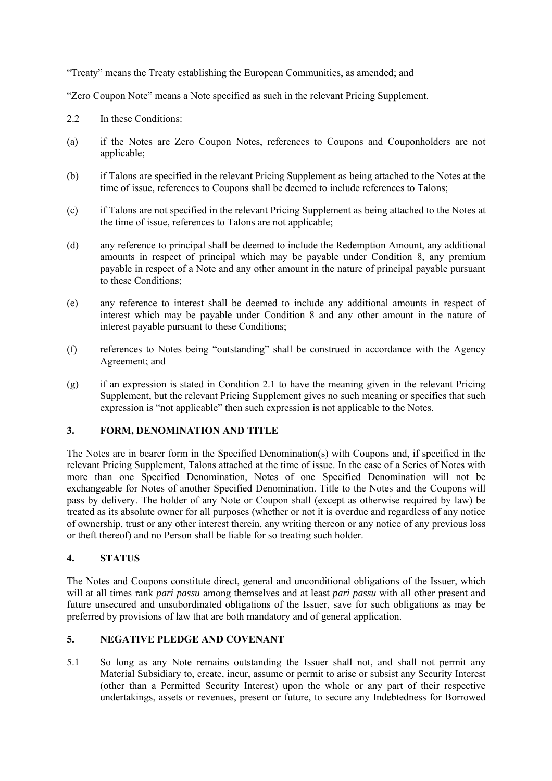"Treaty" means the Treaty establishing the European Communities, as amended; and

"Zero Coupon Note" means a Note specified as such in the relevant Pricing Supplement.

- 2.2 In these Conditions:
- (a) if the Notes are Zero Coupon Notes, references to Coupons and Couponholders are not applicable;
- (b) if Talons are specified in the relevant Pricing Supplement as being attached to the Notes at the time of issue, references to Coupons shall be deemed to include references to Talons;
- (c) if Talons are not specified in the relevant Pricing Supplement as being attached to the Notes at the time of issue, references to Talons are not applicable;
- (d) any reference to principal shall be deemed to include the Redemption Amount, any additional amounts in respect of principal which may be payable under Condition 8, any premium payable in respect of a Note and any other amount in the nature of principal payable pursuant to these Conditions;
- (e) any reference to interest shall be deemed to include any additional amounts in respect of interest which may be payable under Condition 8 and any other amount in the nature of interest payable pursuant to these Conditions;
- (f) references to Notes being "outstanding" shall be construed in accordance with the Agency Agreement; and
- (g) if an expression is stated in Condition 2.1 to have the meaning given in the relevant Pricing Supplement, but the relevant Pricing Supplement gives no such meaning or specifies that such expression is "not applicable" then such expression is not applicable to the Notes.

## **3. FORM, DENOMINATION AND TITLE**

The Notes are in bearer form in the Specified Denomination(s) with Coupons and, if specified in the relevant Pricing Supplement, Talons attached at the time of issue. In the case of a Series of Notes with more than one Specified Denomination, Notes of one Specified Denomination will not be exchangeable for Notes of another Specified Denomination. Title to the Notes and the Coupons will pass by delivery. The holder of any Note or Coupon shall (except as otherwise required by law) be treated as its absolute owner for all purposes (whether or not it is overdue and regardless of any notice of ownership, trust or any other interest therein, any writing thereon or any notice of any previous loss or theft thereof) and no Person shall be liable for so treating such holder.

#### **4. STATUS**

The Notes and Coupons constitute direct, general and unconditional obligations of the Issuer, which will at all times rank *pari passu* among themselves and at least *pari passu* with all other present and future unsecured and unsubordinated obligations of the Issuer, save for such obligations as may be preferred by provisions of law that are both mandatory and of general application.

## **5. NEGATIVE PLEDGE AND COVENANT**

5.1 So long as any Note remains outstanding the Issuer shall not, and shall not permit any Material Subsidiary to, create, incur, assume or permit to arise or subsist any Security Interest (other than a Permitted Security Interest) upon the whole or any part of their respective undertakings, assets or revenues, present or future, to secure any Indebtedness for Borrowed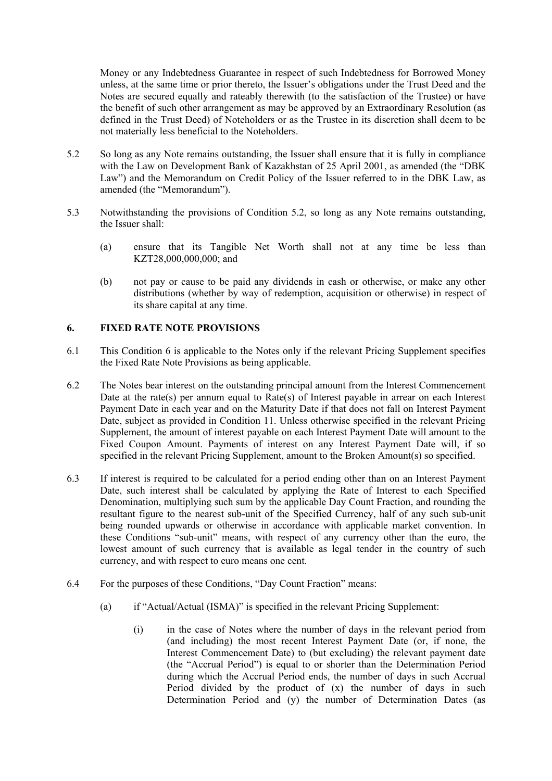Money or any Indebtedness Guarantee in respect of such Indebtedness for Borrowed Money unless, at the same time or prior thereto, the Issuer's obligations under the Trust Deed and the Notes are secured equally and rateably therewith (to the satisfaction of the Trustee) or have the benefit of such other arrangement as may be approved by an Extraordinary Resolution (as defined in the Trust Deed) of Noteholders or as the Trustee in its discretion shall deem to be not materially less beneficial to the Noteholders.

- 5.2 So long as any Note remains outstanding, the Issuer shall ensure that it is fully in compliance with the Law on Development Bank of Kazakhstan of 25 April 2001, as amended (the "DBK Law") and the Memorandum on Credit Policy of the Issuer referred to in the DBK Law, as amended (the "Memorandum").
- 5.3 Notwithstanding the provisions of Condition 5.2, so long as any Note remains outstanding, the Issuer shall:
	- (a) ensure that its Tangible Net Worth shall not at any time be less than KZT28,000,000,000; and
	- (b) not pay or cause to be paid any dividends in cash or otherwise, or make any other distributions (whether by way of redemption, acquisition or otherwise) in respect of its share capital at any time.

## **6. FIXED RATE NOTE PROVISIONS**

- 6.1 This Condition 6 is applicable to the Notes only if the relevant Pricing Supplement specifies the Fixed Rate Note Provisions as being applicable.
- 6.2 The Notes bear interest on the outstanding principal amount from the Interest Commencement Date at the rate(s) per annum equal to Rate(s) of Interest payable in arrear on each Interest Payment Date in each year and on the Maturity Date if that does not fall on Interest Payment Date, subject as provided in Condition 11. Unless otherwise specified in the relevant Pricing Supplement, the amount of interest payable on each Interest Payment Date will amount to the Fixed Coupon Amount. Payments of interest on any Interest Payment Date will, if so specified in the relevant Pricing Supplement, amount to the Broken Amount(s) so specified.
- 6.3 If interest is required to be calculated for a period ending other than on an Interest Payment Date, such interest shall be calculated by applying the Rate of Interest to each Specified Denomination, multiplying such sum by the applicable Day Count Fraction, and rounding the resultant figure to the nearest sub-unit of the Specified Currency, half of any such sub-unit being rounded upwards or otherwise in accordance with applicable market convention. In these Conditions "sub-unit" means, with respect of any currency other than the euro, the lowest amount of such currency that is available as legal tender in the country of such currency, and with respect to euro means one cent.
- 6.4 For the purposes of these Conditions, "Day Count Fraction" means:
	- (a) if "Actual/Actual (ISMA)" is specified in the relevant Pricing Supplement:
		- (i) in the case of Notes where the number of days in the relevant period from (and including) the most recent Interest Payment Date (or, if none, the Interest Commencement Date) to (but excluding) the relevant payment date (the "Accrual Period") is equal to or shorter than the Determination Period during which the Accrual Period ends, the number of days in such Accrual Period divided by the product of (x) the number of days in such Determination Period and (y) the number of Determination Dates (as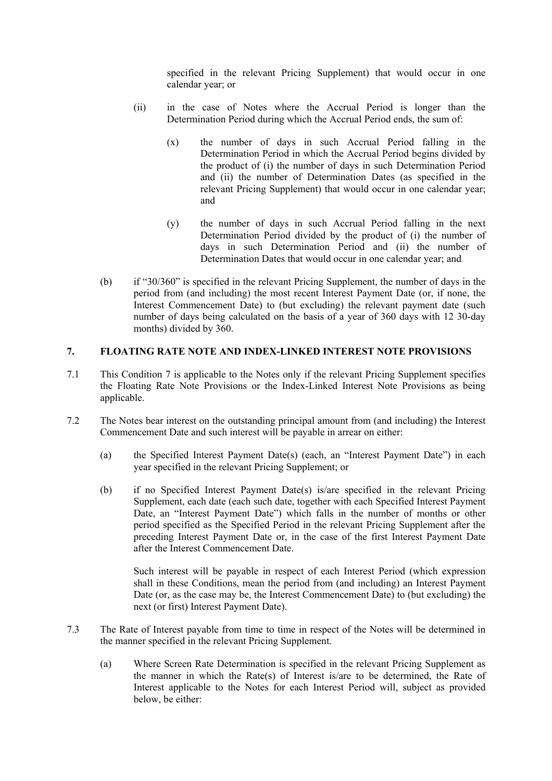specified in the relevant Pricing Supplement) that would occur in one calendar year; or

- (ii) in the case of Notes where the Accrual Period is longer than the Determination Period during which the Accrual Period ends, the sum of:
	- (x) the number of days in such Accrual Period falling in the Determination Period in which the Accrual Period begins divided by the product of (i) the number of days in such Determination Period and (ii) the number of Determination Dates (as specified in the relevant Pricing Supplement) that would occur in one calendar year; and
	- (y) the number of days in such Accrual Period falling in the next Determination Period divided by the product of (i) the number of days in such Determination Period and (ii) the number of Determination Dates that would occur in one calendar year; and
- (b) if "30/360" is specified in the relevant Pricing Supplement, the number of days in the period from (and including) the most recent Interest Payment Date (or, if none, the Interest Commencement Date) to (but excluding) the relevant payment date (such number of days being calculated on the basis of a year of 360 days with 12 30-day months) divided by 360.

# **7. FLOATING RATE NOTE AND INDEX-LINKED INTEREST NOTE PROVISIONS**

- 7.1 This Condition 7 is applicable to the Notes only if the relevant Pricing Supplement specifies the Floating Rate Note Provisions or the Index-Linked Interest Note Provisions as being applicable.
- 7.2 The Notes bear interest on the outstanding principal amount from (and including) the Interest Commencement Date and such interest will be payable in arrear on either:
	- (a) the Specified Interest Payment Date(s) (each, an "Interest Payment Date") in each year specified in the relevant Pricing Supplement; or
	- (b) if no Specified Interest Payment Date(s) is/are specified in the relevant Pricing Supplement, each date (each such date, together with each Specified Interest Payment Date, an "Interest Payment Date") which falls in the number of months or other period specified as the Specified Period in the relevant Pricing Supplement after the preceding Interest Payment Date or, in the case of the first Interest Payment Date after the Interest Commencement Date.

Such interest will be payable in respect of each Interest Period (which expression shall in these Conditions, mean the period from (and including) an Interest Payment Date (or, as the case may be, the Interest Commencement Date) to (but excluding) the next (or first) Interest Payment Date).

- 7.3 The Rate of Interest payable from time to time in respect of the Notes will be determined in the manner specified in the relevant Pricing Supplement.
	- (a) Where Screen Rate Determination is specified in the relevant Pricing Supplement as the manner in which the Rate(s) of Interest is/are to be determined, the Rate of Interest applicable to the Notes for each Interest Period will, subject as provided below, be either: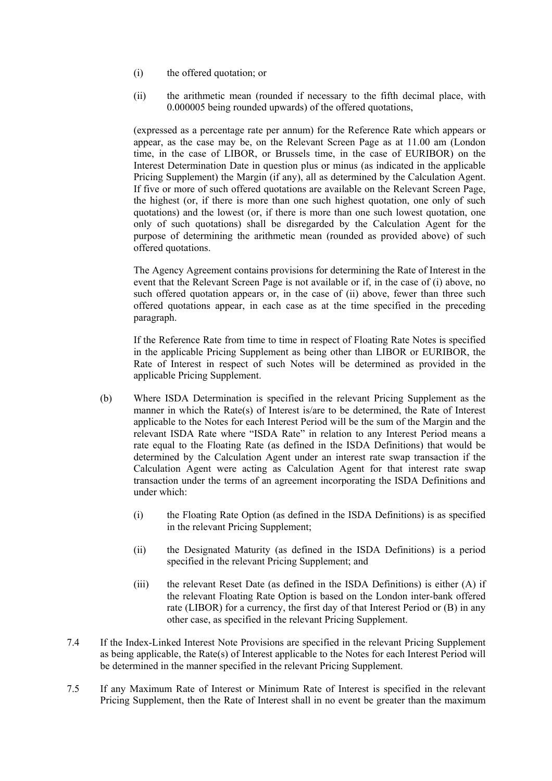- (i) the offered quotation; or
- (ii) the arithmetic mean (rounded if necessary to the fifth decimal place, with 0.000005 being rounded upwards) of the offered quotations,

(expressed as a percentage rate per annum) for the Reference Rate which appears or appear, as the case may be, on the Relevant Screen Page as at 11.00 am (London time, in the case of LIBOR, or Brussels time, in the case of EURIBOR) on the Interest Determination Date in question plus or minus (as indicated in the applicable Pricing Supplement) the Margin (if any), all as determined by the Calculation Agent. If five or more of such offered quotations are available on the Relevant Screen Page, the highest (or, if there is more than one such highest quotation, one only of such quotations) and the lowest (or, if there is more than one such lowest quotation, one only of such quotations) shall be disregarded by the Calculation Agent for the purpose of determining the arithmetic mean (rounded as provided above) of such offered quotations.

The Agency Agreement contains provisions for determining the Rate of Interest in the event that the Relevant Screen Page is not available or if, in the case of (i) above, no such offered quotation appears or, in the case of (ii) above, fewer than three such offered quotations appear, in each case as at the time specified in the preceding paragraph.

If the Reference Rate from time to time in respect of Floating Rate Notes is specified in the applicable Pricing Supplement as being other than LIBOR or EURIBOR, the Rate of Interest in respect of such Notes will be determined as provided in the applicable Pricing Supplement.

- (b) Where ISDA Determination is specified in the relevant Pricing Supplement as the manner in which the Rate(s) of Interest is/are to be determined, the Rate of Interest applicable to the Notes for each Interest Period will be the sum of the Margin and the relevant ISDA Rate where "ISDA Rate" in relation to any Interest Period means a rate equal to the Floating Rate (as defined in the ISDA Definitions) that would be determined by the Calculation Agent under an interest rate swap transaction if the Calculation Agent were acting as Calculation Agent for that interest rate swap transaction under the terms of an agreement incorporating the ISDA Definitions and under which:
	- (i) the Floating Rate Option (as defined in the ISDA Definitions) is as specified in the relevant Pricing Supplement;
	- (ii) the Designated Maturity (as defined in the ISDA Definitions) is a period specified in the relevant Pricing Supplement; and
	- (iii) the relevant Reset Date (as defined in the ISDA Definitions) is either (A) if the relevant Floating Rate Option is based on the London inter-bank offered rate (LIBOR) for a currency, the first day of that Interest Period or (B) in any other case, as specified in the relevant Pricing Supplement.
- 7.4 If the Index-Linked Interest Note Provisions are specified in the relevant Pricing Supplement as being applicable, the Rate(s) of Interest applicable to the Notes for each Interest Period will be determined in the manner specified in the relevant Pricing Supplement.
- 7.5 If any Maximum Rate of Interest or Minimum Rate of Interest is specified in the relevant Pricing Supplement, then the Rate of Interest shall in no event be greater than the maximum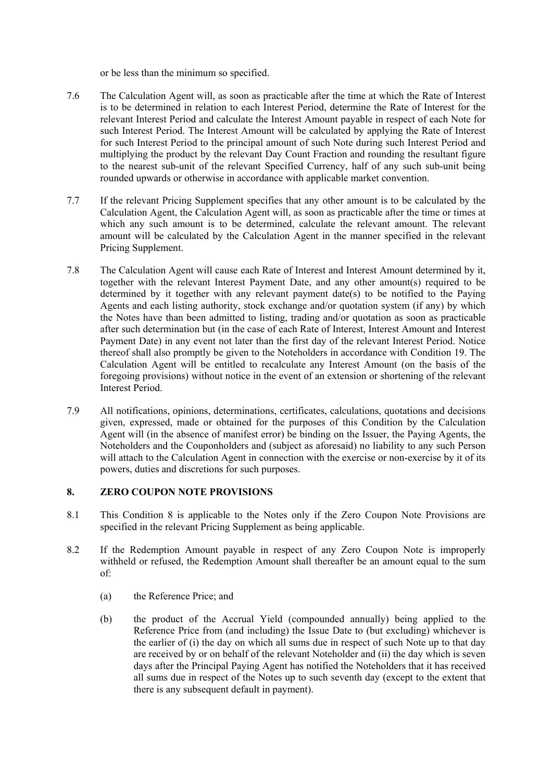or be less than the minimum so specified.

- 7.6 The Calculation Agent will, as soon as practicable after the time at which the Rate of Interest is to be determined in relation to each Interest Period, determine the Rate of Interest for the relevant Interest Period and calculate the Interest Amount payable in respect of each Note for such Interest Period. The Interest Amount will be calculated by applying the Rate of Interest for such Interest Period to the principal amount of such Note during such Interest Period and multiplying the product by the relevant Day Count Fraction and rounding the resultant figure to the nearest sub-unit of the relevant Specified Currency, half of any such sub-unit being rounded upwards or otherwise in accordance with applicable market convention.
- 7.7 If the relevant Pricing Supplement specifies that any other amount is to be calculated by the Calculation Agent, the Calculation Agent will, as soon as practicable after the time or times at which any such amount is to be determined, calculate the relevant amount. The relevant amount will be calculated by the Calculation Agent in the manner specified in the relevant Pricing Supplement.
- 7.8 The Calculation Agent will cause each Rate of Interest and Interest Amount determined by it, together with the relevant Interest Payment Date, and any other amount(s) required to be determined by it together with any relevant payment date(s) to be notified to the Paying Agents and each listing authority, stock exchange and/or quotation system (if any) by which the Notes have than been admitted to listing, trading and/or quotation as soon as practicable after such determination but (in the case of each Rate of Interest, Interest Amount and Interest Payment Date) in any event not later than the first day of the relevant Interest Period. Notice thereof shall also promptly be given to the Noteholders in accordance with Condition 19. The Calculation Agent will be entitled to recalculate any Interest Amount (on the basis of the foregoing provisions) without notice in the event of an extension or shortening of the relevant Interest Period.
- 7.9 All notifications, opinions, determinations, certificates, calculations, quotations and decisions given, expressed, made or obtained for the purposes of this Condition by the Calculation Agent will (in the absence of manifest error) be binding on the Issuer, the Paying Agents, the Noteholders and the Couponholders and (subject as aforesaid) no liability to any such Person will attach to the Calculation Agent in connection with the exercise or non-exercise by it of its powers, duties and discretions for such purposes.

# **8. ZERO COUPON NOTE PROVISIONS**

- 8.1 This Condition 8 is applicable to the Notes only if the Zero Coupon Note Provisions are specified in the relevant Pricing Supplement as being applicable.
- 8.2 If the Redemption Amount payable in respect of any Zero Coupon Note is improperly withheld or refused, the Redemption Amount shall thereafter be an amount equal to the sum of:
	- (a) the Reference Price; and
	- (b) the product of the Accrual Yield (compounded annually) being applied to the Reference Price from (and including) the Issue Date to (but excluding) whichever is the earlier of (i) the day on which all sums due in respect of such Note up to that day are received by or on behalf of the relevant Noteholder and (ii) the day which is seven days after the Principal Paying Agent has notified the Noteholders that it has received all sums due in respect of the Notes up to such seventh day (except to the extent that there is any subsequent default in payment).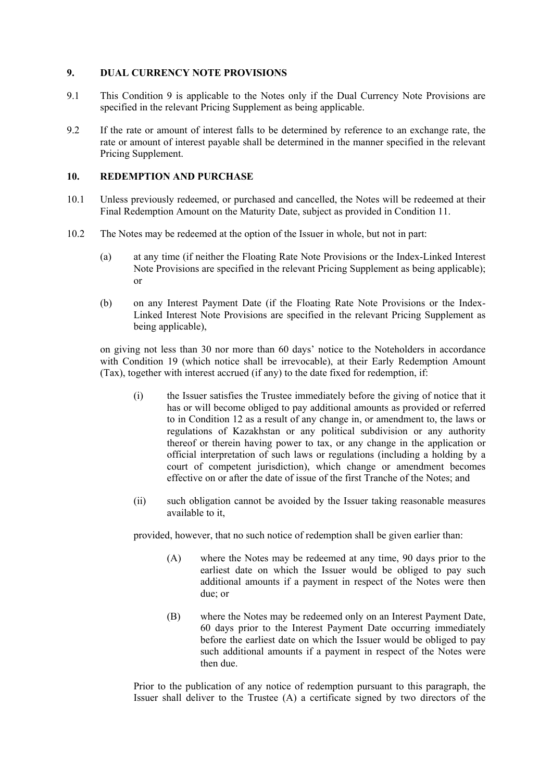### **9. DUAL CURRENCY NOTE PROVISIONS**

- 9.1 This Condition 9 is applicable to the Notes only if the Dual Currency Note Provisions are specified in the relevant Pricing Supplement as being applicable.
- 9.2 If the rate or amount of interest falls to be determined by reference to an exchange rate, the rate or amount of interest payable shall be determined in the manner specified in the relevant Pricing Supplement.

### **10. REDEMPTION AND PURCHASE**

- 10.1 Unless previously redeemed, or purchased and cancelled, the Notes will be redeemed at their Final Redemption Amount on the Maturity Date, subject as provided in Condition 11.
- 10.2 The Notes may be redeemed at the option of the Issuer in whole, but not in part:
	- (a) at any time (if neither the Floating Rate Note Provisions or the Index-Linked Interest Note Provisions are specified in the relevant Pricing Supplement as being applicable); or
	- (b) on any Interest Payment Date (if the Floating Rate Note Provisions or the Index-Linked Interest Note Provisions are specified in the relevant Pricing Supplement as being applicable),

on giving not less than 30 nor more than 60 days' notice to the Noteholders in accordance with Condition 19 (which notice shall be irrevocable), at their Early Redemption Amount (Tax), together with interest accrued (if any) to the date fixed for redemption, if:

- (i) the Issuer satisfies the Trustee immediately before the giving of notice that it has or will become obliged to pay additional amounts as provided or referred to in Condition 12 as a result of any change in, or amendment to, the laws or regulations of Kazakhstan or any political subdivision or any authority thereof or therein having power to tax, or any change in the application or official interpretation of such laws or regulations (including a holding by a court of competent jurisdiction), which change or amendment becomes effective on or after the date of issue of the first Tranche of the Notes; and
- (ii) such obligation cannot be avoided by the Issuer taking reasonable measures available to it,

provided, however, that no such notice of redemption shall be given earlier than:

- (A) where the Notes may be redeemed at any time, 90 days prior to the earliest date on which the Issuer would be obliged to pay such additional amounts if a payment in respect of the Notes were then due; or
- (B) where the Notes may be redeemed only on an Interest Payment Date, 60 days prior to the Interest Payment Date occurring immediately before the earliest date on which the Issuer would be obliged to pay such additional amounts if a payment in respect of the Notes were then due.

Prior to the publication of any notice of redemption pursuant to this paragraph, the Issuer shall deliver to the Trustee (A) a certificate signed by two directors of the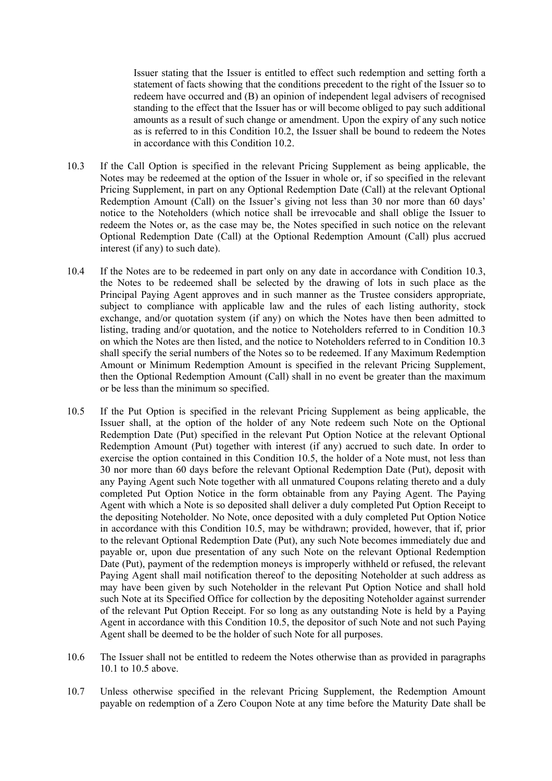Issuer stating that the Issuer is entitled to effect such redemption and setting forth a statement of facts showing that the conditions precedent to the right of the Issuer so to redeem have occurred and (B) an opinion of independent legal advisers of recognised standing to the effect that the Issuer has or will become obliged to pay such additional amounts as a result of such change or amendment. Upon the expiry of any such notice as is referred to in this Condition 10.2, the Issuer shall be bound to redeem the Notes in accordance with this Condition 10.2.

- 10.3 If the Call Option is specified in the relevant Pricing Supplement as being applicable, the Notes may be redeemed at the option of the Issuer in whole or, if so specified in the relevant Pricing Supplement, in part on any Optional Redemption Date (Call) at the relevant Optional Redemption Amount (Call) on the Issuer's giving not less than 30 nor more than 60 days' notice to the Noteholders (which notice shall be irrevocable and shall oblige the Issuer to redeem the Notes or, as the case may be, the Notes specified in such notice on the relevant Optional Redemption Date (Call) at the Optional Redemption Amount (Call) plus accrued interest (if any) to such date).
- 10.4 If the Notes are to be redeemed in part only on any date in accordance with Condition 10.3, the Notes to be redeemed shall be selected by the drawing of lots in such place as the Principal Paying Agent approves and in such manner as the Trustee considers appropriate, subject to compliance with applicable law and the rules of each listing authority, stock exchange, and/or quotation system (if any) on which the Notes have then been admitted to listing, trading and/or quotation, and the notice to Noteholders referred to in Condition 10.3 on which the Notes are then listed, and the notice to Noteholders referred to in Condition 10.3 shall specify the serial numbers of the Notes so to be redeemed. If any Maximum Redemption Amount or Minimum Redemption Amount is specified in the relevant Pricing Supplement, then the Optional Redemption Amount (Call) shall in no event be greater than the maximum or be less than the minimum so specified.
- 10.5 If the Put Option is specified in the relevant Pricing Supplement as being applicable, the Issuer shall, at the option of the holder of any Note redeem such Note on the Optional Redemption Date (Put) specified in the relevant Put Option Notice at the relevant Optional Redemption Amount (Put) together with interest (if any) accrued to such date. In order to exercise the option contained in this Condition 10.5, the holder of a Note must, not less than 30 nor more than 60 days before the relevant Optional Redemption Date (Put), deposit with any Paying Agent such Note together with all unmatured Coupons relating thereto and a duly completed Put Option Notice in the form obtainable from any Paying Agent. The Paying Agent with which a Note is so deposited shall deliver a duly completed Put Option Receipt to the depositing Noteholder. No Note, once deposited with a duly completed Put Option Notice in accordance with this Condition 10.5, may be withdrawn; provided, however, that if, prior to the relevant Optional Redemption Date (Put), any such Note becomes immediately due and payable or, upon due presentation of any such Note on the relevant Optional Redemption Date (Put), payment of the redemption moneys is improperly withheld or refused, the relevant Paying Agent shall mail notification thereof to the depositing Noteholder at such address as may have been given by such Noteholder in the relevant Put Option Notice and shall hold such Note at its Specified Office for collection by the depositing Noteholder against surrender of the relevant Put Option Receipt. For so long as any outstanding Note is held by a Paying Agent in accordance with this Condition 10.5, the depositor of such Note and not such Paying Agent shall be deemed to be the holder of such Note for all purposes.
- 10.6 The Issuer shall not be entitled to redeem the Notes otherwise than as provided in paragraphs 10.1 to 10.5 above.
- 10.7 Unless otherwise specified in the relevant Pricing Supplement, the Redemption Amount payable on redemption of a Zero Coupon Note at any time before the Maturity Date shall be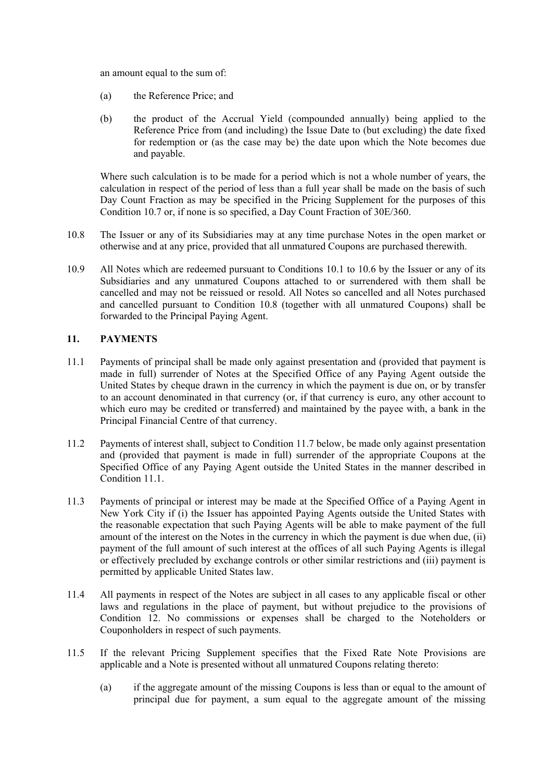an amount equal to the sum of:

- (a) the Reference Price; and
- (b) the product of the Accrual Yield (compounded annually) being applied to the Reference Price from (and including) the Issue Date to (but excluding) the date fixed for redemption or (as the case may be) the date upon which the Note becomes due and payable.

Where such calculation is to be made for a period which is not a whole number of years, the calculation in respect of the period of less than a full year shall be made on the basis of such Day Count Fraction as may be specified in the Pricing Supplement for the purposes of this Condition 10.7 or, if none is so specified, a Day Count Fraction of 30E/360.

- 10.8 The Issuer or any of its Subsidiaries may at any time purchase Notes in the open market or otherwise and at any price, provided that all unmatured Coupons are purchased therewith.
- 10.9 All Notes which are redeemed pursuant to Conditions 10.1 to 10.6 by the Issuer or any of its Subsidiaries and any unmatured Coupons attached to or surrendered with them shall be cancelled and may not be reissued or resold. All Notes so cancelled and all Notes purchased and cancelled pursuant to Condition 10.8 (together with all unmatured Coupons) shall be forwarded to the Principal Paying Agent.

# **11. PAYMENTS**

- 11.1 Payments of principal shall be made only against presentation and (provided that payment is made in full) surrender of Notes at the Specified Office of any Paying Agent outside the United States by cheque drawn in the currency in which the payment is due on, or by transfer to an account denominated in that currency (or, if that currency is euro, any other account to which euro may be credited or transferred) and maintained by the payee with, a bank in the Principal Financial Centre of that currency.
- 11.2 Payments of interest shall, subject to Condition 11.7 below, be made only against presentation and (provided that payment is made in full) surrender of the appropriate Coupons at the Specified Office of any Paying Agent outside the United States in the manner described in Condition 11.1.
- 11.3 Payments of principal or interest may be made at the Specified Office of a Paying Agent in New York City if (i) the Issuer has appointed Paying Agents outside the United States with the reasonable expectation that such Paying Agents will be able to make payment of the full amount of the interest on the Notes in the currency in which the payment is due when due, (ii) payment of the full amount of such interest at the offices of all such Paying Agents is illegal or effectively precluded by exchange controls or other similar restrictions and (iii) payment is permitted by applicable United States law.
- 11.4 All payments in respect of the Notes are subject in all cases to any applicable fiscal or other laws and regulations in the place of payment, but without prejudice to the provisions of Condition 12. No commissions or expenses shall be charged to the Noteholders or Couponholders in respect of such payments.
- 11.5 If the relevant Pricing Supplement specifies that the Fixed Rate Note Provisions are applicable and a Note is presented without all unmatured Coupons relating thereto:
	- (a) if the aggregate amount of the missing Coupons is less than or equal to the amount of principal due for payment, a sum equal to the aggregate amount of the missing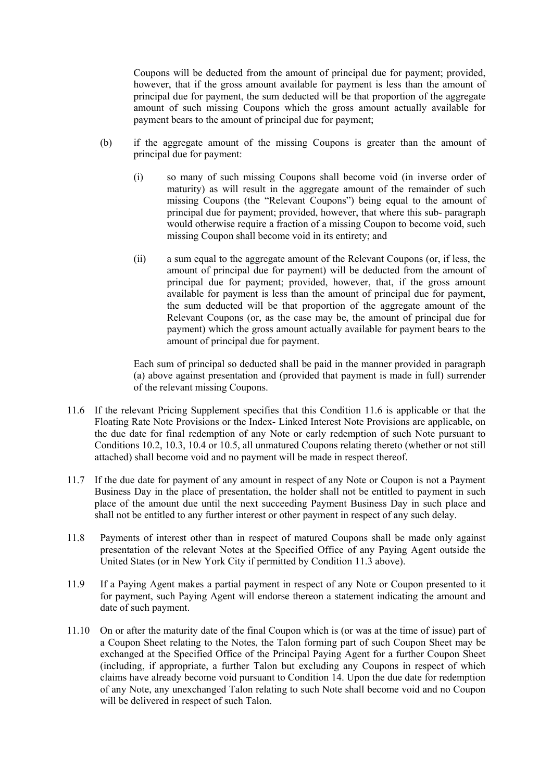Coupons will be deducted from the amount of principal due for payment; provided, however, that if the gross amount available for payment is less than the amount of principal due for payment, the sum deducted will be that proportion of the aggregate amount of such missing Coupons which the gross amount actually available for payment bears to the amount of principal due for payment;

- (b) if the aggregate amount of the missing Coupons is greater than the amount of principal due for payment:
	- (i) so many of such missing Coupons shall become void (in inverse order of maturity) as will result in the aggregate amount of the remainder of such missing Coupons (the "Relevant Coupons") being equal to the amount of principal due for payment; provided, however, that where this sub- paragraph would otherwise require a fraction of a missing Coupon to become void, such missing Coupon shall become void in its entirety; and
	- (ii) a sum equal to the aggregate amount of the Relevant Coupons (or, if less, the amount of principal due for payment) will be deducted from the amount of principal due for payment; provided, however, that, if the gross amount available for payment is less than the amount of principal due for payment, the sum deducted will be that proportion of the aggregate amount of the Relevant Coupons (or, as the case may be, the amount of principal due for payment) which the gross amount actually available for payment bears to the amount of principal due for payment.

Each sum of principal so deducted shall be paid in the manner provided in paragraph (a) above against presentation and (provided that payment is made in full) surrender of the relevant missing Coupons.

- 11.6 If the relevant Pricing Supplement specifies that this Condition 11.6 is applicable or that the Floating Rate Note Provisions or the Index- Linked Interest Note Provisions are applicable, on the due date for final redemption of any Note or early redemption of such Note pursuant to Conditions 10.2, 10.3, 10.4 or 10.5, all unmatured Coupons relating thereto (whether or not still attached) shall become void and no payment will be made in respect thereof.
- 11.7 If the due date for payment of any amount in respect of any Note or Coupon is not a Payment Business Day in the place of presentation, the holder shall not be entitled to payment in such place of the amount due until the next succeeding Payment Business Day in such place and shall not be entitled to any further interest or other payment in respect of any such delay.
- 11.8 Payments of interest other than in respect of matured Coupons shall be made only against presentation of the relevant Notes at the Specified Office of any Paying Agent outside the United States (or in New York City if permitted by Condition 11.3 above).
- 11.9 If a Paying Agent makes a partial payment in respect of any Note or Coupon presented to it for payment, such Paying Agent will endorse thereon a statement indicating the amount and date of such payment.
- 11.10 On or after the maturity date of the final Coupon which is (or was at the time of issue) part of a Coupon Sheet relating to the Notes, the Talon forming part of such Coupon Sheet may be exchanged at the Specified Office of the Principal Paying Agent for a further Coupon Sheet (including, if appropriate, a further Talon but excluding any Coupons in respect of which claims have already become void pursuant to Condition 14. Upon the due date for redemption of any Note, any unexchanged Talon relating to such Note shall become void and no Coupon will be delivered in respect of such Talon.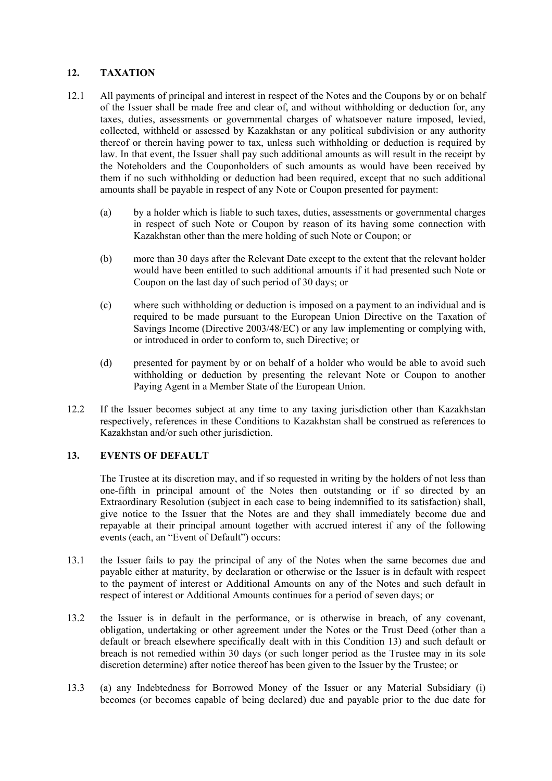# **12. TAXATION**

- 12.1 All payments of principal and interest in respect of the Notes and the Coupons by or on behalf of the Issuer shall be made free and clear of, and without withholding or deduction for, any taxes, duties, assessments or governmental charges of whatsoever nature imposed, levied, collected, withheld or assessed by Kazakhstan or any political subdivision or any authority thereof or therein having power to tax, unless such withholding or deduction is required by law. In that event, the Issuer shall pay such additional amounts as will result in the receipt by the Noteholders and the Couponholders of such amounts as would have been received by them if no such withholding or deduction had been required, except that no such additional amounts shall be payable in respect of any Note or Coupon presented for payment:
	- (a) by a holder which is liable to such taxes, duties, assessments or governmental charges in respect of such Note or Coupon by reason of its having some connection with Kazakhstan other than the mere holding of such Note or Coupon; or
	- (b) more than 30 days after the Relevant Date except to the extent that the relevant holder would have been entitled to such additional amounts if it had presented such Note or Coupon on the last day of such period of 30 days; or
	- (c) where such withholding or deduction is imposed on a payment to an individual and is required to be made pursuant to the European Union Directive on the Taxation of Savings Income (Directive 2003/48/EC) or any law implementing or complying with, or introduced in order to conform to, such Directive; or
	- (d) presented for payment by or on behalf of a holder who would be able to avoid such withholding or deduction by presenting the relevant Note or Coupon to another Paying Agent in a Member State of the European Union.
- 12.2 If the Issuer becomes subject at any time to any taxing jurisdiction other than Kazakhstan respectively, references in these Conditions to Kazakhstan shall be construed as references to Kazakhstan and/or such other jurisdiction.

### **13. EVENTS OF DEFAULT**

 The Trustee at its discretion may, and if so requested in writing by the holders of not less than one-fifth in principal amount of the Notes then outstanding or if so directed by an Extraordinary Resolution (subject in each case to being indemnified to its satisfaction) shall, give notice to the Issuer that the Notes are and they shall immediately become due and repayable at their principal amount together with accrued interest if any of the following events (each, an "Event of Default") occurs:

- 13.1 the Issuer fails to pay the principal of any of the Notes when the same becomes due and payable either at maturity, by declaration or otherwise or the Issuer is in default with respect to the payment of interest or Additional Amounts on any of the Notes and such default in respect of interest or Additional Amounts continues for a period of seven days; or
- 13.2 the Issuer is in default in the performance, or is otherwise in breach, of any covenant, obligation, undertaking or other agreement under the Notes or the Trust Deed (other than a default or breach elsewhere specifically dealt with in this Condition 13) and such default or breach is not remedied within 30 days (or such longer period as the Trustee may in its sole discretion determine) after notice thereof has been given to the Issuer by the Trustee; or
- 13.3 (a) any Indebtedness for Borrowed Money of the Issuer or any Material Subsidiary (i) becomes (or becomes capable of being declared) due and payable prior to the due date for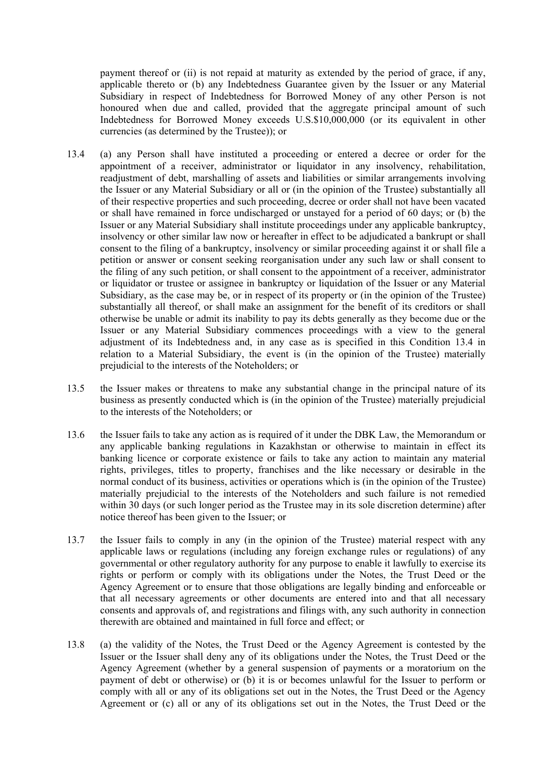payment thereof or (ii) is not repaid at maturity as extended by the period of grace, if any, applicable thereto or (b) any Indebtedness Guarantee given by the Issuer or any Material Subsidiary in respect of Indebtedness for Borrowed Money of any other Person is not honoured when due and called, provided that the aggregate principal amount of such Indebtedness for Borrowed Money exceeds U.S.\$10,000,000 (or its equivalent in other currencies (as determined by the Trustee)); or

- 13.4 (a) any Person shall have instituted a proceeding or entered a decree or order for the appointment of a receiver, administrator or liquidator in any insolvency, rehabilitation, readjustment of debt, marshalling of assets and liabilities or similar arrangements involving the Issuer or any Material Subsidiary or all or (in the opinion of the Trustee) substantially all of their respective properties and such proceeding, decree or order shall not have been vacated or shall have remained in force undischarged or unstayed for a period of 60 days; or (b) the Issuer or any Material Subsidiary shall institute proceedings under any applicable bankruptcy, insolvency or other similar law now or hereafter in effect to be adjudicated a bankrupt or shall consent to the filing of a bankruptcy, insolvency or similar proceeding against it or shall file a petition or answer or consent seeking reorganisation under any such law or shall consent to the filing of any such petition, or shall consent to the appointment of a receiver, administrator or liquidator or trustee or assignee in bankruptcy or liquidation of the Issuer or any Material Subsidiary, as the case may be, or in respect of its property or (in the opinion of the Trustee) substantially all thereof, or shall make an assignment for the benefit of its creditors or shall otherwise be unable or admit its inability to pay its debts generally as they become due or the Issuer or any Material Subsidiary commences proceedings with a view to the general adjustment of its Indebtedness and, in any case as is specified in this Condition 13.4 in relation to a Material Subsidiary, the event is (in the opinion of the Trustee) materially prejudicial to the interests of the Noteholders; or
- 13.5 the Issuer makes or threatens to make any substantial change in the principal nature of its business as presently conducted which is (in the opinion of the Trustee) materially prejudicial to the interests of the Noteholders; or
- 13.6 the Issuer fails to take any action as is required of it under the DBK Law, the Memorandum or any applicable banking regulations in Kazakhstan or otherwise to maintain in effect its banking licence or corporate existence or fails to take any action to maintain any material rights, privileges, titles to property, franchises and the like necessary or desirable in the normal conduct of its business, activities or operations which is (in the opinion of the Trustee) materially prejudicial to the interests of the Noteholders and such failure is not remedied within 30 days (or such longer period as the Trustee may in its sole discretion determine) after notice thereof has been given to the Issuer; or
- 13.7 the Issuer fails to comply in any (in the opinion of the Trustee) material respect with any applicable laws or regulations (including any foreign exchange rules or regulations) of any governmental or other regulatory authority for any purpose to enable it lawfully to exercise its rights or perform or comply with its obligations under the Notes, the Trust Deed or the Agency Agreement or to ensure that those obligations are legally binding and enforceable or that all necessary agreements or other documents are entered into and that all necessary consents and approvals of, and registrations and filings with, any such authority in connection therewith are obtained and maintained in full force and effect; or
- 13.8 (a) the validity of the Notes, the Trust Deed or the Agency Agreement is contested by the Issuer or the Issuer shall deny any of its obligations under the Notes, the Trust Deed or the Agency Agreement (whether by a general suspension of payments or a moratorium on the payment of debt or otherwise) or (b) it is or becomes unlawful for the Issuer to perform or comply with all or any of its obligations set out in the Notes, the Trust Deed or the Agency Agreement or (c) all or any of its obligations set out in the Notes, the Trust Deed or the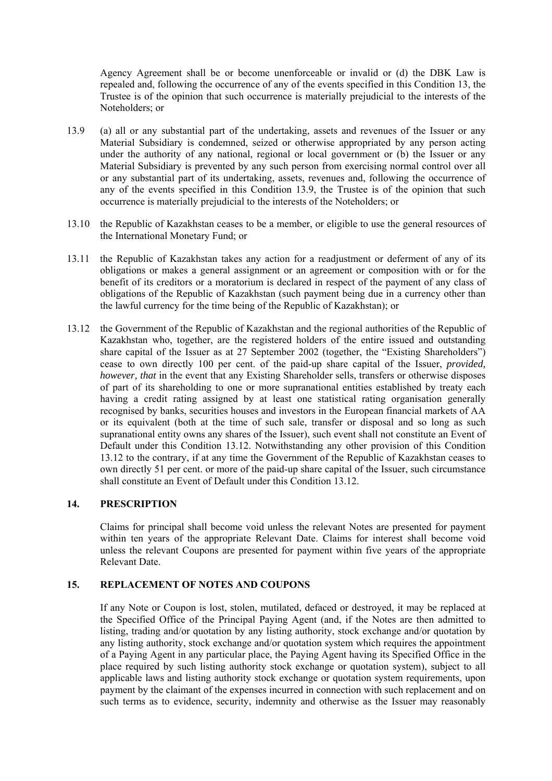Agency Agreement shall be or become unenforceable or invalid or (d) the DBK Law is repealed and, following the occurrence of any of the events specified in this Condition 13, the Trustee is of the opinion that such occurrence is materially prejudicial to the interests of the Noteholders; or

- 13.9 (a) all or any substantial part of the undertaking, assets and revenues of the Issuer or any Material Subsidiary is condemned, seized or otherwise appropriated by any person acting under the authority of any national, regional or local government or (b) the Issuer or any Material Subsidiary is prevented by any such person from exercising normal control over all or any substantial part of its undertaking, assets, revenues and, following the occurrence of any of the events specified in this Condition 13.9, the Trustee is of the opinion that such occurrence is materially prejudicial to the interests of the Noteholders; or
- 13.10 the Republic of Kazakhstan ceases to be a member, or eligible to use the general resources of the International Monetary Fund; or
- 13.11 the Republic of Kazakhstan takes any action for a readjustment or deferment of any of its obligations or makes a general assignment or an agreement or composition with or for the benefit of its creditors or a moratorium is declared in respect of the payment of any class of obligations of the Republic of Kazakhstan (such payment being due in a currency other than the lawful currency for the time being of the Republic of Kazakhstan); or
- 13.12 the Government of the Republic of Kazakhstan and the regional authorities of the Republic of Kazakhstan who, together, are the registered holders of the entire issued and outstanding share capital of the Issuer as at 27 September 2002 (together, the "Existing Shareholders") cease to own directly 100 per cent. of the paid-up share capital of the Issuer, *provided, however, that* in the event that any Existing Shareholder sells, transfers or otherwise disposes of part of its shareholding to one or more supranational entities established by treaty each having a credit rating assigned by at least one statistical rating organisation generally recognised by banks, securities houses and investors in the European financial markets of AA or its equivalent (both at the time of such sale, transfer or disposal and so long as such supranational entity owns any shares of the Issuer), such event shall not constitute an Event of Default under this Condition 13.12. Notwithstanding any other provision of this Condition 13.12 to the contrary, if at any time the Government of the Republic of Kazakhstan ceases to own directly 51 per cent. or more of the paid-up share capital of the Issuer, such circumstance shall constitute an Event of Default under this Condition 13.12.

### **14. PRESCRIPTION**

Claims for principal shall become void unless the relevant Notes are presented for payment within ten years of the appropriate Relevant Date. Claims for interest shall become void unless the relevant Coupons are presented for payment within five years of the appropriate Relevant Date.

# **15. REPLACEMENT OF NOTES AND COUPONS**

If any Note or Coupon is lost, stolen, mutilated, defaced or destroyed, it may be replaced at the Specified Office of the Principal Paying Agent (and, if the Notes are then admitted to listing, trading and/or quotation by any listing authority, stock exchange and/or quotation by any listing authority, stock exchange and/or quotation system which requires the appointment of a Paying Agent in any particular place, the Paying Agent having its Specified Office in the place required by such listing authority stock exchange or quotation system), subject to all applicable laws and listing authority stock exchange or quotation system requirements, upon payment by the claimant of the expenses incurred in connection with such replacement and on such terms as to evidence, security, indemnity and otherwise as the Issuer may reasonably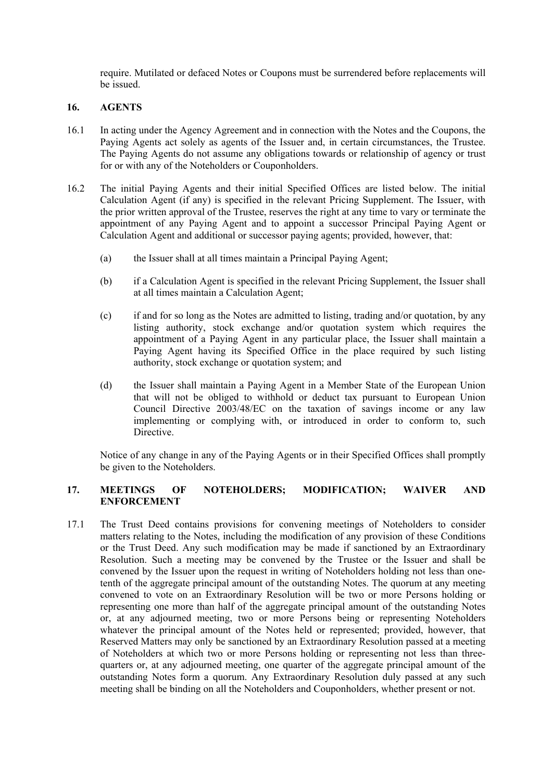require. Mutilated or defaced Notes or Coupons must be surrendered before replacements will be issued.

### **16. AGENTS**

- 16.1 In acting under the Agency Agreement and in connection with the Notes and the Coupons, the Paying Agents act solely as agents of the Issuer and, in certain circumstances, the Trustee. The Paying Agents do not assume any obligations towards or relationship of agency or trust for or with any of the Noteholders or Couponholders.
- 16.2 The initial Paying Agents and their initial Specified Offices are listed below. The initial Calculation Agent (if any) is specified in the relevant Pricing Supplement. The Issuer, with the prior written approval of the Trustee, reserves the right at any time to vary or terminate the appointment of any Paying Agent and to appoint a successor Principal Paying Agent or Calculation Agent and additional or successor paying agents; provided, however, that:
	- (a) the Issuer shall at all times maintain a Principal Paying Agent;
	- (b) if a Calculation Agent is specified in the relevant Pricing Supplement, the Issuer shall at all times maintain a Calculation Agent;
	- (c) if and for so long as the Notes are admitted to listing, trading and/or quotation, by any listing authority, stock exchange and/or quotation system which requires the appointment of a Paying Agent in any particular place, the Issuer shall maintain a Paying Agent having its Specified Office in the place required by such listing authority, stock exchange or quotation system; and
	- (d) the Issuer shall maintain a Paying Agent in a Member State of the European Union that will not be obliged to withhold or deduct tax pursuant to European Union Council Directive 2003/48/EC on the taxation of savings income or any law implementing or complying with, or introduced in order to conform to, such Directive.

Notice of any change in any of the Paying Agents or in their Specified Offices shall promptly be given to the Noteholders.

### **17. MEETINGS OF NOTEHOLDERS; MODIFICATION; WAIVER AND ENFORCEMENT**

17.1 The Trust Deed contains provisions for convening meetings of Noteholders to consider matters relating to the Notes, including the modification of any provision of these Conditions or the Trust Deed. Any such modification may be made if sanctioned by an Extraordinary Resolution. Such a meeting may be convened by the Trustee or the Issuer and shall be convened by the Issuer upon the request in writing of Noteholders holding not less than onetenth of the aggregate principal amount of the outstanding Notes. The quorum at any meeting convened to vote on an Extraordinary Resolution will be two or more Persons holding or representing one more than half of the aggregate principal amount of the outstanding Notes or, at any adjourned meeting, two or more Persons being or representing Noteholders whatever the principal amount of the Notes held or represented; provided, however, that Reserved Matters may only be sanctioned by an Extraordinary Resolution passed at a meeting of Noteholders at which two or more Persons holding or representing not less than threequarters or, at any adjourned meeting, one quarter of the aggregate principal amount of the outstanding Notes form a quorum. Any Extraordinary Resolution duly passed at any such meeting shall be binding on all the Noteholders and Couponholders, whether present or not.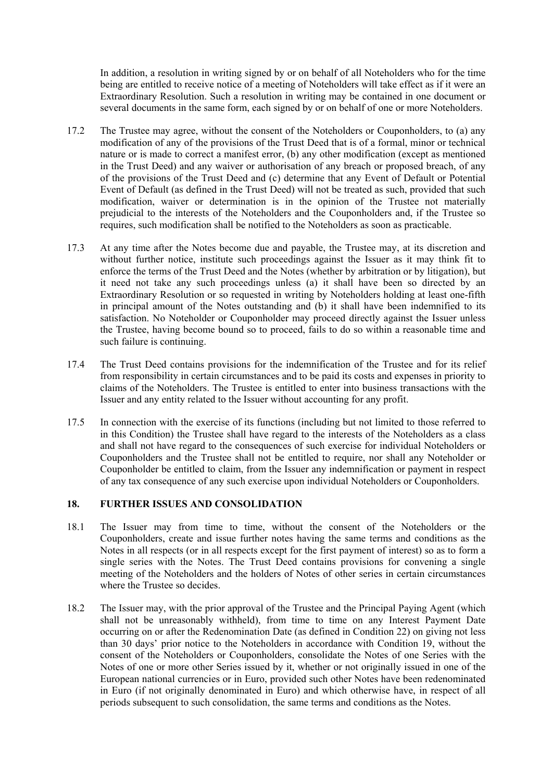In addition, a resolution in writing signed by or on behalf of all Noteholders who for the time being are entitled to receive notice of a meeting of Noteholders will take effect as if it were an Extraordinary Resolution. Such a resolution in writing may be contained in one document or several documents in the same form, each signed by or on behalf of one or more Noteholders.

- 17.2 The Trustee may agree, without the consent of the Noteholders or Couponholders, to (a) any modification of any of the provisions of the Trust Deed that is of a formal, minor or technical nature or is made to correct a manifest error, (b) any other modification (except as mentioned in the Trust Deed) and any waiver or authorisation of any breach or proposed breach, of any of the provisions of the Trust Deed and (c) determine that any Event of Default or Potential Event of Default (as defined in the Trust Deed) will not be treated as such, provided that such modification, waiver or determination is in the opinion of the Trustee not materially prejudicial to the interests of the Noteholders and the Couponholders and, if the Trustee so requires, such modification shall be notified to the Noteholders as soon as practicable.
- 17.3 At any time after the Notes become due and payable, the Trustee may, at its discretion and without further notice, institute such proceedings against the Issuer as it may think fit to enforce the terms of the Trust Deed and the Notes (whether by arbitration or by litigation), but it need not take any such proceedings unless (a) it shall have been so directed by an Extraordinary Resolution or so requested in writing by Noteholders holding at least one-fifth in principal amount of the Notes outstanding and (b) it shall have been indemnified to its satisfaction. No Noteholder or Couponholder may proceed directly against the Issuer unless the Trustee, having become bound so to proceed, fails to do so within a reasonable time and such failure is continuing.
- 17.4 The Trust Deed contains provisions for the indemnification of the Trustee and for its relief from responsibility in certain circumstances and to be paid its costs and expenses in priority to claims of the Noteholders. The Trustee is entitled to enter into business transactions with the Issuer and any entity related to the Issuer without accounting for any profit.
- 17.5 In connection with the exercise of its functions (including but not limited to those referred to in this Condition) the Trustee shall have regard to the interests of the Noteholders as a class and shall not have regard to the consequences of such exercise for individual Noteholders or Couponholders and the Trustee shall not be entitled to require, nor shall any Noteholder or Couponholder be entitled to claim, from the Issuer any indemnification or payment in respect of any tax consequence of any such exercise upon individual Noteholders or Couponholders.

# **18. FURTHER ISSUES AND CONSOLIDATION**

- 18.1 The Issuer may from time to time, without the consent of the Noteholders or the Couponholders, create and issue further notes having the same terms and conditions as the Notes in all respects (or in all respects except for the first payment of interest) so as to form a single series with the Notes. The Trust Deed contains provisions for convening a single meeting of the Noteholders and the holders of Notes of other series in certain circumstances where the Trustee so decides.
- 18.2 The Issuer may, with the prior approval of the Trustee and the Principal Paying Agent (which shall not be unreasonably withheld), from time to time on any Interest Payment Date occurring on or after the Redenomination Date (as defined in Condition 22) on giving not less than 30 days' prior notice to the Noteholders in accordance with Condition 19, without the consent of the Noteholders or Couponholders, consolidate the Notes of one Series with the Notes of one or more other Series issued by it, whether or not originally issued in one of the European national currencies or in Euro, provided such other Notes have been redenominated in Euro (if not originally denominated in Euro) and which otherwise have, in respect of all periods subsequent to such consolidation, the same terms and conditions as the Notes.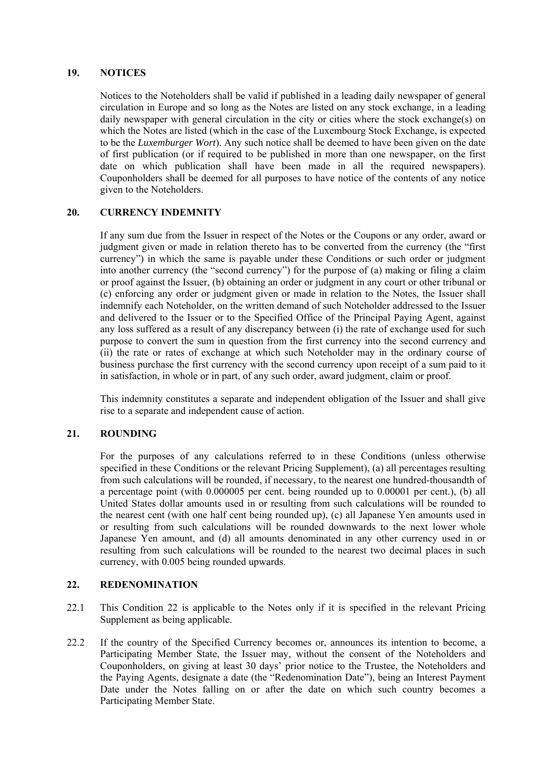### **19. NOTICES**

Notices to the Noteholders shall be valid if published in a leading daily newspaper of general circulation in Europe and so long as the Notes are listed on any stock exchange, in a leading daily newspaper with general circulation in the city or cities where the stock exchange(s) on which the Notes are listed (which in the case of the Luxembourg Stock Exchange, is expected to be the *Luxemburger Wort*). Any such notice shall be deemed to have been given on the date of first publication (or if required to be published in more than one newspaper, on the first date on which publication shall have been made in all the required newspapers). Couponholders shall be deemed for all purposes to have notice of the contents of any notice given to the Noteholders.

### **20. CURRENCY INDEMNITY**

If any sum due from the Issuer in respect of the Notes or the Coupons or any order, award or judgment given or made in relation thereto has to be converted from the currency (the "first currency") in which the same is payable under these Conditions or such order or judgment into another currency (the "second currency") for the purpose of (a) making or filing a claim or proof against the Issuer, (b) obtaining an order or judgment in any court or other tribunal or (c) enforcing any order or judgment given or made in relation to the Notes, the Issuer shall indemnify each Noteholder, on the written demand of such Noteholder addressed to the Issuer and delivered to the Issuer or to the Specified Office of the Principal Paying Agent, against any loss suffered as a result of any discrepancy between (i) the rate of exchange used for such purpose to convert the sum in question from the first currency into the second currency and (ii) the rate or rates of exchange at which such Noteholder may in the ordinary course of business purchase the first currency with the second currency upon receipt of a sum paid to it in satisfaction, in whole or in part, of any such order, award judgment, claim or proof.

This indemnity constitutes a separate and independent obligation of the Issuer and shall give rise to a separate and independent cause of action.

### **21. ROUNDING**

For the purposes of any calculations referred to in these Conditions (unless otherwise specified in these Conditions or the relevant Pricing Supplement), (a) all percentages resulting from such calculations will be rounded, if necessary, to the nearest one hundred-thousandth of a percentage point (with 0.000005 per cent. being rounded up to 0.00001 per cent.), (b) all United States dollar amounts used in or resulting from such calculations will be rounded to the nearest cent (with one half cent being rounded up), (c) all Japanese Yen amounts used in or resulting from such calculations will be rounded downwards to the next lower whole Japanese Yen amount, and (d) all amounts denominated in any other currency used in or resulting from such calculations will be rounded to the nearest two decimal places in such currency, with 0.005 being rounded upwards.

### **22. REDENOMINATION**

- 22.1 This Condition 22 is applicable to the Notes only if it is specified in the relevant Pricing Supplement as being applicable.
- 22.2 If the country of the Specified Currency becomes or, announces its intention to become, a Participating Member State, the Issuer may, without the consent of the Noteholders and Couponholders, on giving at least 30 days' prior notice to the Trustee, the Noteholders and the Paying Agents, designate a date (the "Redenomination Date"), being an Interest Payment Date under the Notes falling on or after the date on which such country becomes a Participating Member State.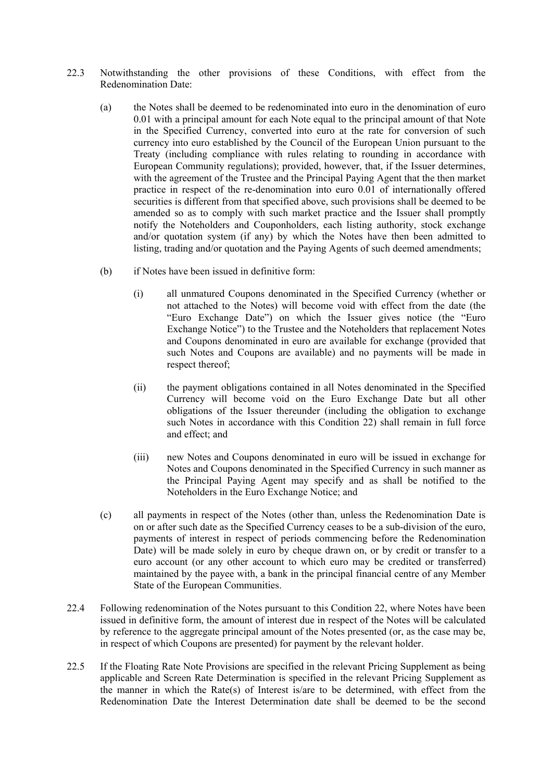- 22.3 Notwithstanding the other provisions of these Conditions, with effect from the Redenomination Date:
	- (a) the Notes shall be deemed to be redenominated into euro in the denomination of euro 0.01 with a principal amount for each Note equal to the principal amount of that Note in the Specified Currency, converted into euro at the rate for conversion of such currency into euro established by the Council of the European Union pursuant to the Treaty (including compliance with rules relating to rounding in accordance with European Community regulations); provided, however, that, if the Issuer determines, with the agreement of the Trustee and the Principal Paying Agent that the then market practice in respect of the re-denomination into euro 0.01 of internationally offered securities is different from that specified above, such provisions shall be deemed to be amended so as to comply with such market practice and the Issuer shall promptly notify the Noteholders and Couponholders, each listing authority, stock exchange and/or quotation system (if any) by which the Notes have then been admitted to listing, trading and/or quotation and the Paying Agents of such deemed amendments;
	- (b) if Notes have been issued in definitive form:
		- (i) all unmatured Coupons denominated in the Specified Currency (whether or not attached to the Notes) will become void with effect from the date (the "Euro Exchange Date") on which the Issuer gives notice (the "Euro Exchange Notice") to the Trustee and the Noteholders that replacement Notes and Coupons denominated in euro are available for exchange (provided that such Notes and Coupons are available) and no payments will be made in respect thereof:
		- (ii) the payment obligations contained in all Notes denominated in the Specified Currency will become void on the Euro Exchange Date but all other obligations of the Issuer thereunder (including the obligation to exchange such Notes in accordance with this Condition 22) shall remain in full force and effect; and
		- (iii) new Notes and Coupons denominated in euro will be issued in exchange for Notes and Coupons denominated in the Specified Currency in such manner as the Principal Paying Agent may specify and as shall be notified to the Noteholders in the Euro Exchange Notice; and
	- (c) all payments in respect of the Notes (other than, unless the Redenomination Date is on or after such date as the Specified Currency ceases to be a sub-division of the euro, payments of interest in respect of periods commencing before the Redenomination Date) will be made solely in euro by cheque drawn on, or by credit or transfer to a euro account (or any other account to which euro may be credited or transferred) maintained by the payee with, a bank in the principal financial centre of any Member State of the European Communities.
- 22.4 Following redenomination of the Notes pursuant to this Condition 22, where Notes have been issued in definitive form, the amount of interest due in respect of the Notes will be calculated by reference to the aggregate principal amount of the Notes presented (or, as the case may be, in respect of which Coupons are presented) for payment by the relevant holder.
- 22.5 If the Floating Rate Note Provisions are specified in the relevant Pricing Supplement as being applicable and Screen Rate Determination is specified in the relevant Pricing Supplement as the manner in which the Rate(s) of Interest is/are to be determined, with effect from the Redenomination Date the Interest Determination date shall be deemed to be the second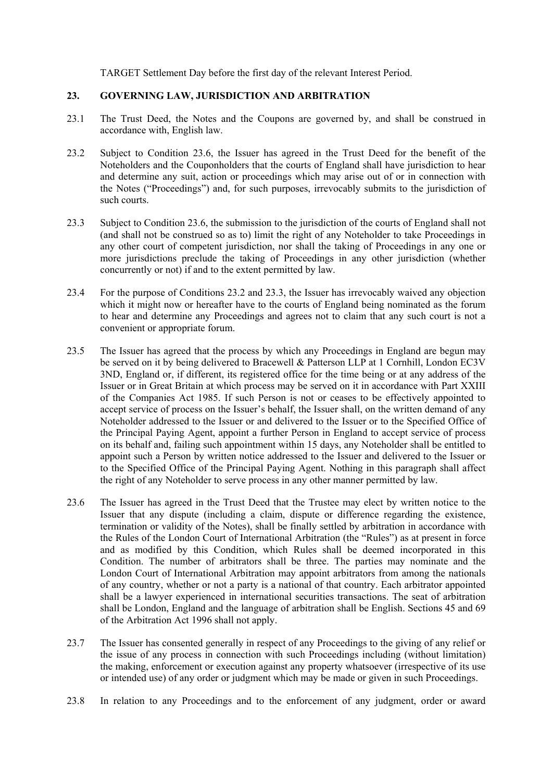TARGET Settlement Day before the first day of the relevant Interest Period.

### **23. GOVERNING LAW, JURISDICTION AND ARBITRATION**

- 23.1 The Trust Deed, the Notes and the Coupons are governed by, and shall be construed in accordance with, English law.
- 23.2 Subject to Condition 23.6, the Issuer has agreed in the Trust Deed for the benefit of the Noteholders and the Couponholders that the courts of England shall have jurisdiction to hear and determine any suit, action or proceedings which may arise out of or in connection with the Notes ("Proceedings") and, for such purposes, irrevocably submits to the jurisdiction of such courts.
- 23.3 Subject to Condition 23.6, the submission to the jurisdiction of the courts of England shall not (and shall not be construed so as to) limit the right of any Noteholder to take Proceedings in any other court of competent jurisdiction, nor shall the taking of Proceedings in any one or more jurisdictions preclude the taking of Proceedings in any other jurisdiction (whether concurrently or not) if and to the extent permitted by law.
- 23.4 For the purpose of Conditions 23.2 and 23.3, the Issuer has irrevocably waived any objection which it might now or hereafter have to the courts of England being nominated as the forum to hear and determine any Proceedings and agrees not to claim that any such court is not a convenient or appropriate forum.
- 23.5 The Issuer has agreed that the process by which any Proceedings in England are begun may be served on it by being delivered to Bracewell & Patterson LLP at 1 Cornhill, London EC3V 3ND, England or, if different, its registered office for the time being or at any address of the Issuer or in Great Britain at which process may be served on it in accordance with Part XXIII of the Companies Act 1985. If such Person is not or ceases to be effectively appointed to accept service of process on the Issuer's behalf, the Issuer shall, on the written demand of any Noteholder addressed to the Issuer or and delivered to the Issuer or to the Specified Office of the Principal Paying Agent, appoint a further Person in England to accept service of process on its behalf and, failing such appointment within 15 days, any Noteholder shall be entitled to appoint such a Person by written notice addressed to the Issuer and delivered to the Issuer or to the Specified Office of the Principal Paying Agent. Nothing in this paragraph shall affect the right of any Noteholder to serve process in any other manner permitted by law.
- 23.6 The Issuer has agreed in the Trust Deed that the Trustee may elect by written notice to the Issuer that any dispute (including a claim, dispute or difference regarding the existence, termination or validity of the Notes), shall be finally settled by arbitration in accordance with the Rules of the London Court of International Arbitration (the "Rules") as at present in force and as modified by this Condition, which Rules shall be deemed incorporated in this Condition. The number of arbitrators shall be three. The parties may nominate and the London Court of International Arbitration may appoint arbitrators from among the nationals of any country, whether or not a party is a national of that country. Each arbitrator appointed shall be a lawyer experienced in international securities transactions. The seat of arbitration shall be London, England and the language of arbitration shall be English. Sections 45 and 69 of the Arbitration Act 1996 shall not apply.
- 23.7 The Issuer has consented generally in respect of any Proceedings to the giving of any relief or the issue of any process in connection with such Proceedings including (without limitation) the making, enforcement or execution against any property whatsoever (irrespective of its use or intended use) of any order or judgment which may be made or given in such Proceedings.
- 23.8 In relation to any Proceedings and to the enforcement of any judgment, order or award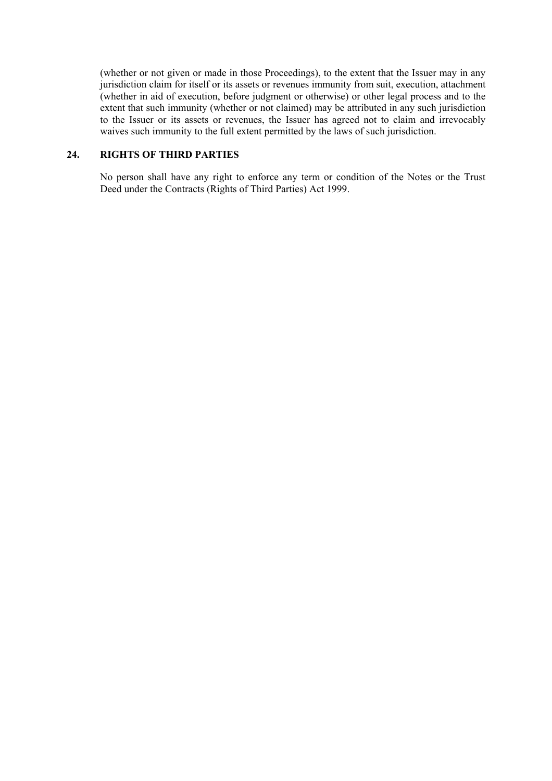(whether or not given or made in those Proceedings), to the extent that the Issuer may in any jurisdiction claim for itself or its assets or revenues immunity from suit, execution, attachment (whether in aid of execution, before judgment or otherwise) or other legal process and to the extent that such immunity (whether or not claimed) may be attributed in any such jurisdiction to the Issuer or its assets or revenues, the Issuer has agreed not to claim and irrevocably waives such immunity to the full extent permitted by the laws of such jurisdiction.

### **24. RIGHTS OF THIRD PARTIES**

No person shall have any right to enforce any term or condition of the Notes or the Trust Deed under the Contracts (Rights of Third Parties) Act 1999.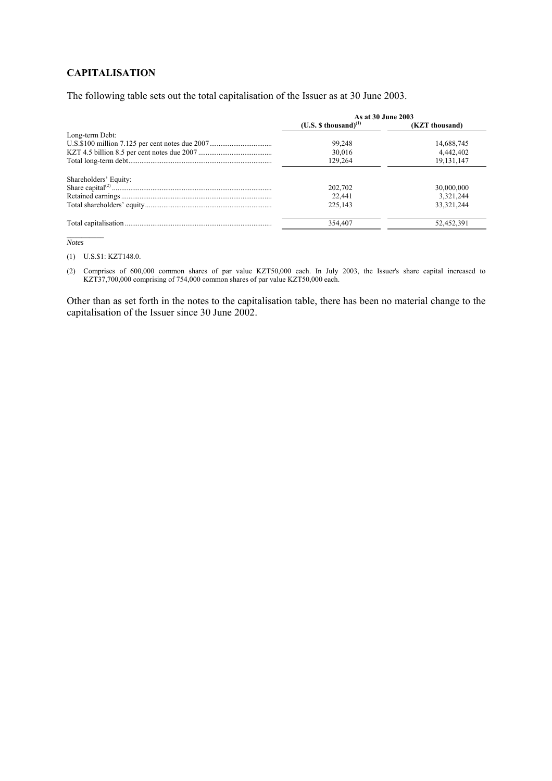### **CAPITALISATION**

The following table sets out the total capitalisation of the Issuer as at 30 June 2003.

|                       | As at 30 June 2003       |                |  |
|-----------------------|--------------------------|----------------|--|
|                       | $(U.S. $thousand)^{(1)}$ | (KZT thousand) |  |
| Long-term Debt:       |                          |                |  |
|                       | 99,248                   | 14,688,745     |  |
|                       | 30,016                   | 4,442,402      |  |
|                       | 129.264                  | 19,131,147     |  |
| Shareholders' Equity: |                          |                |  |
|                       | 202,702                  | 30,000,000     |  |
|                       | 22.441                   | 3,321,244      |  |
|                       | 225.143                  | 33.321.244     |  |
|                       | 354,407                  | 52,452,391     |  |

*Notes*

(1) U.S.\$1: KZT148.0.

(2) Comprises of 600,000 common shares of par value KZT50,000 each. In July 2003, the Issuer's share capital increased to KZT37,700,000 comprising of 754,000 common shares of par value KZT50,000 each.

Other than as set forth in the notes to the capitalisation table, there has been no material change to the capitalisation of the Issuer since 30 June 2002.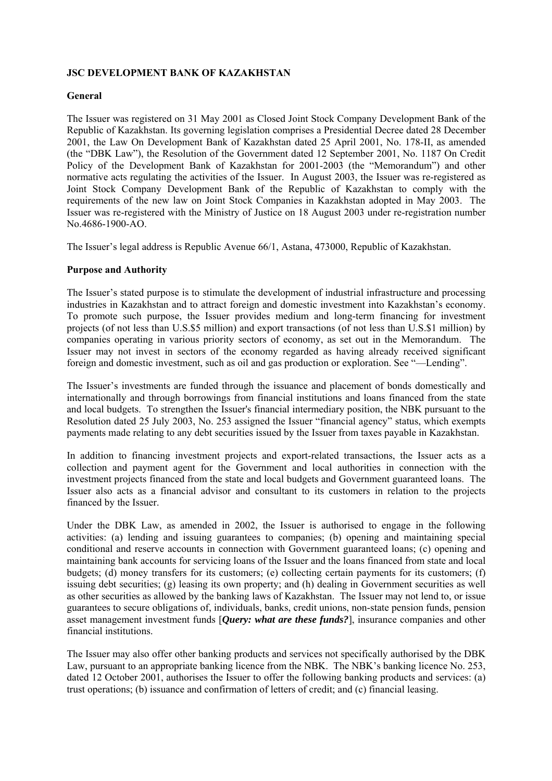## **JSC DEVELOPMENT BANK OF KAZAKHSTAN**

### **General**

The Issuer was registered on 31 May 2001 as Closed Joint Stock Company Development Bank of the Republic of Kazakhstan. Its governing legislation comprises a Presidential Decree dated 28 December 2001, the Law On Development Bank of Kazakhstan dated 25 April 2001, No. 178-II, as amended (the "DBK Law"), the Resolution of the Government dated 12 September 2001, No. 1187 On Credit Policy of the Development Bank of Kazakhstan for 2001-2003 (the "Memorandum") and other normative acts regulating the activities of the Issuer. In August 2003, the Issuer was re-registered as Joint Stock Company Development Bank of the Republic of Kazakhstan to comply with the requirements of the new law on Joint Stock Companies in Kazakhstan adopted in May 2003. The Issuer was re-registered with the Ministry of Justice on 18 August 2003 under re-registration number No.4686-1900-AO.

The Issuer's legal address is Republic Avenue 66/1, Astana, 473000, Republic of Kazakhstan.

### **Purpose and Authority**

The Issuer's stated purpose is to stimulate the development of industrial infrastructure and processing industries in Kazakhstan and to attract foreign and domestic investment into Kazakhstan's economy. To promote such purpose, the Issuer provides medium and long-term financing for investment projects (of not less than U.S.\$5 million) and export transactions (of not less than U.S.\$1 million) by companies operating in various priority sectors of economy, as set out in the Memorandum. The Issuer may not invest in sectors of the economy regarded as having already received significant foreign and domestic investment, such as oil and gas production or exploration. See "—Lending".

The Issuer's investments are funded through the issuance and placement of bonds domestically and internationally and through borrowings from financial institutions and loans financed from the state and local budgets. To strengthen the Issuer's financial intermediary position, the NBK pursuant to the Resolution dated 25 July 2003, No. 253 assigned the Issuer "financial agency" status, which exempts payments made relating to any debt securities issued by the Issuer from taxes payable in Kazakhstan.

In addition to financing investment projects and export-related transactions, the Issuer acts as a collection and payment agent for the Government and local authorities in connection with the investment projects financed from the state and local budgets and Government guaranteed loans. The Issuer also acts as a financial advisor and consultant to its customers in relation to the projects financed by the Issuer.

Under the DBK Law, as amended in 2002, the Issuer is authorised to engage in the following activities: (a) lending and issuing guarantees to companies; (b) opening and maintaining special conditional and reserve accounts in connection with Government guaranteed loans; (c) opening and maintaining bank accounts for servicing loans of the Issuer and the loans financed from state and local budgets; (d) money transfers for its customers; (e) collecting certain payments for its customers; (f) issuing debt securities; (g) leasing its own property; and (h) dealing in Government securities as well as other securities as allowed by the banking laws of Kazakhstan. The Issuer may not lend to, or issue guarantees to secure obligations of, individuals, banks, credit unions, non-state pension funds, pension asset management investment funds [*Query: what are these funds?*], insurance companies and other financial institutions.

The Issuer may also offer other banking products and services not specifically authorised by the DBK Law, pursuant to an appropriate banking licence from the NBK. The NBK's banking licence No. 253, dated 12 October 2001, authorises the Issuer to offer the following banking products and services: (a) trust operations; (b) issuance and confirmation of letters of credit; and (c) financial leasing.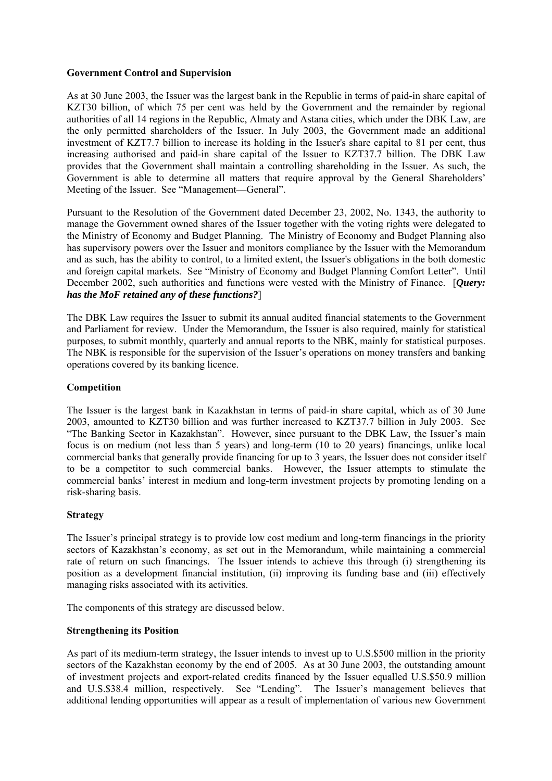### **Government Control and Supervision**

As at 30 June 2003, the Issuer was the largest bank in the Republic in terms of paid-in share capital of KZT30 billion, of which 75 per cent was held by the Government and the remainder by regional authorities of all 14 regions in the Republic, Almaty and Astana cities, which under the DBK Law, are the only permitted shareholders of the Issuer. In July 2003, the Government made an additional investment of KZT7.7 billion to increase its holding in the Issuer's share capital to 81 per cent, thus increasing authorised and paid-in share capital of the Issuer to KZT37.7 billion. The DBK Law provides that the Government shall maintain a controlling shareholding in the Issuer. As such, the Government is able to determine all matters that require approval by the General Shareholders' Meeting of the Issuer. See "Management—General".

Pursuant to the Resolution of the Government dated December 23, 2002, No. 1343, the authority to manage the Government owned shares of the Issuer together with the voting rights were delegated to the Ministry of Economy and Budget Planning. The Ministry of Economy and Budget Planning also has supervisory powers over the Issuer and monitors compliance by the Issuer with the Memorandum and as such, has the ability to control, to a limited extent, the Issuer's obligations in the both domestic and foreign capital markets. See "Ministry of Economy and Budget Planning Comfort Letter". Until December 2002, such authorities and functions were vested with the Ministry of Finance. [*Query: has the MoF retained any of these functions?*]

The DBK Law requires the Issuer to submit its annual audited financial statements to the Government and Parliament for review. Under the Memorandum, the Issuer is also required, mainly for statistical purposes, to submit monthly, quarterly and annual reports to the NBK, mainly for statistical purposes. The NBK is responsible for the supervision of the Issuer's operations on money transfers and banking operations covered by its banking licence.

### **Competition**

The Issuer is the largest bank in Kazakhstan in terms of paid-in share capital, which as of 30 June 2003, amounted to KZT30 billion and was further increased to KZT37.7 billion in July 2003. See "The Banking Sector in Kazakhstan". However, since pursuant to the DBK Law, the Issuer's main focus is on medium (not less than 5 years) and long-term (10 to 20 years) financings, unlike local commercial banks that generally provide financing for up to 3 years, the Issuer does not consider itself to be a competitor to such commercial banks. However, the Issuer attempts to stimulate the commercial banks' interest in medium and long-term investment projects by promoting lending on a risk-sharing basis.

### **Strategy**

The Issuer's principal strategy is to provide low cost medium and long-term financings in the priority sectors of Kazakhstan's economy, as set out in the Memorandum, while maintaining a commercial rate of return on such financings. The Issuer intends to achieve this through (i) strengthening its position as a development financial institution, (ii) improving its funding base and (iii) effectively managing risks associated with its activities.

The components of this strategy are discussed below.

### **Strengthening its Position**

As part of its medium-term strategy, the Issuer intends to invest up to U.S.\$500 million in the priority sectors of the Kazakhstan economy by the end of 2005. As at 30 June 2003, the outstanding amount of investment projects and export-related credits financed by the Issuer equalled U.S.\$50.9 million and U.S.\$38.4 million, respectively. See "Lending". The Issuer's management believes that additional lending opportunities will appear as a result of implementation of various new Government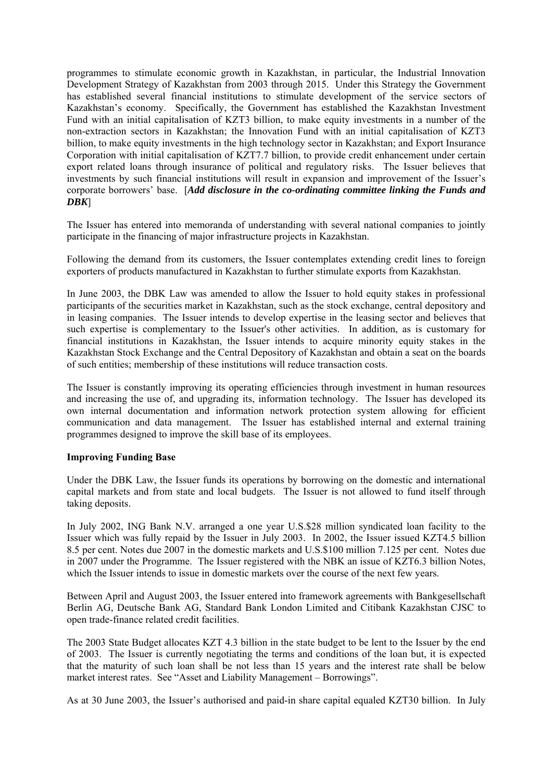programmes to stimulate economic growth in Kazakhstan, in particular, the Industrial Innovation Development Strategy of Kazakhstan from 2003 through 2015. Under this Strategy the Government has established several financial institutions to stimulate development of the service sectors of Kazakhstan's economy. Specifically, the Government has established the Kazakhstan Investment Fund with an initial capitalisation of KZT3 billion, to make equity investments in a number of the non-extraction sectors in Kazakhstan; the Innovation Fund with an initial capitalisation of KZT3 billion, to make equity investments in the high technology sector in Kazakhstan; and Export Insurance Corporation with initial capitalisation of KZT7.7 billion, to provide credit enhancement under certain export related loans through insurance of political and regulatory risks. The Issuer believes that investments by such financial institutions will result in expansion and improvement of the Issuer's corporate borrowers' base. [*Add disclosure in the co-ordinating committee linking the Funds and DBK*]

The Issuer has entered into memoranda of understanding with several national companies to jointly participate in the financing of major infrastructure projects in Kazakhstan.

Following the demand from its customers, the Issuer contemplates extending credit lines to foreign exporters of products manufactured in Kazakhstan to further stimulate exports from Kazakhstan.

In June 2003, the DBK Law was amended to allow the Issuer to hold equity stakes in professional participants of the securities market in Kazakhstan, such as the stock exchange, central depository and in leasing companies. The Issuer intends to develop expertise in the leasing sector and believes that such expertise is complementary to the Issuer's other activities. In addition, as is customary for financial institutions in Kazakhstan, the Issuer intends to acquire minority equity stakes in the Kazakhstan Stock Exchange and the Central Depository of Kazakhstan and obtain a seat on the boards of such entities; membership of these institutions will reduce transaction costs.

The Issuer is constantly improving its operating efficiencies through investment in human resources and increasing the use of, and upgrading its, information technology. The Issuer has developed its own internal documentation and information network protection system allowing for efficient communication and data management. The Issuer has established internal and external training programmes designed to improve the skill base of its employees.

### **Improving Funding Base**

Under the DBK Law, the Issuer funds its operations by borrowing on the domestic and international capital markets and from state and local budgets. The Issuer is not allowed to fund itself through taking deposits.

In July 2002, ING Bank N.V. arranged a one year U.S.\$28 million syndicated loan facility to the Issuer which was fully repaid by the Issuer in July 2003. In 2002, the Issuer issued KZT4.5 billion 8.5 per cent. Notes due 2007 in the domestic markets and U.S.\$100 million 7.125 per cent. Notes due in 2007 under the Programme. The Issuer registered with the NBK an issue of KZT6.3 billion Notes, which the Issuer intends to issue in domestic markets over the course of the next few years.

Between April and August 2003, the Issuer entered into framework agreements with Bankgesellschaft Berlin AG, Deutsche Bank AG, Standard Bank London Limited and Citibank Kazakhstan CJSC to open trade-finance related credit facilities.

The 2003 State Budget allocates KZT 4.3 billion in the state budget to be lent to the Issuer by the end of 2003. The Issuer is currently negotiating the terms and conditions of the loan but, it is expected that the maturity of such loan shall be not less than 15 years and the interest rate shall be below market interest rates. See "Asset and Liability Management – Borrowings".

As at 30 June 2003, the Issuer's authorised and paid-in share capital equaled KZT30 billion. In July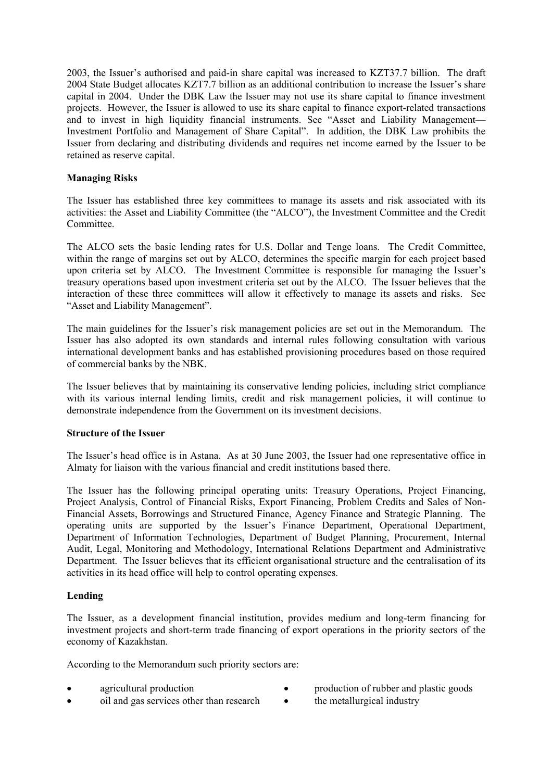2003, the Issuer's authorised and paid-in share capital was increased to KZT37.7 billion. The draft 2004 State Budget allocates KZT7.7 billion as an additional contribution to increase the Issuer's share capital in 2004. Under the DBK Law the Issuer may not use its share capital to finance investment projects. However, the Issuer is allowed to use its share capital to finance export-related transactions and to invest in high liquidity financial instruments. See "Asset and Liability Management— Investment Portfolio and Management of Share Capital". In addition, the DBK Law prohibits the Issuer from declaring and distributing dividends and requires net income earned by the Issuer to be retained as reserve capital.

### **Managing Risks**

The Issuer has established three key committees to manage its assets and risk associated with its activities: the Asset and Liability Committee (the "ALCO"), the Investment Committee and the Credit Committee.

The ALCO sets the basic lending rates for U.S. Dollar and Tenge loans. The Credit Committee, within the range of margins set out by ALCO, determines the specific margin for each project based upon criteria set by ALCO. The Investment Committee is responsible for managing the Issuer's treasury operations based upon investment criteria set out by the ALCO. The Issuer believes that the interaction of these three committees will allow it effectively to manage its assets and risks. See "Asset and Liability Management".

The main guidelines for the Issuer's risk management policies are set out in the Memorandum. The Issuer has also adopted its own standards and internal rules following consultation with various international development banks and has established provisioning procedures based on those required of commercial banks by the NBK.

The Issuer believes that by maintaining its conservative lending policies, including strict compliance with its various internal lending limits, credit and risk management policies, it will continue to demonstrate independence from the Government on its investment decisions.

### **Structure of the Issuer**

The Issuer's head office is in Astana. As at 30 June 2003, the Issuer had one representative office in Almaty for liaison with the various financial and credit institutions based there.

The Issuer has the following principal operating units: Treasury Operations, Project Financing, Project Analysis, Control of Financial Risks, Export Financing, Problem Credits and Sales of Non-Financial Assets, Borrowings and Structured Finance, Agency Finance and Strategic Planning. The operating units are supported by the Issuer's Finance Department, Operational Department, Department of Information Technologies, Department of Budget Planning, Procurement, Internal Audit, Legal, Monitoring and Methodology, International Relations Department and Administrative Department. The Issuer believes that its efficient organisational structure and the centralisation of its activities in its head office will help to control operating expenses.

### **Lending**

The Issuer, as a development financial institution, provides medium and long-term financing for investment projects and short-term trade financing of export operations in the priority sectors of the economy of Kazakhstan.

According to the Memorandum such priority sectors are:

- 
- e agricultural production **•** production **•** production **of** rubber and plastic goods
- oil and gas services other than research the metallurgical industry
	-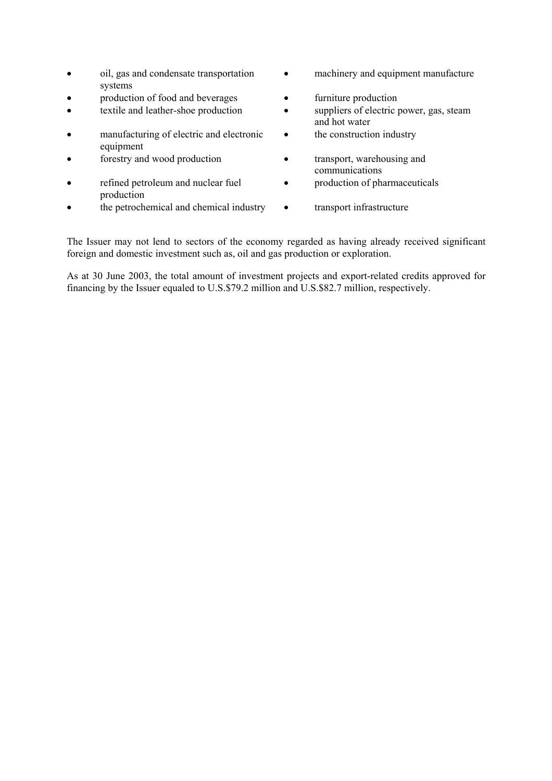- oil, gas and condensate transportation systems
- production of food and beverages furniture production
- 
- manufacturing of electric and electronic equipment
- 
- refined petroleum and nuclear fuel production
- the petrochemical and chemical industry transport infrastructure
- machinery and equipment manufacture
- 
- textile and leather-shoe production suppliers of electric power, gas, steam and hot water
	- the construction industry
- forestry and wood production transport, warehousing and communications
	- production of pharmaceuticals
	-

The Issuer may not lend to sectors of the economy regarded as having already received significant foreign and domestic investment such as, oil and gas production or exploration.

As at 30 June 2003, the total amount of investment projects and export-related credits approved for financing by the Issuer equaled to U.S.\$79.2 million and U.S.\$82.7 million, respectively.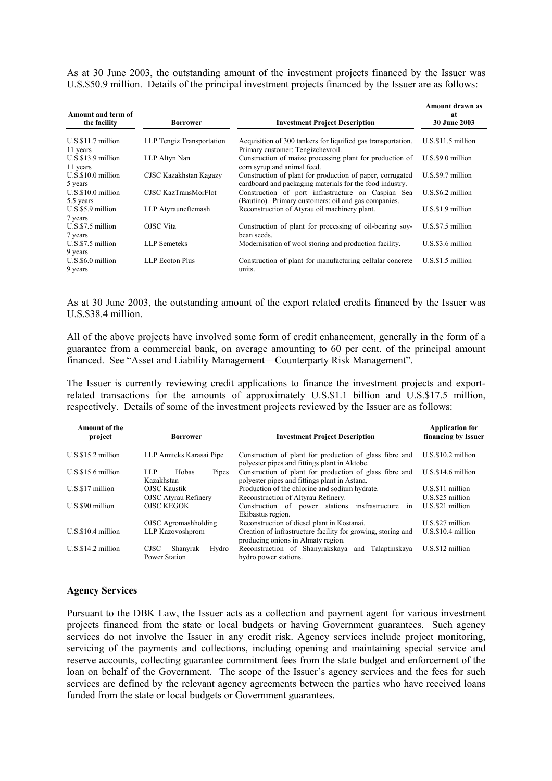As at 30 June 2003, the outstanding amount of the investment projects financed by the Issuer was U.S.\$50.9 million. Details of the principal investment projects financed by the Issuer are as follows:

| Amount and term of<br>the facility | <b>Borrower</b>           | <b>Investment Project Description</b>                                                                                 | Amount drawn as<br>at<br><b>30 June 2003</b> |
|------------------------------------|---------------------------|-----------------------------------------------------------------------------------------------------------------------|----------------------------------------------|
| $U.S.S.11.7$ million<br>11 years   | LLP Tengiz Transportation | Acquisition of 300 tankers for liquified gas transportation.<br>Primary customer: Tengizchevroil.                     | $U.S.$ \$11.5 million                        |
| $U.S.S.13.9$ million<br>11 years   | LLP Altyn Nan             | Construction of maize processing plant for production of<br>corn syrup and animal feed.                               | $U.S.S9.0$ million                           |
| $U.S.S.10.0$ million<br>5 years    | CJSC Kazakhstan Kagazy    | Construction of plant for production of paper, corrugated<br>cardboard and packaging materials for the food industry. | $U.S.S9.7$ million                           |
| $U.S.S.10.0$ million<br>5.5 years  | CJSC KazTransMorFlot      | Construction of port infrastructure on Caspian Sea<br>(Bautino). Primary customers: oil and gas companies.            | $U.S.$ \$6.2 million                         |
| $U.S.S.5.9$ million<br>7 years     | LLP Atyrauneftemash       | Reconstruction of Atyrau oil machinery plant.                                                                         | $U.S.S1.9$ million                           |
| $U.S.S.5$ million<br>7 years       | OJSC Vita                 | Construction of plant for processing of oil-bearing soy-<br>bean seeds.                                               | $U.S.S.5$ million                            |
| $U.S.S.5$ million<br>9 years       | <b>LLP</b> Semeteks       | Modernisation of wool storing and production facility.                                                                | $U.S.S3.6$ million                           |
| $U.S.S6.0$ million<br>9 years      | LLP Ecoton Plus           | Construction of plant for manufacturing cellular concrete<br>units.                                                   | $U.S.S1.5$ million                           |

As at 30 June 2003, the outstanding amount of the export related credits financed by the Issuer was U.S.\$38.4 million.

All of the above projects have involved some form of credit enhancement, generally in the form of a guarantee from a commercial bank, on average amounting to 60 per cent. of the principal amount financed. See "Asset and Liability Management—Counterparty Risk Management".

The Issuer is currently reviewing credit applications to finance the investment projects and exportrelated transactions for the amounts of approximately U.S.\$1.1 billion and U.S.\$17.5 million, respectively. Details of some of the investment projects reviewed by the Issuer are as follows:

| <b>Amount of the</b><br>project | <b>Investment Project Description</b><br><b>Borrower</b> |                                                                                                          | <b>Application for</b><br>financing by Issuer |  |
|---------------------------------|----------------------------------------------------------|----------------------------------------------------------------------------------------------------------|-----------------------------------------------|--|
| $U.S.S.15.2$ million            | LLP Amiteks Karasai Pipe                                 | Construction of plant for production of glass fibre and<br>polyester pipes and fittings plant in Aktobe. | $U.S.S.10.2$ million                          |  |
| $U.S.S15.6$ million             | LLP.<br>Hobas<br>Pipes<br>Kazakhstan                     | Construction of plant for production of glass fibre and<br>polyester pipes and fittings plant in Astana. | $U.S.S.14.6$ million                          |  |
| U.S.\$17 million                | <b>OJSC Kaustik</b><br>OJSC Atyrau Refinery              | Production of the chlorine and sodium hydrate.<br>Reconstruction of Altyrau Refinery.                    | U.S.\$11 million<br>$U.S.S.25$ million        |  |
| U.S.\$90 million                | <b>OJSC KEGOK</b>                                        | Construction of power stations insfrastructure<br>1n<br>Ekibastus region.                                | $U.S.S21$ million                             |  |
|                                 | OJSC Agromashholding                                     | Reconstruction of diesel plant in Kostanai.                                                              | $U.S.S27$ million                             |  |
| $U.S.S.10.4$ million            | LLP Kazovoshprom                                         | Creation of infrastructure facility for growing, storing and<br>producing onions in Almaty region.       | $U.S.S.10.4$ million                          |  |
| $U.S.S.14.2$ million            | <b>CJSC</b><br>Shanyrak<br>Hydro<br>Power Station        | Reconstruction of Shanyrakskaya and<br>Talaptinskaya<br>hydro power stations.                            | $U.S.S12$ million                             |  |

#### **Agency Services**

Pursuant to the DBK Law, the Issuer acts as a collection and payment agent for various investment projects financed from the state or local budgets or having Government guarantees. Such agency services do not involve the Issuer in any credit risk. Agency services include project monitoring, servicing of the payments and collections, including opening and maintaining special service and reserve accounts, collecting guarantee commitment fees from the state budget and enforcement of the loan on behalf of the Government. The scope of the Issuer's agency services and the fees for such services are defined by the relevant agency agreements between the parties who have received loans funded from the state or local budgets or Government guarantees.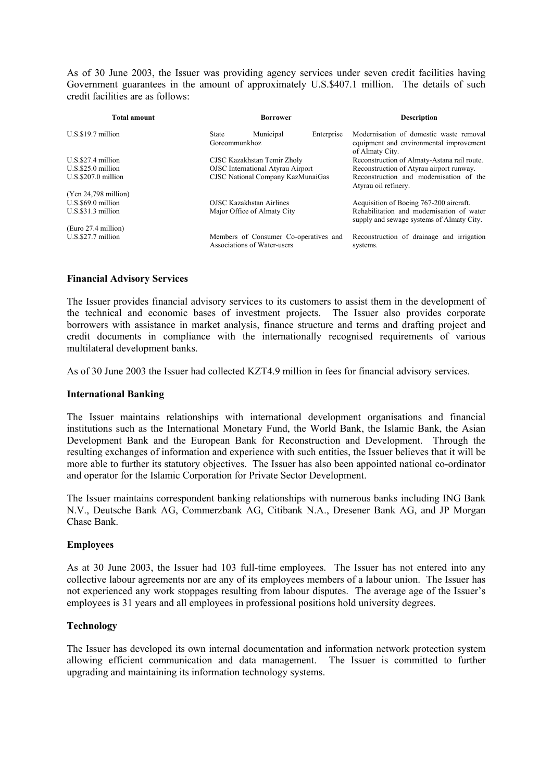As of 30 June 2003, the Issuer was providing agency services under seven credit facilities having Government guarantees in the amount of approximately U.S.\$407.1 million. The details of such credit facilities are as follows:

| Total amount         | Borrower                          |                                                                      |            | <b>Description</b>                                                                                    |
|----------------------|-----------------------------------|----------------------------------------------------------------------|------------|-------------------------------------------------------------------------------------------------------|
| $U.S.S.9.7$ million  | State<br>Gorcommunkhoz            | Municipal                                                            | Enterprise | Modernisation of domestic waste removal<br>equipment and environmental improvement<br>of Almaty City. |
| $U.S.S27.4$ million  |                                   | CJSC Kazakhstan Temir Zholy                                          |            | Reconstruction of Almaty-Astana rail route.                                                           |
| $U.S.S25.0$ million  |                                   | <b>OJSC</b> International Atyrau Airport                             |            | Reconstruction of Atyrau airport runway.                                                              |
| $U.S.S207.0$ million | CJSC National Company KazMunaiGas |                                                                      |            | Reconstruction and modernisation of the<br>Atyrau oil refinery.                                       |
| (Yen 24,798 million) |                                   |                                                                      |            |                                                                                                       |
| $U.S.S69.0$ million  | <b>OJSC Kazakhstan Airlines</b>   |                                                                      |            | Acquisition of Boeing 767-200 aircraft.                                                               |
| $U.S.S31.3$ million  |                                   | Major Office of Almaty City                                          |            | Rehabilitation and modernisation of water<br>supply and sewage systems of Almaty City.                |
| (Euro 27.4 million)  |                                   |                                                                      |            |                                                                                                       |
| $U.S.S27.7$ million  |                                   | Members of Consumer Co-operatives and<br>Associations of Water-users |            | Reconstruction of drainage and irrigation<br>systems.                                                 |

### **Financial Advisory Services**

The Issuer provides financial advisory services to its customers to assist them in the development of the technical and economic bases of investment projects. The Issuer also provides corporate borrowers with assistance in market analysis, finance structure and terms and drafting project and credit documents in compliance with the internationally recognised requirements of various multilateral development banks.

As of 30 June 2003 the Issuer had collected KZT4.9 million in fees for financial advisory services.

### **International Banking**

The Issuer maintains relationships with international development organisations and financial institutions such as the International Monetary Fund, the World Bank, the Islamic Bank, the Asian Development Bank and the European Bank for Reconstruction and Development. Through the resulting exchanges of information and experience with such entities, the Issuer believes that it will be more able to further its statutory objectives. The Issuer has also been appointed national co-ordinator and operator for the Islamic Corporation for Private Sector Development.

The Issuer maintains correspondent banking relationships with numerous banks including ING Bank N.V., Deutsche Bank AG, Commerzbank AG, Citibank N.A., Dresener Bank AG, and JP Morgan Chase Bank.

### **Employees**

As at 30 June 2003, the Issuer had 103 full-time employees. The Issuer has not entered into any collective labour agreements nor are any of its employees members of a labour union. The Issuer has not experienced any work stoppages resulting from labour disputes. The average age of the Issuer's employees is 31 years and all employees in professional positions hold university degrees.

### **Technology**

The Issuer has developed its own internal documentation and information network protection system allowing efficient communication and data management. The Issuer is committed to further upgrading and maintaining its information technology systems.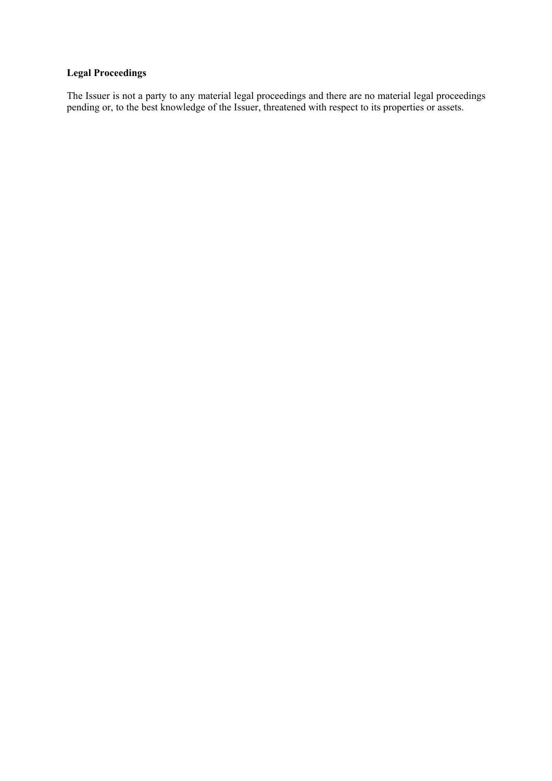# **Legal Proceedings**

The Issuer is not a party to any material legal proceedings and there are no material legal proceedings pending or, to the best knowledge of the Issuer, threatened with respect to its properties or assets.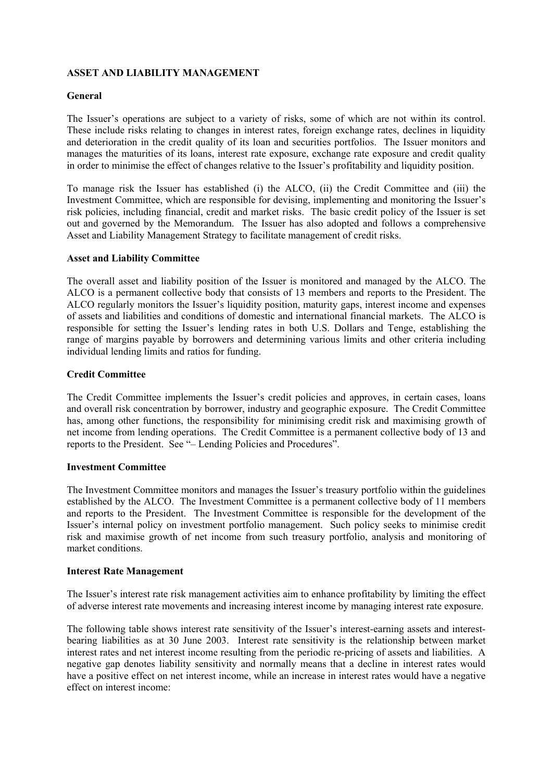# **ASSET AND LIABILITY MANAGEMENT**

### **General**

The Issuer's operations are subject to a variety of risks, some of which are not within its control. These include risks relating to changes in interest rates, foreign exchange rates, declines in liquidity and deterioration in the credit quality of its loan and securities portfolios. The Issuer monitors and manages the maturities of its loans, interest rate exposure, exchange rate exposure and credit quality in order to minimise the effect of changes relative to the Issuer's profitability and liquidity position.

To manage risk the Issuer has established (i) the ALCO, (ii) the Credit Committee and (iii) the Investment Committee, which are responsible for devising, implementing and monitoring the Issuer's risk policies, including financial, credit and market risks. The basic credit policy of the Issuer is set out and governed by the Memorandum. The Issuer has also adopted and follows a comprehensive Asset and Liability Management Strategy to facilitate management of credit risks.

### **Asset and Liability Committee**

The overall asset and liability position of the Issuer is monitored and managed by the ALCO. The ALCO is a permanent collective body that consists of 13 members and reports to the President. The ALCO regularly monitors the Issuer's liquidity position, maturity gaps, interest income and expenses of assets and liabilities and conditions of domestic and international financial markets. The ALCO is responsible for setting the Issuer's lending rates in both U.S. Dollars and Tenge, establishing the range of margins payable by borrowers and determining various limits and other criteria including individual lending limits and ratios for funding.

### **Credit Committee**

The Credit Committee implements the Issuer's credit policies and approves, in certain cases, loans and overall risk concentration by borrower, industry and geographic exposure. The Credit Committee has, among other functions, the responsibility for minimising credit risk and maximising growth of net income from lending operations. The Credit Committee is a permanent collective body of 13 and reports to the President. See "– Lending Policies and Procedures".

### **Investment Committee**

The Investment Committee monitors and manages the Issuer's treasury portfolio within the guidelines established by the ALCO. The Investment Committee is a permanent collective body of 11 members and reports to the President. The Investment Committee is responsible for the development of the Issuer's internal policy on investment portfolio management. Such policy seeks to minimise credit risk and maximise growth of net income from such treasury portfolio, analysis and monitoring of market conditions.

### **Interest Rate Management**

The Issuer's interest rate risk management activities aim to enhance profitability by limiting the effect of adverse interest rate movements and increasing interest income by managing interest rate exposure.

The following table shows interest rate sensitivity of the Issuer's interest-earning assets and interestbearing liabilities as at 30 June 2003. Interest rate sensitivity is the relationship between market interest rates and net interest income resulting from the periodic re-pricing of assets and liabilities. A negative gap denotes liability sensitivity and normally means that a decline in interest rates would have a positive effect on net interest income, while an increase in interest rates would have a negative effect on interest income: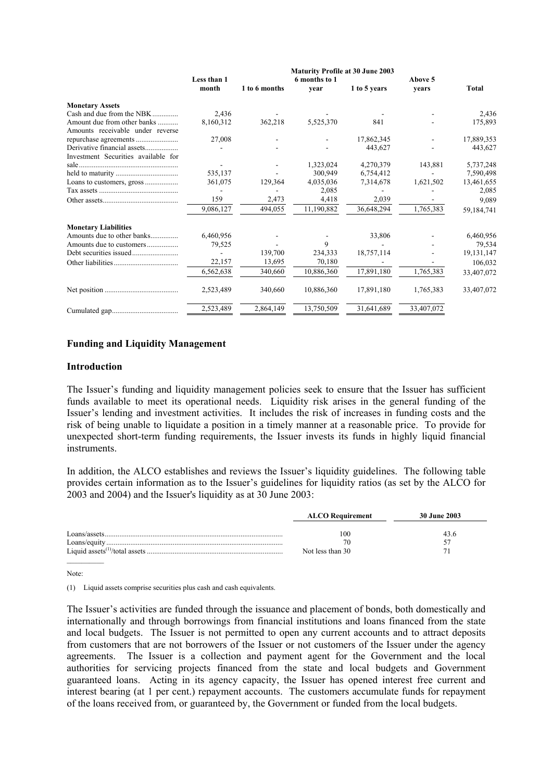|                                     | <b>Maturity Profile at 30 June 2003</b> |               |               |              |            |              |
|-------------------------------------|-----------------------------------------|---------------|---------------|--------------|------------|--------------|
|                                     | Less than 1                             |               | 6 months to 1 |              | Above 5    |              |
|                                     | month                                   | 1 to 6 months | vear          | 1 to 5 years | vears      | <b>Total</b> |
| <b>Monetary Assets</b>              |                                         |               |               |              |            |              |
| Cash and due from the NBK           | 2,436                                   |               |               |              |            | 2,436        |
| Amount due from other banks         | 8,160,312                               | 362,218       | 5,525,370     | 841          |            | 175,893      |
| Amounts receivable under reverse    |                                         |               |               |              |            |              |
|                                     | 27,008                                  |               |               | 17,862,345   |            | 17,889,353   |
| Derivative financial assets         |                                         |               |               | 443,627      |            | 443,627      |
| Investment Securities available for |                                         |               |               |              |            |              |
|                                     |                                         |               | 1,323,024     | 4,270,379    | 143,881    | 5,737,248    |
|                                     | 535,137                                 |               | 300,949       | 6,754,412    |            | 7,590,498    |
|                                     | 361,075                                 | 129,364       | 4,035,036     | 7,314,678    | 1,621,502  | 13,461,655   |
|                                     |                                         |               | 2,085         |              |            | 2,085        |
|                                     | 159                                     | 2,473         | 4,418         | 2,039        |            | 9,089        |
|                                     | 9,086,127                               | 494,055       | 11,190,882    | 36,648,294   | 1,765,383  | 59,184,741   |
| <b>Monetary Liabilities</b>         |                                         |               |               |              |            |              |
| Amounts due to other banks          | 6,460,956                               |               |               | 33,806       |            | 6,460,956    |
| Amounts due to customers            | 79,525                                  |               | 9             |              |            | 79,534       |
|                                     |                                         | 139,700       | 234,333       | 18,757,114   |            | 19, 131, 147 |
|                                     | 22,157                                  | 13,695        | 70,180        |              |            | 106,032      |
|                                     | 6,562,638                               | 340,660       | 10,886,360    | 17,891,180   | 1,765,383  | 33,407,072   |
|                                     | 2,523,489                               | 340,660       | 10,886,360    | 17,891,180   | 1,765,383  | 33,407,072   |
|                                     | 2,523,489                               | 2,864,149     | 13,750,509    | 31,641,689   | 33,407,072 |              |

### **Funding and Liquidity Management**

#### **Introduction**

The Issuer's funding and liquidity management policies seek to ensure that the Issuer has sufficient funds available to meet its operational needs. Liquidity risk arises in the general funding of the Issuer's lending and investment activities. It includes the risk of increases in funding costs and the risk of being unable to liquidate a position in a timely manner at a reasonable price. To provide for unexpected short-term funding requirements, the Issuer invests its funds in highly liquid financial instruments.

In addition, the ALCO establishes and reviews the Issuer's liquidity guidelines. The following table provides certain information as to the Issuer's guidelines for liquidity ratios (as set by the ALCO for 2003 and 2004) and the Issuer's liquidity as at 30 June 2003:

|              | <b>ALCO</b> Requirement | 30 June 2003 |
|--------------|-------------------------|--------------|
| Loans/assets | 100                     | 43 h         |
| Loans/equity | 76                      |              |
|              | Not less than 30        |              |

Note:

 $\mathcal{L}_\text{max}$ 

(1) Liquid assets comprise securities plus cash and cash equivalents.

The Issuer's activities are funded through the issuance and placement of bonds, both domestically and internationally and through borrowings from financial institutions and loans financed from the state and local budgets. The Issuer is not permitted to open any current accounts and to attract deposits from customers that are not borrowers of the Issuer or not customers of the Issuer under the agency agreements. The Issuer is a collection and payment agent for the Government and the local authorities for servicing projects financed from the state and local budgets and Government guaranteed loans. Acting in its agency capacity, the Issuer has opened interest free current and interest bearing (at 1 per cent.) repayment accounts. The customers accumulate funds for repayment of the loans received from, or guaranteed by, the Government or funded from the local budgets.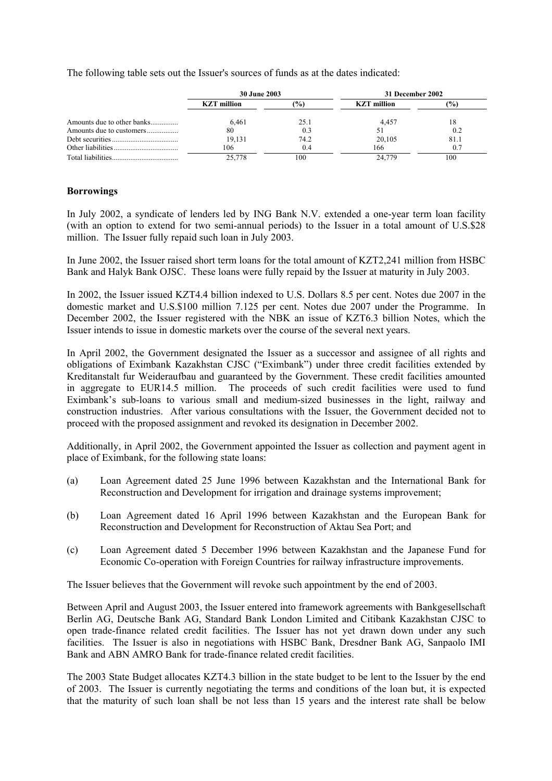The following table sets out the Issuer's sources of funds as at the dates indicated:

|                            | <b>30 June 2003</b> |                | 31 December 2002   |               |
|----------------------------|---------------------|----------------|--------------------|---------------|
|                            | <b>KZT</b> million  | (9/0)          | <b>KZT</b> million | $\frac{9}{0}$ |
| Amounts due to other banks | 6.461               | 25.1           | 4.457              | 18            |
| Amounts due to customers   | 80                  | 0 <sup>3</sup> |                    | 0.2           |
|                            | 19.131              | 74.2           | 20,105             | 81.1          |
|                            | 106                 | 0.4            | 166                | 0.7           |
|                            | 25.778              | 100            | 24.779             | 100           |

### **Borrowings**

In July 2002, a syndicate of lenders led by ING Bank N.V. extended a one-year term loan facility (with an option to extend for two semi-annual periods) to the Issuer in a total amount of U.S.\$28 million. The Issuer fully repaid such loan in July 2003.

In June 2002, the Issuer raised short term loans for the total amount of KZT2,241 million from HSBC Bank and Halyk Bank OJSC. These loans were fully repaid by the Issuer at maturity in July 2003.

In 2002, the Issuer issued KZT4.4 billion indexed to U.S. Dollars 8.5 per cent. Notes due 2007 in the domestic market and U.S.\$100 million 7.125 per cent. Notes due 2007 under the Programme. In December 2002, the Issuer registered with the NBK an issue of KZT6.3 billion Notes, which the Issuer intends to issue in domestic markets over the course of the several next years.

In April 2002, the Government designated the Issuer as a successor and assignee of all rights and obligations of Eximbank Kazakhstan CJSC ("Eximbank") under three credit facilities extended by Kreditanstalt fur Weideraufbau and guaranteed by the Government. These credit facilities amounted in aggregate to EUR14.5 million. The proceeds of such credit facilities were used to fund Eximbank's sub-loans to various small and medium-sized businesses in the light, railway and construction industries. After various consultations with the Issuer, the Government decided not to proceed with the proposed assignment and revoked its designation in December 2002.

Additionally, in April 2002, the Government appointed the Issuer as collection and payment agent in place of Eximbank, for the following state loans:

- (a) Loan Agreement dated 25 June 1996 between Kazakhstan and the International Bank for Reconstruction and Development for irrigation and drainage systems improvement;
- (b) Loan Agreement dated 16 April 1996 between Kazakhstan and the European Bank for Reconstruction and Development for Reconstruction of Aktau Sea Port; and
- (c) Loan Agreement dated 5 December 1996 between Kazakhstan and the Japanese Fund for Economic Co-operation with Foreign Countries for railway infrastructure improvements.

The Issuer believes that the Government will revoke such appointment by the end of 2003.

Between April and August 2003, the Issuer entered into framework agreements with Bankgesellschaft Berlin AG, Deutsche Bank AG, Standard Bank London Limited and Citibank Kazakhstan CJSC to open trade-finance related credit facilities. The Issuer has not yet drawn down under any such facilities. The Issuer is also in negotiations with HSBC Bank, Dresdner Bank AG, Sanpaolo IMI Bank and ABN AMRO Bank for trade-finance related credit facilities.

The 2003 State Budget allocates KZT4.3 billion in the state budget to be lent to the Issuer by the end of 2003. The Issuer is currently negotiating the terms and conditions of the loan but, it is expected that the maturity of such loan shall be not less than 15 years and the interest rate shall be below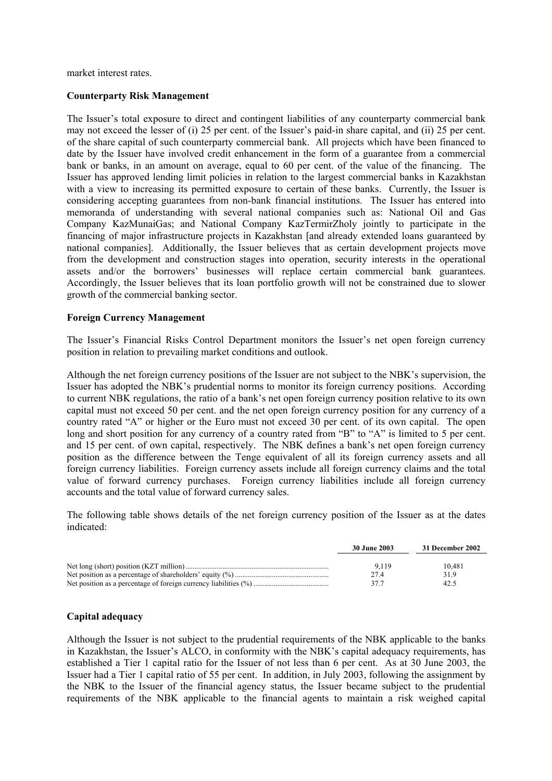market interest rates.

### **Counterparty Risk Management**

The Issuer's total exposure to direct and contingent liabilities of any counterparty commercial bank may not exceed the lesser of (i) 25 per cent. of the Issuer's paid-in share capital, and (ii) 25 per cent. of the share capital of such counterparty commercial bank. All projects which have been financed to date by the Issuer have involved credit enhancement in the form of a guarantee from a commercial bank or banks, in an amount on average, equal to 60 per cent. of the value of the financing. The Issuer has approved lending limit policies in relation to the largest commercial banks in Kazakhstan with a view to increasing its permitted exposure to certain of these banks. Currently, the Issuer is considering accepting guarantees from non-bank financial institutions. The Issuer has entered into memoranda of understanding with several national companies such as: National Oil and Gas Company KazMunaiGas; and National Company KazTermirZholy jointly to participate in the financing of major infrastructure projects in Kazakhstan [and already extended loans guaranteed by national companies]. Additionally, the Issuer believes that as certain development projects move from the development and construction stages into operation, security interests in the operational assets and/or the borrowers' businesses will replace certain commercial bank guarantees. Accordingly, the Issuer believes that its loan portfolio growth will not be constrained due to slower growth of the commercial banking sector.

#### **Foreign Currency Management**

The Issuer's Financial Risks Control Department monitors the Issuer's net open foreign currency position in relation to prevailing market conditions and outlook.

Although the net foreign currency positions of the Issuer are not subject to the NBK's supervision, the Issuer has adopted the NBK's prudential norms to monitor its foreign currency positions. According to current NBK regulations, the ratio of a bank's net open foreign currency position relative to its own capital must not exceed 50 per cent. and the net open foreign currency position for any currency of a country rated "A" or higher or the Euro must not exceed 30 per cent. of its own capital. The open long and short position for any currency of a country rated from "B" to "A" is limited to 5 per cent. and 15 per cent. of own capital, respectively. The NBK defines a bank's net open foreign currency position as the difference between the Tenge equivalent of all its foreign currency assets and all foreign currency liabilities. Foreign currency assets include all foreign currency claims and the total value of forward currency purchases. Foreign currency liabilities include all foreign currency accounts and the total value of forward currency sales.

The following table shows details of the net foreign currency position of the Issuer as at the dates indicated:

| 30 June 2003 | 31 December 2002 |
|--------------|------------------|
|              |                  |
| 9.119        | 10.481           |
| 274          | 319              |
| 377          | 42.5             |

#### **Capital adequacy**

Although the Issuer is not subject to the prudential requirements of the NBK applicable to the banks in Kazakhstan, the Issuer's ALCO, in conformity with the NBK's capital adequacy requirements, has established a Tier 1 capital ratio for the Issuer of not less than 6 per cent. As at 30 June 2003, the Issuer had a Tier 1 capital ratio of 55 per cent. In addition, in July 2003, following the assignment by the NBK to the Issuer of the financial agency status, the Issuer became subject to the prudential requirements of the NBK applicable to the financial agents to maintain a risk weighed capital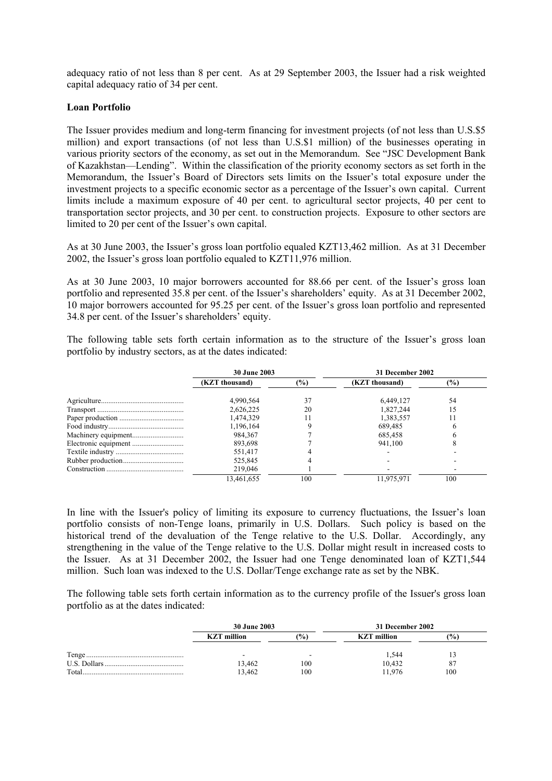adequacy ratio of not less than 8 per cent. As at 29 September 2003, the Issuer had a risk weighted capital adequacy ratio of 34 per cent.

### **Loan Portfolio**

The Issuer provides medium and long-term financing for investment projects (of not less than U.S.\$5 million) and export transactions (of not less than U.S.\$1 million) of the businesses operating in various priority sectors of the economy, as set out in the Memorandum. See "JSC Development Bank of Kazakhstan—Lending". Within the classification of the priority economy sectors as set forth in the Memorandum, the Issuer's Board of Directors sets limits on the Issuer's total exposure under the investment projects to a specific economic sector as a percentage of the Issuer's own capital. Current limits include a maximum exposure of 40 per cent. to agricultural sector projects, 40 per cent to transportation sector projects, and 30 per cent. to construction projects. Exposure to other sectors are limited to 20 per cent of the Issuer's own capital.

As at 30 June 2003, the Issuer's gross loan portfolio equaled KZT13,462 million. As at 31 December 2002, the Issuer's gross loan portfolio equaled to KZT11,976 million.

As at 30 June 2003, 10 major borrowers accounted for 88.66 per cent. of the Issuer's gross loan portfolio and represented 35.8 per cent. of the Issuer's shareholders' equity. As at 31 December 2002, 10 major borrowers accounted for 95.25 per cent. of the Issuer's gross loan portfolio and represented 34.8 per cent. of the Issuer's shareholders' equity.

The following table sets forth certain information as to the structure of the Issuer's gross loan portfolio by industry sectors, as at the dates indicated:

| <b>30 June 2003</b> |        | 31 December 2002 |        |
|---------------------|--------|------------------|--------|
| (KZT thousand)      | $(\%)$ | (KZT thousand)   | $(\%)$ |
| 4,990,564           | 37     | 6.449.127        | 54     |
| 2,626,225           | 20     | 1,827,244        | 15     |
| 1,474,329           |        | 1,383,557        |        |
| 1,196,164           |        | 689,485          |        |
| 984.367             |        | 685,458          |        |
| 893,698             |        | 941,100          |        |
| 551,417             |        |                  |        |
| 525.845             |        |                  |        |
| 219,046             |        |                  |        |
| 13.461.655          | 100    | 11.975.971       | 100    |

In line with the Issuer's policy of limiting its exposure to currency fluctuations, the Issuer's loan portfolio consists of non-Tenge loans, primarily in U.S. Dollars. Such policy is based on the historical trend of the devaluation of the Tenge relative to the U.S. Dollar. Accordingly, any strengthening in the value of the Tenge relative to the U.S. Dollar might result in increased costs to the Issuer. As at 31 December 2002, the Issuer had one Tenge denominated loan of KZT1,544 million. Such loan was indexed to the U.S. Dollar/Tenge exchange rate as set by the NBK.

The following table sets forth certain information as to the currency profile of the Issuer's gross loan portfolio as at the dates indicated:

|       | <b>30 June 2003</b> |     | 31 December 2002   |                |  |
|-------|---------------------|-----|--------------------|----------------|--|
|       | <b>KZT</b> million  | (%) | <b>KZT</b> million | $\frac{10}{6}$ |  |
|       |                     |     | 1.544              |                |  |
|       | 13,462              | 100 | 10,432             | -87            |  |
| Total | 13.462              | 100 | 1.976              | 100            |  |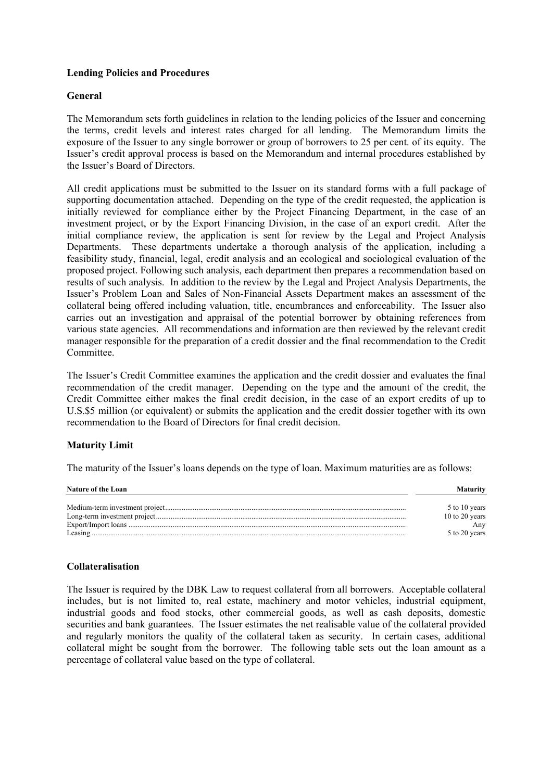### **Lending Policies and Procedures**

### **General**

The Memorandum sets forth guidelines in relation to the lending policies of the Issuer and concerning the terms, credit levels and interest rates charged for all lending. The Memorandum limits the exposure of the Issuer to any single borrower or group of borrowers to 25 per cent. of its equity. The Issuer's credit approval process is based on the Memorandum and internal procedures established by the Issuer's Board of Directors.

All credit applications must be submitted to the Issuer on its standard forms with a full package of supporting documentation attached. Depending on the type of the credit requested, the application is initially reviewed for compliance either by the Project Financing Department, in the case of an investment project, or by the Export Financing Division, in the case of an export credit. After the initial compliance review, the application is sent for review by the Legal and Project Analysis Departments. These departments undertake a thorough analysis of the application, including a feasibility study, financial, legal, credit analysis and an ecological and sociological evaluation of the proposed project. Following such analysis, each department then prepares a recommendation based on results of such analysis. In addition to the review by the Legal and Project Analysis Departments, the Issuer's Problem Loan and Sales of Non-Financial Assets Department makes an assessment of the collateral being offered including valuation, title, encumbrances and enforceability. The Issuer also carries out an investigation and appraisal of the potential borrower by obtaining references from various state agencies. All recommendations and information are then reviewed by the relevant credit manager responsible for the preparation of a credit dossier and the final recommendation to the Credit **Committee** 

The Issuer's Credit Committee examines the application and the credit dossier and evaluates the final recommendation of the credit manager. Depending on the type and the amount of the credit, the Credit Committee either makes the final credit decision, in the case of an export credits of up to U.S.\$5 million (or equivalent) or submits the application and the credit dossier together with its own recommendation to the Board of Directors for final credit decision.

### **Maturity Limit**

The maturity of the Issuer's loans depends on the type of loan. Maximum maturities are as follows:

| <b>Nature of the Loan</b> | <b>Maturity</b>      |
|---------------------------|----------------------|
|                           | 5 to 10 years        |
|                           | 10 to 20 years       |
|                           | Anv<br>5 to 20 years |
|                           |                      |

### **Collateralisation**

The Issuer is required by the DBK Law to request collateral from all borrowers. Acceptable collateral includes, but is not limited to, real estate, machinery and motor vehicles, industrial equipment, industrial goods and food stocks, other commercial goods, as well as cash deposits, domestic securities and bank guarantees. The Issuer estimates the net realisable value of the collateral provided and regularly monitors the quality of the collateral taken as security. In certain cases, additional collateral might be sought from the borrower. The following table sets out the loan amount as a percentage of collateral value based on the type of collateral.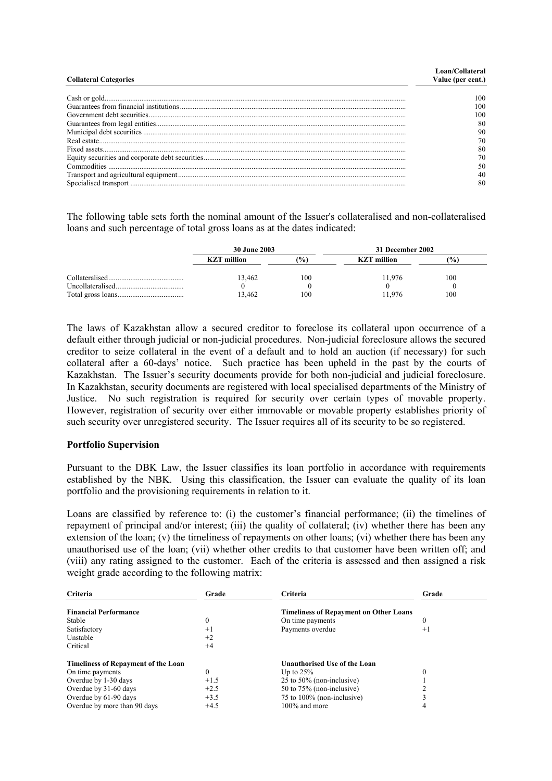| <b>Collateral Categories</b> | Loan/Collateral<br>Value (per cent.) |
|------------------------------|--------------------------------------|
|                              |                                      |
|                              | $^{00}$                              |
|                              | -00                                  |
|                              | -00                                  |
|                              | 80                                   |
|                              | 90                                   |
|                              | 70                                   |
|                              | 80                                   |
|                              | 70                                   |
|                              | 50                                   |
|                              | 40                                   |
|                              | 80                                   |

The following table sets forth the nominal amount of the Issuer's collateralised and non-collateralised loans and such percentage of total gross loans as at the dates indicated:

| <b>30 June 2003</b> |     | 31 December 2002   |     |  |
|---------------------|-----|--------------------|-----|--|
| <b>KZT</b> million  | (%  | <b>KZT</b> million | (%) |  |
| 13.462              | 100 | 11.976             | 100 |  |
|                     |     |                    |     |  |
| 13.462              | 100 | 11 976             | 100 |  |

The laws of Kazakhstan allow a secured creditor to foreclose its collateral upon occurrence of a default either through judicial or non-judicial procedures. Non-judicial foreclosure allows the secured creditor to seize collateral in the event of a default and to hold an auction (if necessary) for such collateral after a 60-days' notice. Such practice has been upheld in the past by the courts of Kazakhstan. The Issuer's security documents provide for both non-judicial and judicial foreclosure. In Kazakhstan, security documents are registered with local specialised departments of the Ministry of Justice. No such registration is required for security over certain types of movable property. However, registration of security over either immovable or movable property establishes priority of such security over unregistered security. The Issuer requires all of its security to be so registered.

### **Portfolio Supervision**

Pursuant to the DBK Law, the Issuer classifies its loan portfolio in accordance with requirements established by the NBK. Using this classification, the Issuer can evaluate the quality of its loan portfolio and the provisioning requirements in relation to it.

Loans are classified by reference to: (i) the customer's financial performance; (ii) the timelines of repayment of principal and/or interest; (iii) the quality of collateral; (iv) whether there has been any extension of the loan; (v) the timeliness of repayments on other loans; (vi) whether there has been any unauthorised use of the loan; (vii) whether other credits to that customer have been written off; and (viii) any rating assigned to the customer. Each of the criteria is assessed and then assigned a risk weight grade according to the following matrix:

| <b>Criteria</b>                            | Grade  | <b>Criteria</b>                               | Grade |
|--------------------------------------------|--------|-----------------------------------------------|-------|
| <b>Financial Performance</b>               |        | <b>Timeliness of Repayment on Other Loans</b> |       |
| Stable                                     | 0      | On time payments                              |       |
| Satisfactory                               | $+1$   | Payments overdue                              | $+1$  |
| Unstable                                   | $+2$   |                                               |       |
| Critical                                   | $+4$   |                                               |       |
| <b>Timeliness of Repayment of the Loan</b> |        | <b>Unauthorised Use of the Loan</b>           |       |
| On time payments                           | 0      | Up to $25%$                                   |       |
| Overdue by 1-30 days                       | $+1.5$ | 25 to $50\%$ (non-inclusive)                  |       |
| Overdue by 31-60 days                      | $+2.5$ | 50 to 75% (non-inclusive)                     |       |
| Overdue by 61-90 days                      | $+3.5$ | 75 to 100% (non-inclusive)                    |       |
| Overdue by more than 90 days               | $+4.5$ | $100\%$ and more                              |       |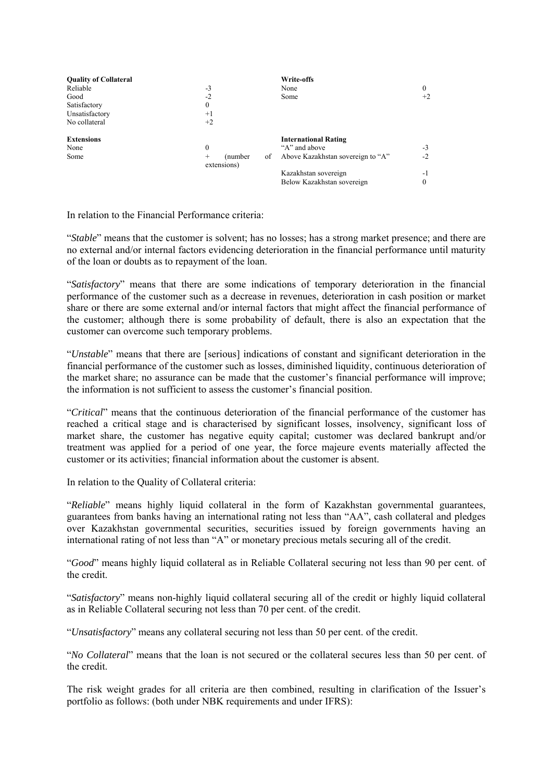| <b>Quality of Collateral</b> |                       |          |    | Write-offs                        |      |
|------------------------------|-----------------------|----------|----|-----------------------------------|------|
| Reliable                     | $-3$                  |          |    | None                              | 0    |
| Good                         | $-2$                  |          |    | Some                              | $+2$ |
| Satisfactory                 | $\theta$              |          |    |                                   |      |
| Unsatisfactory               | $+1$                  |          |    |                                   |      |
| No collateral                | $+2$                  |          |    |                                   |      |
| <b>Extensions</b>            |                       |          |    | <b>International Rating</b>       |      |
| None                         | $\theta$              |          |    | "A" and above                     | $-3$ |
| Some                         | $^{+}$<br>extensions) | (number) | οf | Above Kazakhstan sovereign to "A" | $-2$ |
|                              |                       |          |    | Kazakhstan sovereign              | - 1  |
|                              |                       |          |    | Below Kazakhstan sovereign        | 0    |

In relation to the Financial Performance criteria:

"*Stable*" means that the customer is solvent; has no losses; has a strong market presence; and there are no external and/or internal factors evidencing deterioration in the financial performance until maturity of the loan or doubts as to repayment of the loan.

"*Satisfactory*" means that there are some indications of temporary deterioration in the financial performance of the customer such as a decrease in revenues, deterioration in cash position or market share or there are some external and/or internal factors that might affect the financial performance of the customer; although there is some probability of default, there is also an expectation that the customer can overcome such temporary problems.

"*Unstable*" means that there are [serious] indications of constant and significant deterioration in the financial performance of the customer such as losses, diminished liquidity, continuous deterioration of the market share; no assurance can be made that the customer's financial performance will improve; the information is not sufficient to assess the customer's financial position.

"*Critical*" means that the continuous deterioration of the financial performance of the customer has reached a critical stage and is characterised by significant losses, insolvency, significant loss of market share, the customer has negative equity capital; customer was declared bankrupt and/or treatment was applied for a period of one year, the force majeure events materially affected the customer or its activities; financial information about the customer is absent.

In relation to the Quality of Collateral criteria:

"*Reliable*" means highly liquid collateral in the form of Kazakhstan governmental guarantees, guarantees from banks having an international rating not less than "AA", cash collateral and pledges over Kazakhstan governmental securities, securities issued by foreign governments having an international rating of not less than "A" or monetary precious metals securing all of the credit.

"*Good*" means highly liquid collateral as in Reliable Collateral securing not less than 90 per cent. of the credit.

"*Satisfactory*" means non-highly liquid collateral securing all of the credit or highly liquid collateral as in Reliable Collateral securing not less than 70 per cent. of the credit.

"*Unsatisfactory*" means any collateral securing not less than 50 per cent. of the credit.

"*No Collateral*" means that the loan is not secured or the collateral secures less than 50 per cent. of the credit.

The risk weight grades for all criteria are then combined, resulting in clarification of the Issuer's portfolio as follows: (both under NBK requirements and under IFRS):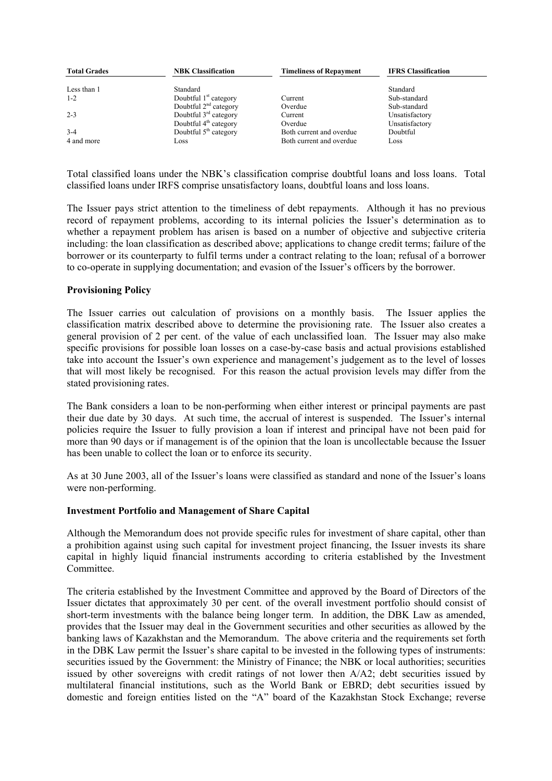| <b>Total Grades</b> | <b>NBK Classification</b> | <b>Timeliness of Repayment</b> | <b>IFRS</b> Classification |
|---------------------|---------------------------|--------------------------------|----------------------------|
| Less than 1         | Standard                  |                                | Standard                   |
| $1 - 2$             | Doubtful $1st$ category   | Current                        | Sub-standard               |
|                     | Doubtful $2nd$ category   | Overdue                        | Sub-standard               |
| $2 - 3$             | Doubtful $3rd$ category   | Current                        | Unsatisfactory             |
|                     | Doubtful $4th$ category   | Overdue                        | Unsatisfactory             |
| $3-4$               | Doubtful $5th$ category   | Both current and overdue       | Doubtful                   |
| 4 and more          | Loss                      | Both current and overdue       | Loss                       |

Total classified loans under the NBK's classification comprise doubtful loans and loss loans. Total classified loans under IRFS comprise unsatisfactory loans, doubtful loans and loss loans.

The Issuer pays strict attention to the timeliness of debt repayments. Although it has no previous record of repayment problems, according to its internal policies the Issuer's determination as to whether a repayment problem has arisen is based on a number of objective and subjective criteria including: the loan classification as described above; applications to change credit terms; failure of the borrower or its counterparty to fulfil terms under a contract relating to the loan; refusal of a borrower to co-operate in supplying documentation; and evasion of the Issuer's officers by the borrower.

### **Provisioning Policy**

The Issuer carries out calculation of provisions on a monthly basis. The Issuer applies the classification matrix described above to determine the provisioning rate. The Issuer also creates a general provision of 2 per cent. of the value of each unclassified loan. The Issuer may also make specific provisions for possible loan losses on a case-by-case basis and actual provisions established take into account the Issuer's own experience and management's judgement as to the level of losses that will most likely be recognised. For this reason the actual provision levels may differ from the stated provisioning rates.

The Bank considers a loan to be non-performing when either interest or principal payments are past their due date by 30 days. At such time, the accrual of interest is suspended. The Issuer's internal policies require the Issuer to fully provision a loan if interest and principal have not been paid for more than 90 days or if management is of the opinion that the loan is uncollectable because the Issuer has been unable to collect the loan or to enforce its security.

As at 30 June 2003, all of the Issuer's loans were classified as standard and none of the Issuer's loans were non-performing.

### **Investment Portfolio and Management of Share Capital**

Although the Memorandum does not provide specific rules for investment of share capital, other than a prohibition against using such capital for investment project financing, the Issuer invests its share capital in highly liquid financial instruments according to criteria established by the Investment Committee.

The criteria established by the Investment Committee and approved by the Board of Directors of the Issuer dictates that approximately 30 per cent. of the overall investment portfolio should consist of short-term investments with the balance being longer term. In addition, the DBK Law as amended, provides that the Issuer may deal in the Government securities and other securities as allowed by the banking laws of Kazakhstan and the Memorandum. The above criteria and the requirements set forth in the DBK Law permit the Issuer's share capital to be invested in the following types of instruments: securities issued by the Government: the Ministry of Finance; the NBK or local authorities; securities issued by other sovereigns with credit ratings of not lower then A/A2; debt securities issued by multilateral financial institutions, such as the World Bank or EBRD; debt securities issued by domestic and foreign entities listed on the "A" board of the Kazakhstan Stock Exchange; reverse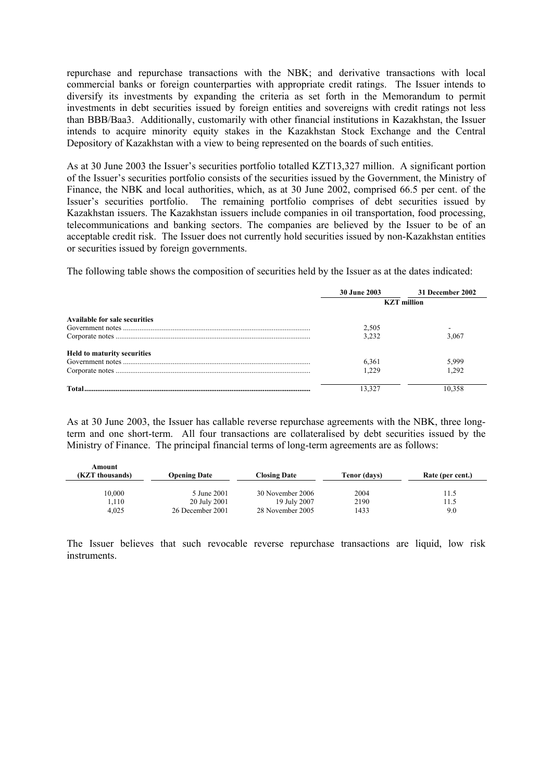repurchase and repurchase transactions with the NBK; and derivative transactions with local commercial banks or foreign counterparties with appropriate credit ratings. The Issuer intends to diversify its investments by expanding the criteria as set forth in the Memorandum to permit investments in debt securities issued by foreign entities and sovereigns with credit ratings not less than BBB/Baa3. Additionally, customarily with other financial institutions in Kazakhstan, the Issuer intends to acquire minority equity stakes in the Kazakhstan Stock Exchange and the Central Depository of Kazakhstan with a view to being represented on the boards of such entities.

As at 30 June 2003 the Issuer's securities portfolio totalled KZT13,327 million. A significant portion of the Issuer's securities portfolio consists of the securities issued by the Government, the Ministry of Finance, the NBK and local authorities, which, as at 30 June 2002, comprised 66.5 per cent. of the Issuer's securities portfolio. The remaining portfolio comprises of debt securities issued by Kazakhstan issuers. The Kazakhstan issuers include companies in oil transportation, food processing, telecommunications and banking sectors. The companies are believed by the Issuer to be of an acceptable credit risk. The Issuer does not currently hold securities issued by non-Kazakhstan entities or securities issued by foreign governments.

The following table shows the composition of securities held by the Issuer as at the dates indicated:

|                                      | <b>30 June 2003</b> | 31 December 2002   |
|--------------------------------------|---------------------|--------------------|
|                                      |                     | <b>KZT</b> million |
| <b>Available for sale securities</b> |                     |                    |
|                                      | 2,505               |                    |
|                                      | 3.232               | 3.067              |
| <b>Held to maturity securities</b>   |                     |                    |
|                                      | 6,361               | 5,999              |
|                                      | 1.229               | 1.292              |
|                                      |                     |                    |

As at 30 June 2003, the Issuer has callable reverse repurchase agreements with the NBK, three longterm and one short-term. All four transactions are collateralised by debt securities issued by the Ministry of Finance. The principal financial terms of long-term agreements are as follows:

| Amount<br>(KZT thousands) | <b>Opening Date</b>              | <b>Closing Date</b>              | Tenor (days) | Rate (per cent.) |
|---------------------------|----------------------------------|----------------------------------|--------------|------------------|
| 10,000                    | 5 June 2001                      | 30 November 2006                 | 2004         | 11.5             |
| 1,110<br>4.025            | 20 July 2001<br>26 December 2001 | 19 July 2007<br>28 November 2005 | 2190<br>1433 | 11.5<br>9.0      |

The Issuer believes that such revocable reverse repurchase transactions are liquid, low risk instruments.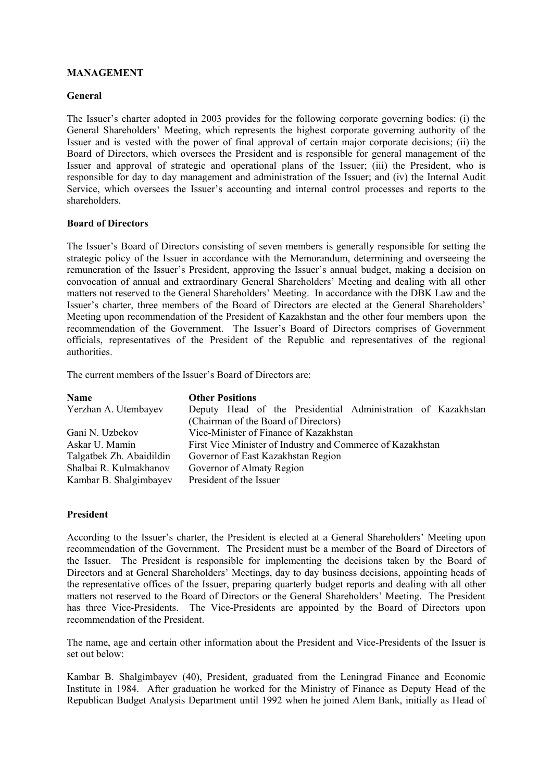### **MANAGEMENT**

#### **General**

The Issuer's charter adopted in 2003 provides for the following corporate governing bodies: (i) the General Shareholders' Meeting, which represents the highest corporate governing authority of the Issuer and is vested with the power of final approval of certain major corporate decisions; (ii) the Board of Directors, which oversees the President and is responsible for general management of the Issuer and approval of strategic and operational plans of the Issuer; (iii) the President, who is responsible for day to day management and administration of the Issuer; and (iv) the Internal Audit Service, which oversees the Issuer's accounting and internal control processes and reports to the shareholders.

#### **Board of Directors**

The Issuer's Board of Directors consisting of seven members is generally responsible for setting the strategic policy of the Issuer in accordance with the Memorandum, determining and overseeing the remuneration of the Issuer's President, approving the Issuer's annual budget, making a decision on convocation of annual and extraordinary General Shareholders' Meeting and dealing with all other matters not reserved to the General Shareholders' Meeting. In accordance with the DBK Law and the Issuer's charter, three members of the Board of Directors are elected at the General Shareholders' Meeting upon recommendation of the President of Kazakhstan and the other four members upon the recommendation of the Government. The Issuer's Board of Directors comprises of Government officials, representatives of the President of the Republic and representatives of the regional authorities.

The current members of the Issuer's Board of Directors are:

| Name                     | <b>Other Positions</b>                                       |
|--------------------------|--------------------------------------------------------------|
| Yerzhan A. Utembayev     | Deputy Head of the Presidential Administration of Kazakhstan |
|                          | (Chairman of the Board of Directors)                         |
| Gani N. Uzbekov          | Vice-Minister of Finance of Kazakhstan                       |
| Askar U. Mamin           | First Vice Minister of Industry and Commerce of Kazakhstan   |
| Talgatbek Zh. Abaidildin | Governor of East Kazakhstan Region                           |
| Shalbai R. Kulmakhanov   | Governor of Almaty Region                                    |
| Kambar B. Shalgimbayev   | President of the Issuer                                      |

#### **President**

According to the Issuer's charter, the President is elected at a General Shareholders' Meeting upon recommendation of the Government. The President must be a member of the Board of Directors of the Issuer. The President is responsible for implementing the decisions taken by the Board of Directors and at General Shareholders' Meetings, day to day business decisions, appointing heads of the representative offices of the Issuer, preparing quarterly budget reports and dealing with all other matters not reserved to the Board of Directors or the General Shareholders' Meeting. The President has three Vice-Presidents. The Vice-Presidents are appointed by the Board of Directors upon recommendation of the President.

The name, age and certain other information about the President and Vice-Presidents of the Issuer is set out below:

Kambar B. Shalgimbayev (40), President, graduated from the Leningrad Finance and Economic Institute in 1984. After graduation he worked for the Ministry of Finance as Deputy Head of the Republican Budget Analysis Department until 1992 when he joined Alem Bank, initially as Head of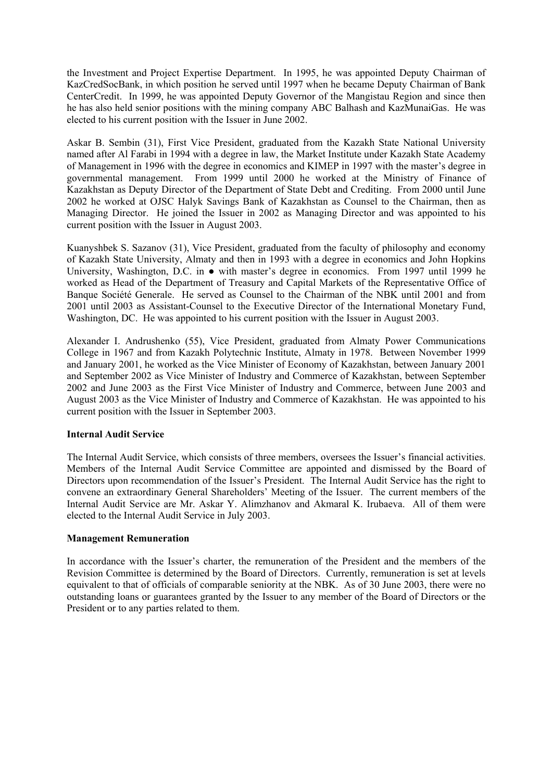the Investment and Project Expertise Department. In 1995, he was appointed Deputy Chairman of KazCredSocBank, in which position he served until 1997 when he became Deputy Chairman of Bank CenterCredit. In 1999, he was appointed Deputy Governor of the Mangistau Region and since then he has also held senior positions with the mining company ABC Balhash and KazMunaiGas. He was elected to his current position with the Issuer in June 2002.

Askar B. Sembin (31), First Vice President, graduated from the Kazakh State National University named after Al Farabi in 1994 with a degree in law, the Market Institute under Kazakh State Academy of Management in 1996 with the degree in economics and KIMEP in 1997 with the master's degree in governmental management. From 1999 until 2000 he worked at the Ministry of Finance of Kazakhstan as Deputy Director of the Department of State Debt and Crediting. From 2000 until June 2002 he worked at OJSC Halyk Savings Bank of Kazakhstan as Counsel to the Chairman, then as Managing Director. He joined the Issuer in 2002 as Managing Director and was appointed to his current position with the Issuer in August 2003.

Kuanyshbek S. Sazanov (31), Vice President, graduated from the faculty of philosophy and economy of Kazakh State University, Almaty and then in 1993 with a degree in economics and John Hopkins University, Washington, D.C. in ● with master's degree in economics. From 1997 until 1999 he worked as Head of the Department of Treasury and Capital Markets of the Representative Office of Banque Société Generale. He served as Counsel to the Chairman of the NBK until 2001 and from 2001 until 2003 as Assistant-Counsel to the Executive Director of the International Monetary Fund, Washington, DC. He was appointed to his current position with the Issuer in August 2003.

Alexander I. Andrushenko (55), Vice President, graduated from Almaty Power Communications College in 1967 and from Kazakh Polytechnic Institute, Almaty in 1978. Between November 1999 and January 2001, he worked as the Vice Minister of Economy of Kazakhstan, between January 2001 and September 2002 as Vice Minister of Industry and Commerce of Kazakhstan, between September 2002 and June 2003 as the First Vice Minister of Industry and Commerce, between June 2003 and August 2003 as the Vice Minister of Industry and Commerce of Kazakhstan. He was appointed to his current position with the Issuer in September 2003.

#### **Internal Audit Service**

The Internal Audit Service, which consists of three members, oversees the Issuer's financial activities. Members of the Internal Audit Service Committee are appointed and dismissed by the Board of Directors upon recommendation of the Issuer's President. The Internal Audit Service has the right to convene an extraordinary General Shareholders' Meeting of the Issuer. The current members of the Internal Audit Service are Mr. Askar Y. Alimzhanov and Akmaral K. Irubaeva. All of them were elected to the Internal Audit Service in July 2003.

#### **Management Remuneration**

In accordance with the Issuer's charter, the remuneration of the President and the members of the Revision Committee is determined by the Board of Directors. Currently, remuneration is set at levels equivalent to that of officials of comparable seniority at the NBK. As of 30 June 2003, there were no outstanding loans or guarantees granted by the Issuer to any member of the Board of Directors or the President or to any parties related to them.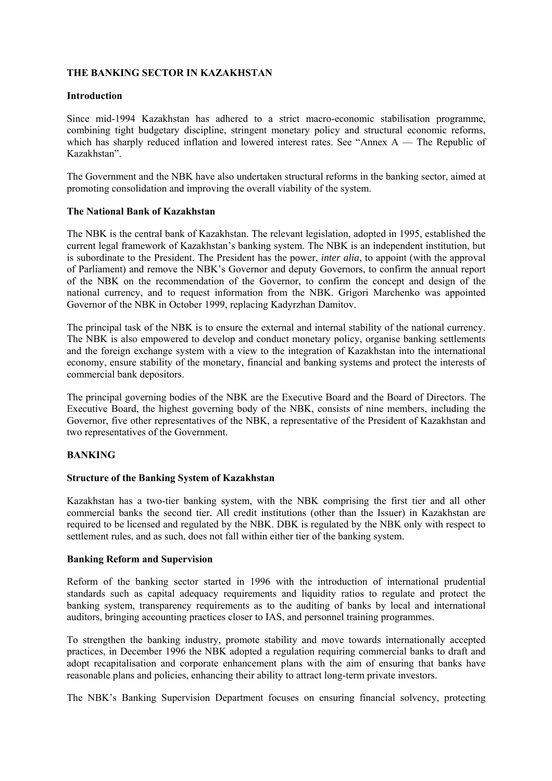#### **THE BANKING SECTOR IN KAZAKHSTAN**

#### **Introduction**

Since mid-1994 Kazakhstan has adhered to a strict macro-economic stabilisation programme, combining tight budgetary discipline, stringent monetary policy and structural economic reforms, which has sharply reduced inflation and lowered interest rates. See "Annex A — The Republic of Kazakhstan".

The Government and the NBK have also undertaken structural reforms in the banking sector, aimed at promoting consolidation and improving the overall viability of the system.

#### **The National Bank of Kazakhstan**

The NBK is the central bank of Kazakhstan. The relevant legislation, adopted in 1995, established the current legal framework of Kazakhstan's banking system. The NBK is an independent institution, but is subordinate to the President. The President has the power, *inter alia*, to appoint (with the approval of Parliament) and remove the NBK's Governor and deputy Governors, to confirm the annual report of the NBK on the recommendation of the Governor, to confirm the concept and design of the national currency, and to request information from the NBK. Grigori Marchenko was appointed Governor of the NBK in October 1999, replacing Kadyrzhan Damitov.

The principal task of the NBK is to ensure the external and internal stability of the national currency. The NBK is also empowered to develop and conduct monetary policy, organise banking settlements and the foreign exchange system with a view to the integration of Kazakhstan into the international economy, ensure stability of the monetary, financial and banking systems and protect the interests of commercial bank depositors.

The principal governing bodies of the NBK are the Executive Board and the Board of Directors. The Executive Board, the highest governing body of the NBK, consists of nine members, including the Governor, five other representatives of the NBK, a representative of the President of Kazakhstan and two representatives of the Government.

#### **BANKING**

#### **Structure of the Banking System of Kazakhstan**

Kazakhstan has a two-tier banking system, with the NBK comprising the first tier and all other commercial banks the second tier. All credit institutions (other than the Issuer) in Kazakhstan are required to be licensed and regulated by the NBK. DBK is regulated by the NBK only with respect to settlement rules, and as such, does not fall within either tier of the banking system.

#### **Banking Reform and Supervision**

Reform of the banking sector started in 1996 with the introduction of international prudential standards such as capital adequacy requirements and liquidity ratios to regulate and protect the banking system, transparency requirements as to the auditing of banks by local and international auditors, bringing accounting practices closer to IAS, and personnel training programmes.

To strengthen the banking industry, promote stability and move towards internationally accepted practices, in December 1996 the NBK adopted a regulation requiring commercial banks to draft and adopt recapitalisation and corporate enhancement plans with the aim of ensuring that banks have reasonable plans and policies, enhancing their ability to attract long-term private investors.

The NBK's Banking Supervision Department focuses on ensuring financial solvency, protecting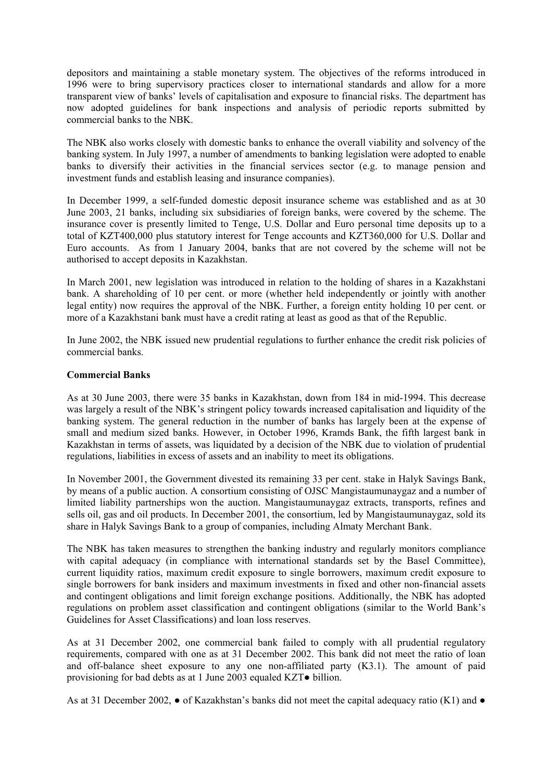depositors and maintaining a stable monetary system. The objectives of the reforms introduced in 1996 were to bring supervisory practices closer to international standards and allow for a more transparent view of banks' levels of capitalisation and exposure to financial risks. The department has now adopted guidelines for bank inspections and analysis of periodic reports submitted by commercial banks to the NBK.

The NBK also works closely with domestic banks to enhance the overall viability and solvency of the banking system. In July 1997, a number of amendments to banking legislation were adopted to enable banks to diversify their activities in the financial services sector (e.g. to manage pension and investment funds and establish leasing and insurance companies).

In December 1999, a self-funded domestic deposit insurance scheme was established and as at 30 June 2003, 21 banks, including six subsidiaries of foreign banks, were covered by the scheme. The insurance cover is presently limited to Tenge, U.S. Dollar and Euro personal time deposits up to a total of KZT400,000 plus statutory interest for Tenge accounts and KZT360,000 for U.S. Dollar and Euro accounts. As from 1 January 2004, banks that are not covered by the scheme will not be authorised to accept deposits in Kazakhstan.

In March 2001, new legislation was introduced in relation to the holding of shares in a Kazakhstani bank. A shareholding of 10 per cent. or more (whether held independently or jointly with another legal entity) now requires the approval of the NBK. Further, a foreign entity holding 10 per cent. or more of a Kazakhstani bank must have a credit rating at least as good as that of the Republic.

In June 2002, the NBK issued new prudential regulations to further enhance the credit risk policies of commercial banks.

#### **Commercial Banks**

As at 30 June 2003, there were 35 banks in Kazakhstan, down from 184 in mid-1994. This decrease was largely a result of the NBK's stringent policy towards increased capitalisation and liquidity of the banking system. The general reduction in the number of banks has largely been at the expense of small and medium sized banks. However, in October 1996, Kramds Bank, the fifth largest bank in Kazakhstan in terms of assets, was liquidated by a decision of the NBK due to violation of prudential regulations, liabilities in excess of assets and an inability to meet its obligations.

In November 2001, the Government divested its remaining 33 per cent. stake in Halyk Savings Bank, by means of a public auction. A consortium consisting of OJSC Mangistaumunaygaz and a number of limited liability partnerships won the auction. Mangistaumunaygaz extracts, transports, refines and sells oil, gas and oil products. In December 2001, the consortium, led by Mangistaumunaygaz, sold its share in Halyk Savings Bank to a group of companies, including Almaty Merchant Bank.

The NBK has taken measures to strengthen the banking industry and regularly monitors compliance with capital adequacy (in compliance with international standards set by the Basel Committee), current liquidity ratios, maximum credit exposure to single borrowers, maximum credit exposure to single borrowers for bank insiders and maximum investments in fixed and other non-financial assets and contingent obligations and limit foreign exchange positions. Additionally, the NBK has adopted regulations on problem asset classification and contingent obligations (similar to the World Bank's Guidelines for Asset Classifications) and loan loss reserves.

As at 31 December 2002, one commercial bank failed to comply with all prudential regulatory requirements, compared with one as at 31 December 2002. This bank did not meet the ratio of loan and off-balance sheet exposure to any one non-affiliated party (K3.1). The amount of paid provisioning for bad debts as at 1 June 2003 equaled KZT● billion.

As at 31 December 2002,  $\bullet$  of Kazakhstan's banks did not meet the capital adequacy ratio (K1) and  $\bullet$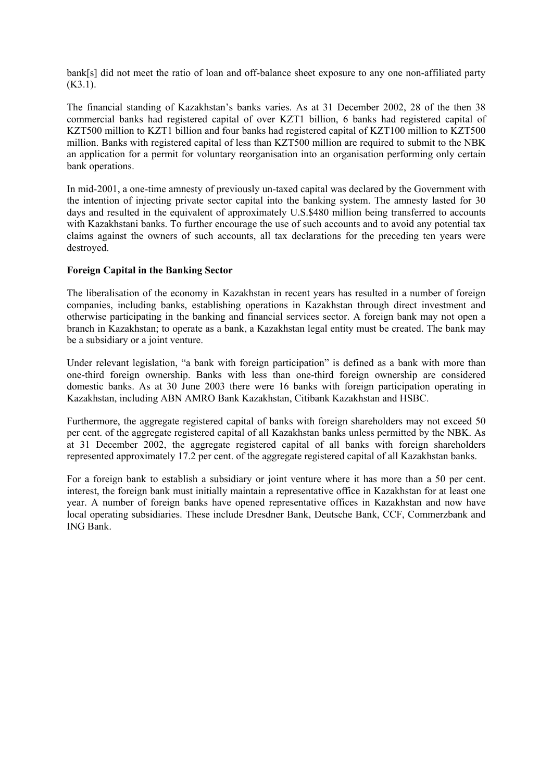bank[s] did not meet the ratio of loan and off-balance sheet exposure to any one non-affiliated party  $(K3.1)$ .

The financial standing of Kazakhstan's banks varies. As at 31 December 2002, 28 of the then 38 commercial banks had registered capital of over KZT1 billion, 6 banks had registered capital of KZT500 million to KZT1 billion and four banks had registered capital of KZT100 million to KZT500 million. Banks with registered capital of less than KZT500 million are required to submit to the NBK an application for a permit for voluntary reorganisation into an organisation performing only certain bank operations.

In mid-2001, a one-time amnesty of previously un-taxed capital was declared by the Government with the intention of injecting private sector capital into the banking system. The amnesty lasted for 30 days and resulted in the equivalent of approximately U.S.\$480 million being transferred to accounts with Kazakhstani banks. To further encourage the use of such accounts and to avoid any potential tax claims against the owners of such accounts, all tax declarations for the preceding ten years were destroyed.

#### **Foreign Capital in the Banking Sector**

The liberalisation of the economy in Kazakhstan in recent years has resulted in a number of foreign companies, including banks, establishing operations in Kazakhstan through direct investment and otherwise participating in the banking and financial services sector. A foreign bank may not open a branch in Kazakhstan; to operate as a bank, a Kazakhstan legal entity must be created. The bank may be a subsidiary or a joint venture.

Under relevant legislation, "a bank with foreign participation" is defined as a bank with more than one-third foreign ownership. Banks with less than one-third foreign ownership are considered domestic banks. As at 30 June 2003 there were 16 banks with foreign participation operating in Kazakhstan, including ABN AMRO Bank Kazakhstan, Citibank Kazakhstan and HSBC.

Furthermore, the aggregate registered capital of banks with foreign shareholders may not exceed 50 per cent. of the aggregate registered capital of all Kazakhstan banks unless permitted by the NBK. As at 31 December 2002, the aggregate registered capital of all banks with foreign shareholders represented approximately 17.2 per cent. of the aggregate registered capital of all Kazakhstan banks.

For a foreign bank to establish a subsidiary or joint venture where it has more than a 50 per cent. interest, the foreign bank must initially maintain a representative office in Kazakhstan for at least one year. A number of foreign banks have opened representative offices in Kazakhstan and now have local operating subsidiaries. These include Dresdner Bank, Deutsche Bank, CCF, Commerzbank and ING Bank.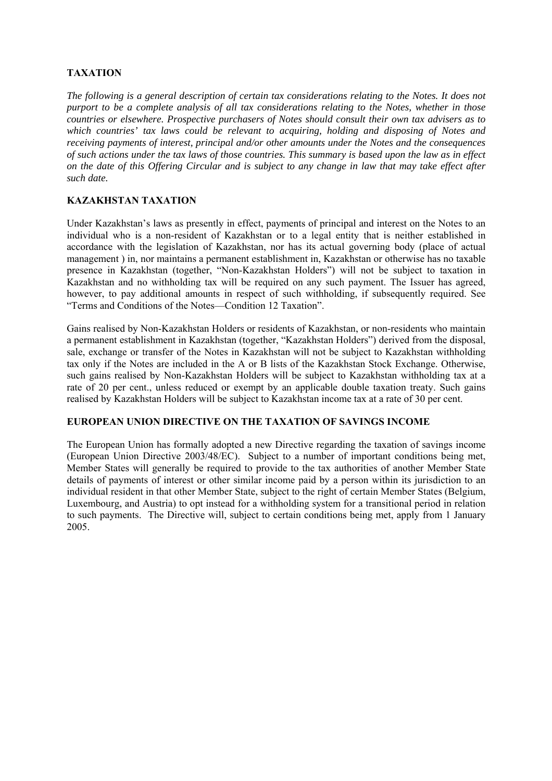## **TAXATION**

*The following is a general description of certain tax considerations relating to the Notes. It does not purport to be a complete analysis of all tax considerations relating to the Notes, whether in those countries or elsewhere. Prospective purchasers of Notes should consult their own tax advisers as to which countries' tax laws could be relevant to acquiring, holding and disposing of Notes and receiving payments of interest, principal and/or other amounts under the Notes and the consequences of such actions under the tax laws of those countries. This summary is based upon the law as in effect on the date of this Offering Circular and is subject to any change in law that may take effect after such date.*

#### **KAZAKHSTAN TAXATION**

Under Kazakhstan's laws as presently in effect, payments of principal and interest on the Notes to an individual who is a non-resident of Kazakhstan or to a legal entity that is neither established in accordance with the legislation of Kazakhstan, nor has its actual governing body (place of actual management ) in, nor maintains a permanent establishment in, Kazakhstan or otherwise has no taxable presence in Kazakhstan (together, "Non-Kazakhstan Holders") will not be subject to taxation in Kazakhstan and no withholding tax will be required on any such payment. The Issuer has agreed, however, to pay additional amounts in respect of such withholding, if subsequently required. See "Terms and Conditions of the Notes—Condition 12 Taxation".

Gains realised by Non-Kazakhstan Holders or residents of Kazakhstan, or non-residents who maintain a permanent establishment in Kazakhstan (together, "Kazakhstan Holders") derived from the disposal, sale, exchange or transfer of the Notes in Kazakhstan will not be subject to Kazakhstan withholding tax only if the Notes are included in the A or B lists of the Kazakhstan Stock Exchange. Otherwise, such gains realised by Non-Kazakhstan Holders will be subject to Kazakhstan withholding tax at a rate of 20 per cent., unless reduced or exempt by an applicable double taxation treaty. Such gains realised by Kazakhstan Holders will be subject to Kazakhstan income tax at a rate of 30 per cent.

#### **EUROPEAN UNION DIRECTIVE ON THE TAXATION OF SAVINGS INCOME**

The European Union has formally adopted a new Directive regarding the taxation of savings income (European Union Directive 2003/48/EC). Subject to a number of important conditions being met, Member States will generally be required to provide to the tax authorities of another Member State details of payments of interest or other similar income paid by a person within its jurisdiction to an individual resident in that other Member State, subject to the right of certain Member States (Belgium, Luxembourg, and Austria) to opt instead for a withholding system for a transitional period in relation to such payments. The Directive will, subject to certain conditions being met, apply from 1 January 2005.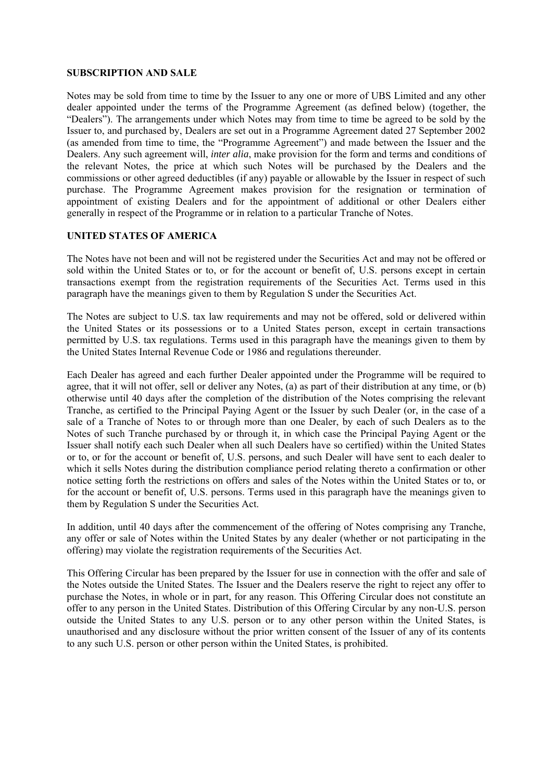#### **SUBSCRIPTION AND SALE**

Notes may be sold from time to time by the Issuer to any one or more of UBS Limited and any other dealer appointed under the terms of the Programme Agreement (as defined below) (together, the "Dealers"). The arrangements under which Notes may from time to time be agreed to be sold by the Issuer to, and purchased by, Dealers are set out in a Programme Agreement dated 27 September 2002 (as amended from time to time, the "Programme Agreement") and made between the Issuer and the Dealers. Any such agreement will, *inter alia*, make provision for the form and terms and conditions of the relevant Notes, the price at which such Notes will be purchased by the Dealers and the commissions or other agreed deductibles (if any) payable or allowable by the Issuer in respect of such purchase. The Programme Agreement makes provision for the resignation or termination of appointment of existing Dealers and for the appointment of additional or other Dealers either generally in respect of the Programme or in relation to a particular Tranche of Notes.

#### **UNITED STATES OF AMERICA**

The Notes have not been and will not be registered under the Securities Act and may not be offered or sold within the United States or to, or for the account or benefit of, U.S. persons except in certain transactions exempt from the registration requirements of the Securities Act. Terms used in this paragraph have the meanings given to them by Regulation S under the Securities Act.

The Notes are subject to U.S. tax law requirements and may not be offered, sold or delivered within the United States or its possessions or to a United States person, except in certain transactions permitted by U.S. tax regulations. Terms used in this paragraph have the meanings given to them by the United States Internal Revenue Code or 1986 and regulations thereunder.

Each Dealer has agreed and each further Dealer appointed under the Programme will be required to agree, that it will not offer, sell or deliver any Notes, (a) as part of their distribution at any time, or (b) otherwise until 40 days after the completion of the distribution of the Notes comprising the relevant Tranche, as certified to the Principal Paying Agent or the Issuer by such Dealer (or, in the case of a sale of a Tranche of Notes to or through more than one Dealer, by each of such Dealers as to the Notes of such Tranche purchased by or through it, in which case the Principal Paying Agent or the Issuer shall notify each such Dealer when all such Dealers have so certified) within the United States or to, or for the account or benefit of, U.S. persons, and such Dealer will have sent to each dealer to which it sells Notes during the distribution compliance period relating thereto a confirmation or other notice setting forth the restrictions on offers and sales of the Notes within the United States or to, or for the account or benefit of, U.S. persons. Terms used in this paragraph have the meanings given to them by Regulation S under the Securities Act.

In addition, until 40 days after the commencement of the offering of Notes comprising any Tranche, any offer or sale of Notes within the United States by any dealer (whether or not participating in the offering) may violate the registration requirements of the Securities Act.

This Offering Circular has been prepared by the Issuer for use in connection with the offer and sale of the Notes outside the United States. The Issuer and the Dealers reserve the right to reject any offer to purchase the Notes, in whole or in part, for any reason. This Offering Circular does not constitute an offer to any person in the United States. Distribution of this Offering Circular by any non-U.S. person outside the United States to any U.S. person or to any other person within the United States, is unauthorised and any disclosure without the prior written consent of the Issuer of any of its contents to any such U.S. person or other person within the United States, is prohibited.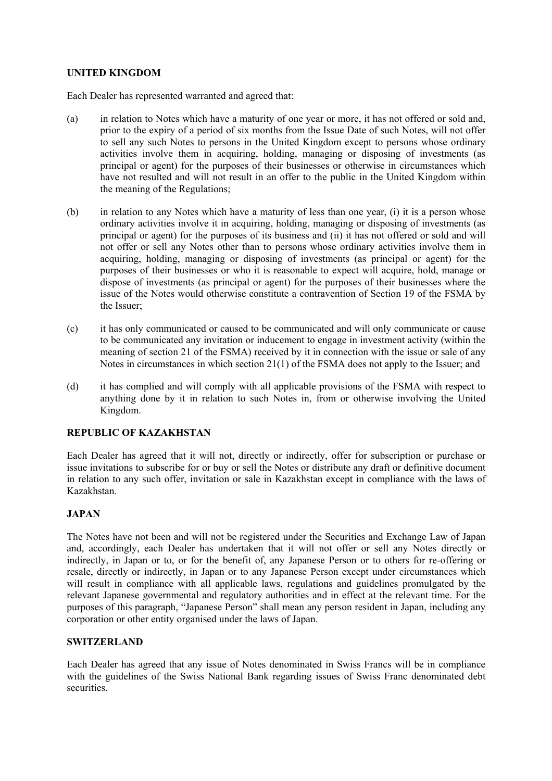#### **UNITED KINGDOM**

Each Dealer has represented warranted and agreed that:

- (a) in relation to Notes which have a maturity of one year or more, it has not offered or sold and, prior to the expiry of a period of six months from the Issue Date of such Notes, will not offer to sell any such Notes to persons in the United Kingdom except to persons whose ordinary activities involve them in acquiring, holding, managing or disposing of investments (as principal or agent) for the purposes of their businesses or otherwise in circumstances which have not resulted and will not result in an offer to the public in the United Kingdom within the meaning of the Regulations;
- (b) in relation to any Notes which have a maturity of less than one year, (i) it is a person whose ordinary activities involve it in acquiring, holding, managing or disposing of investments (as principal or agent) for the purposes of its business and (ii) it has not offered or sold and will not offer or sell any Notes other than to persons whose ordinary activities involve them in acquiring, holding, managing or disposing of investments (as principal or agent) for the purposes of their businesses or who it is reasonable to expect will acquire, hold, manage or dispose of investments (as principal or agent) for the purposes of their businesses where the issue of the Notes would otherwise constitute a contravention of Section 19 of the FSMA by the Issuer;
- (c) it has only communicated or caused to be communicated and will only communicate or cause to be communicated any invitation or inducement to engage in investment activity (within the meaning of section 21 of the FSMA) received by it in connection with the issue or sale of any Notes in circumstances in which section 21(1) of the FSMA does not apply to the Issuer; and
- (d) it has complied and will comply with all applicable provisions of the FSMA with respect to anything done by it in relation to such Notes in, from or otherwise involving the United Kingdom.

#### **REPUBLIC OF KAZAKHSTAN**

Each Dealer has agreed that it will not, directly or indirectly, offer for subscription or purchase or issue invitations to subscribe for or buy or sell the Notes or distribute any draft or definitive document in relation to any such offer, invitation or sale in Kazakhstan except in compliance with the laws of Kazakhstan.

## **JAPAN**

The Notes have not been and will not be registered under the Securities and Exchange Law of Japan and, accordingly, each Dealer has undertaken that it will not offer or sell any Notes directly or indirectly, in Japan or to, or for the benefit of, any Japanese Person or to others for re-offering or resale, directly or indirectly, in Japan or to any Japanese Person except under circumstances which will result in compliance with all applicable laws, regulations and guidelines promulgated by the relevant Japanese governmental and regulatory authorities and in effect at the relevant time. For the purposes of this paragraph, "Japanese Person" shall mean any person resident in Japan, including any corporation or other entity organised under the laws of Japan.

#### **SWITZERLAND**

Each Dealer has agreed that any issue of Notes denominated in Swiss Francs will be in compliance with the guidelines of the Swiss National Bank regarding issues of Swiss Franc denominated debt securities.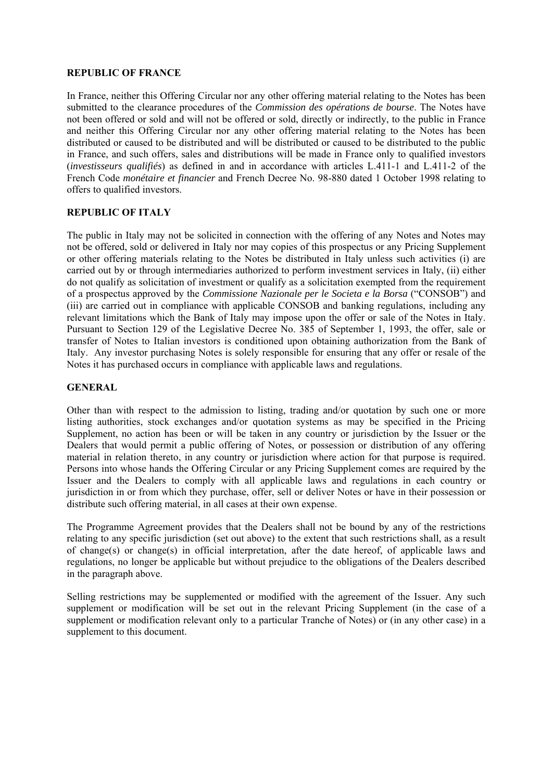#### **REPUBLIC OF FRANCE**

In France, neither this Offering Circular nor any other offering material relating to the Notes has been submitted to the clearance procedures of the *Commission des opérations de bourse*. The Notes have not been offered or sold and will not be offered or sold, directly or indirectly, to the public in France and neither this Offering Circular nor any other offering material relating to the Notes has been distributed or caused to be distributed and will be distributed or caused to be distributed to the public in France, and such offers, sales and distributions will be made in France only to qualified investors (*investisseurs qualifiés*) as defined in and in accordance with articles L.411-1 and L.411-2 of the French Code *monétaire et financier* and French Decree No. 98-880 dated 1 October 1998 relating to offers to qualified investors.

#### **REPUBLIC OF ITALY**

The public in Italy may not be solicited in connection with the offering of any Notes and Notes may not be offered, sold or delivered in Italy nor may copies of this prospectus or any Pricing Supplement or other offering materials relating to the Notes be distributed in Italy unless such activities (i) are carried out by or through intermediaries authorized to perform investment services in Italy, (ii) either do not qualify as solicitation of investment or qualify as a solicitation exempted from the requirement of a prospectus approved by the *Commissione Nazionale per le Societa e la Borsa* ("CONSOB") and (iii) are carried out in compliance with applicable CONSOB and banking regulations, including any relevant limitations which the Bank of Italy may impose upon the offer or sale of the Notes in Italy. Pursuant to Section 129 of the Legislative Decree No. 385 of September 1, 1993, the offer, sale or transfer of Notes to Italian investors is conditioned upon obtaining authorization from the Bank of Italy. Any investor purchasing Notes is solely responsible for ensuring that any offer or resale of the Notes it has purchased occurs in compliance with applicable laws and regulations.

#### **GENERAL**

Other than with respect to the admission to listing, trading and/or quotation by such one or more listing authorities, stock exchanges and/or quotation systems as may be specified in the Pricing Supplement, no action has been or will be taken in any country or jurisdiction by the Issuer or the Dealers that would permit a public offering of Notes, or possession or distribution of any offering material in relation thereto, in any country or jurisdiction where action for that purpose is required. Persons into whose hands the Offering Circular or any Pricing Supplement comes are required by the Issuer and the Dealers to comply with all applicable laws and regulations in each country or jurisdiction in or from which they purchase, offer, sell or deliver Notes or have in their possession or distribute such offering material, in all cases at their own expense.

The Programme Agreement provides that the Dealers shall not be bound by any of the restrictions relating to any specific jurisdiction (set out above) to the extent that such restrictions shall, as a result of change(s) or change(s) in official interpretation, after the date hereof, of applicable laws and regulations, no longer be applicable but without prejudice to the obligations of the Dealers described in the paragraph above.

Selling restrictions may be supplemented or modified with the agreement of the Issuer. Any such supplement or modification will be set out in the relevant Pricing Supplement (in the case of a supplement or modification relevant only to a particular Tranche of Notes) or (in any other case) in a supplement to this document.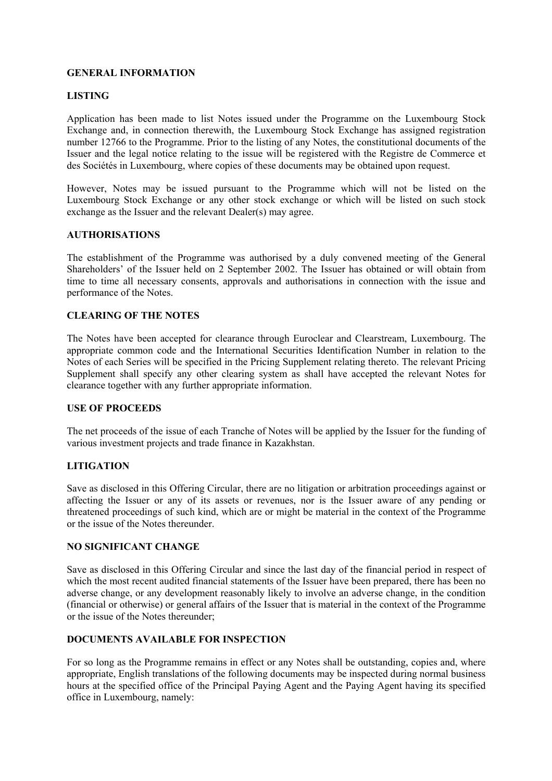#### **GENERAL INFORMATION**

#### **LISTING**

Application has been made to list Notes issued under the Programme on the Luxembourg Stock Exchange and, in connection therewith, the Luxembourg Stock Exchange has assigned registration number 12766 to the Programme. Prior to the listing of any Notes, the constitutional documents of the Issuer and the legal notice relating to the issue will be registered with the Registre de Commerce et des Sociétés in Luxembourg, where copies of these documents may be obtained upon request.

However, Notes may be issued pursuant to the Programme which will not be listed on the Luxembourg Stock Exchange or any other stock exchange or which will be listed on such stock exchange as the Issuer and the relevant Dealer(s) may agree.

#### **AUTHORISATIONS**

The establishment of the Programme was authorised by a duly convened meeting of the General Shareholders' of the Issuer held on 2 September 2002. The Issuer has obtained or will obtain from time to time all necessary consents, approvals and authorisations in connection with the issue and performance of the Notes.

#### **CLEARING OF THE NOTES**

The Notes have been accepted for clearance through Euroclear and Clearstream, Luxembourg. The appropriate common code and the International Securities Identification Number in relation to the Notes of each Series will be specified in the Pricing Supplement relating thereto. The relevant Pricing Supplement shall specify any other clearing system as shall have accepted the relevant Notes for clearance together with any further appropriate information.

#### **USE OF PROCEEDS**

The net proceeds of the issue of each Tranche of Notes will be applied by the Issuer for the funding of various investment projects and trade finance in Kazakhstan.

#### **LITIGATION**

Save as disclosed in this Offering Circular, there are no litigation or arbitration proceedings against or affecting the Issuer or any of its assets or revenues, nor is the Issuer aware of any pending or threatened proceedings of such kind, which are or might be material in the context of the Programme or the issue of the Notes thereunder.

#### **NO SIGNIFICANT CHANGE**

Save as disclosed in this Offering Circular and since the last day of the financial period in respect of which the most recent audited financial statements of the Issuer have been prepared, there has been no adverse change, or any development reasonably likely to involve an adverse change, in the condition (financial or otherwise) or general affairs of the Issuer that is material in the context of the Programme or the issue of the Notes thereunder;

#### **DOCUMENTS AVAILABLE FOR INSPECTION**

For so long as the Programme remains in effect or any Notes shall be outstanding, copies and, where appropriate, English translations of the following documents may be inspected during normal business hours at the specified office of the Principal Paying Agent and the Paying Agent having its specified office in Luxembourg, namely: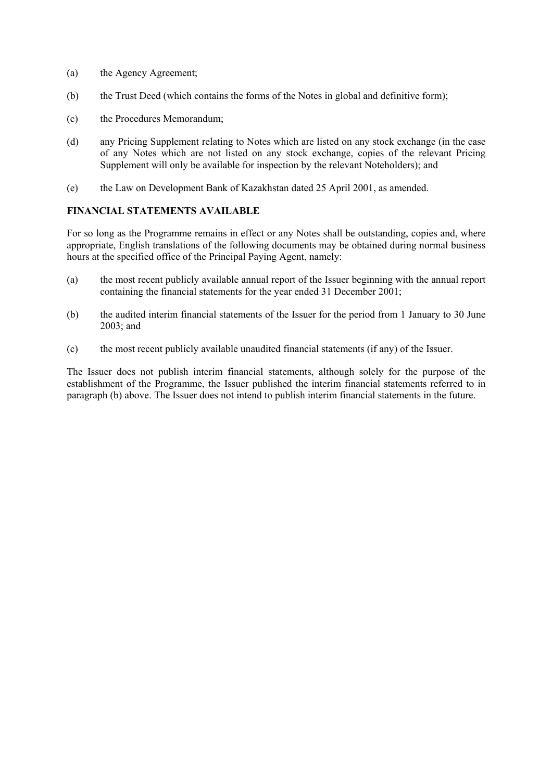- (a) the Agency Agreement;
- (b) the Trust Deed (which contains the forms of the Notes in global and definitive form);
- (c) the Procedures Memorandum;
- (d) any Pricing Supplement relating to Notes which are listed on any stock exchange (in the case of any Notes which are not listed on any stock exchange, copies of the relevant Pricing Supplement will only be available for inspection by the relevant Noteholders); and
- (e) the Law on Development Bank of Kazakhstan dated 25 April 2001, as amended.

#### **FINANCIAL STATEMENTS AVAILABLE**

For so long as the Programme remains in effect or any Notes shall be outstanding, copies and, where appropriate, English translations of the following documents may be obtained during normal business hours at the specified office of the Principal Paying Agent, namely:

- (a) the most recent publicly available annual report of the Issuer beginning with the annual report containing the financial statements for the year ended 31 December 2001;
- (b) the audited interim financial statements of the Issuer for the period from 1 January to 30 June 2003; and
- (c) the most recent publicly available unaudited financial statements (if any) of the Issuer.

The Issuer does not publish interim financial statements, although solely for the purpose of the establishment of the Programme, the Issuer published the interim financial statements referred to in paragraph (b) above. The Issuer does not intend to publish interim financial statements in the future.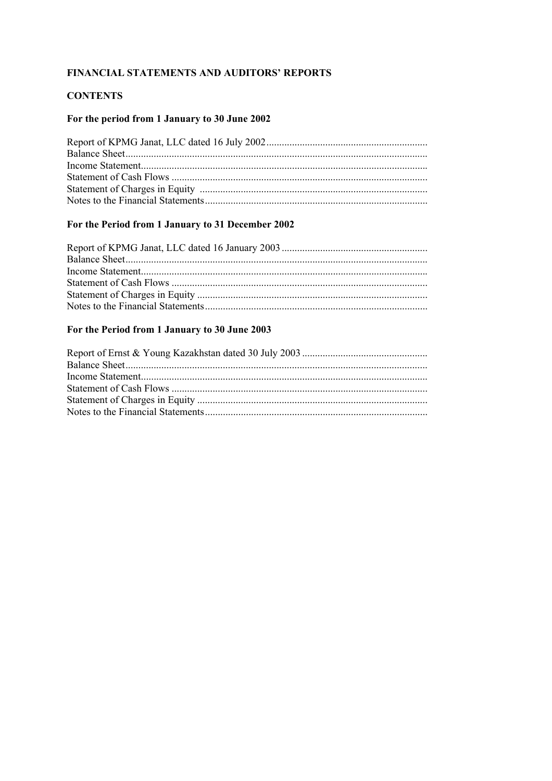## FINANCIAL STATEMENTS AND AUDITORS' REPORTS

## **CONTENTS**

## For the period from 1 January to 30 June 2002

## For the Period from 1 January to 31 December 2002

## For the Period from 1 January to 30 June 2003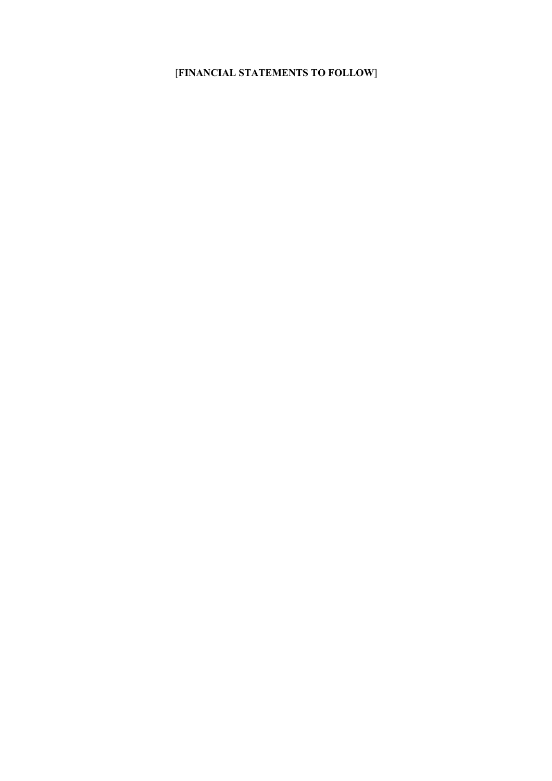## [**FINANCIAL STATEMENTS TO FOLLOW**]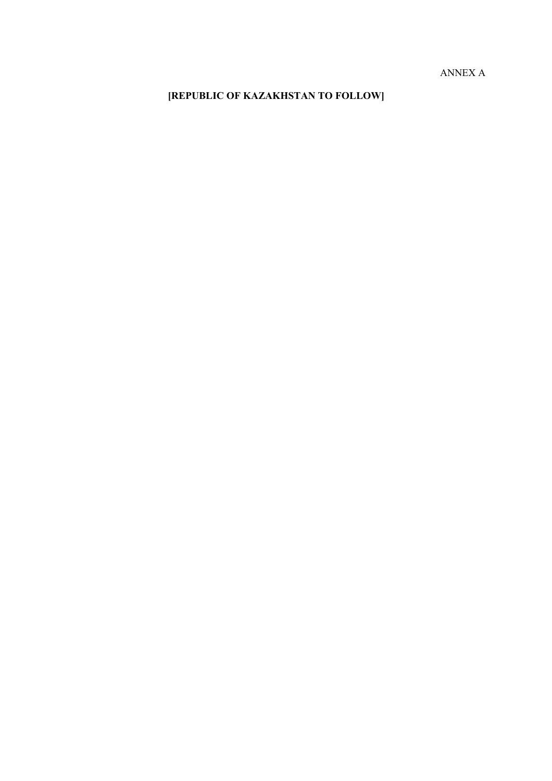ANNEX A

# **[REPUBLIC OF KAZAKHSTAN TO FOLLOW]**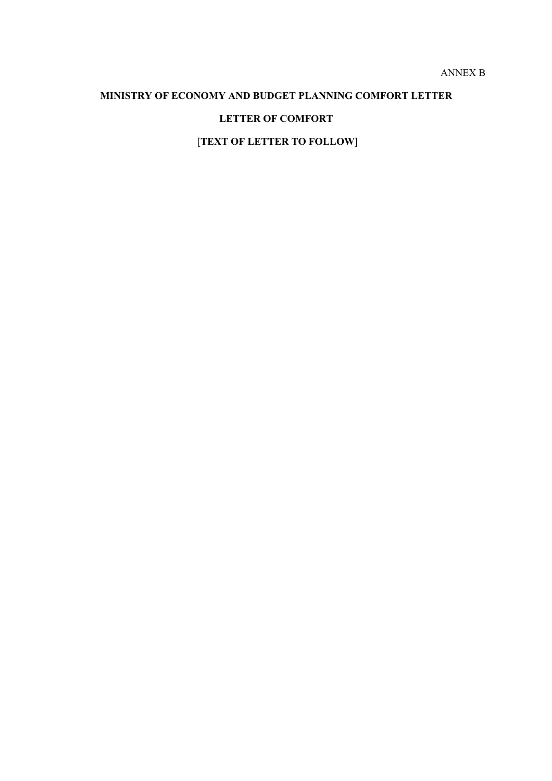## **MINISTRY OF ECONOMY AND BUDGET PLANNING COMFORT LETTER**

## **LETTER OF COMFORT**

[**TEXT OF LETTER TO FOLLOW**]